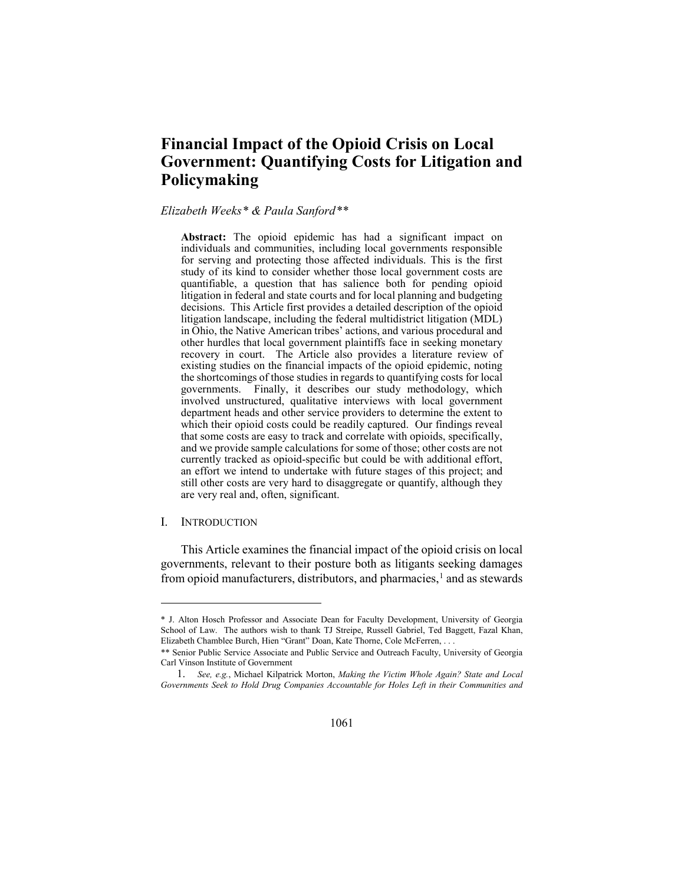# **Financial Impact of the Opioid Crisis on Local Government: Quantifying Costs for Litigation and Policymaking**

## *Elizabeth Weeks\* & Paula Sanford[\\*\\*](#page-0-0)*

**Abstract:** The opioid epidemic has had a significant impact on individuals and communities, including local governments responsible for serving and protecting those affected individuals. This is the first study of its kind to consider whether those local government costs are quantifiable, a question that has salience both for pending opioid litigation in federal and state courts and for local planning and budgeting decisions. This Article first provides a detailed description of the opioid litigation landscape, including the federal multidistrict litigation (MDL) in Ohio, the Native American tribes' actions, and various procedural and other hurdles that local government plaintiffs face in seeking monetary recovery in court. The Article also provides a literature review of existing studies on the financial impacts of the opioid epidemic, noting the shortcomings of those studies in regards to quantifying costs for local governments. Finally, it describes our study methodology, which involved unstructured, qualitative interviews with local government department heads and other service providers to determine the extent to which their opioid costs could be readily captured. Our findings reveal that some costs are easy to track and correlate with opioids, specifically, and we provide sample calculations for some of those; other costs are not currently tracked as opioid-specific but could be with additional effort, an effort we intend to undertake with future stages of this project; and still other costs are very hard to disaggregate or quantify, although they are very real and, often, significant.

## I. INTRODUCTION

 $\overline{a}$ 

This Article examines the financial impact of the opioid crisis on local governments, relevant to their posture both as litigants seeking damages from opioid manufacturers, distributors, and pharmacies,  $\frac{1}{1}$  $\frac{1}{1}$  $\frac{1}{1}$  and as stewards

<sup>\*</sup> J. Alton Hosch Professor and Associate Dean for Faculty Development, University of Georgia School of Law. The authors wish to thank TJ Streipe, Russell Gabriel, Ted Baggett, Fazal Khan, Elizabeth Chamblee Burch, Hien "Grant" Doan, Kate Thorne, Cole McFerren, . . .

<span id="page-0-0"></span><sup>\*\*</sup> Senior Public Service Associate and Public Service and Outreach Faculty, University of Georgia Carl Vinson Institute of Government

<span id="page-0-1"></span><sup>1.</sup> *See, e.g.*, Michael Kilpatrick Morton, *Making the Victim Whole Again? State and Local Governments Seek to Hold Drug Companies Accountable for Holes Left in their Communities and*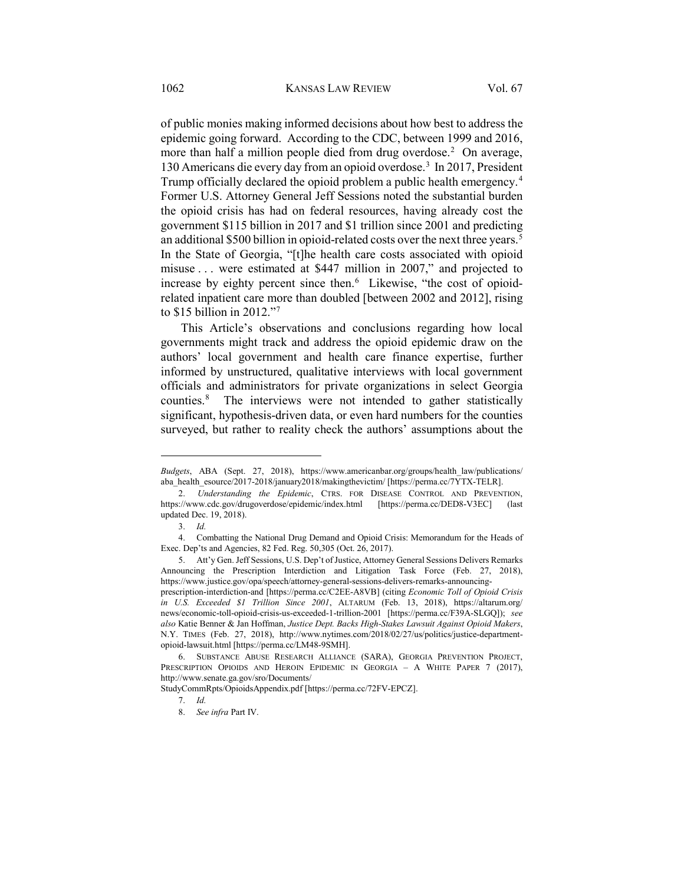of public monies making informed decisions about how best to address the epidemic going forward. According to the CDC, between 1999 and 2016, more than half a million people died from drug overdose.<sup>[2](#page-1-0)</sup> On average, 130 Americans die every day from an opioid overdose.<sup>3</sup> In 2017, President Trump officially declared the opioid problem a public health emergency.<sup>[4](#page-1-2)</sup> Former U.S. Attorney General Jeff Sessions noted the substantial burden the opioid crisis has had on federal resources, having already cost the government \$115 billion in 2017 and \$1 trillion since 2001 and predicting an additional \$[5](#page-1-3)00 billion in opioid-related costs over the next three years.<sup>5</sup> In the State of Georgia, "[t]he health care costs associated with opioid misuse . . . were estimated at \$447 million in 2007," and projected to increase by eighty percent since then.<sup>[6](#page-1-4)</sup> Likewise, "the cost of opioidrelated inpatient care more than doubled [between 2002 and 2012], rising to \$15 billion in 2012.["7](#page-1-5)

<span id="page-1-7"></span>This Article's observations and conclusions regarding how local governments might track and address the opioid epidemic draw on the authors' local government and health care finance expertise, further informed by unstructured, qualitative interviews with local government officials and administrators for private organizations in select Georgia counties.[8](#page-1-6) The interviews were not intended to gather statistically significant, hypothesis-driven data, or even hard numbers for the counties surveyed, but rather to reality check the authors' assumptions about the

*Budgets*, ABA (Sept. 27, 2018), https://www.americanbar.org/groups/health\_law/publications/ aba\_health\_esource/2017-2018/january2018/makingthevictim/ [https://perma.cc/7YTX-TELR].

<span id="page-1-0"></span><sup>2.</sup> *Understanding the Epidemic*, CTRS. FOR DISEASE CONTROL AND PREVENTION, https://www.cdc.gov/drugoverdose/epidemic/index.html [https://perma.cc/DED8-V3EC] (last updated Dec. 19, 2018).

<sup>3.</sup> *Id.*

<span id="page-1-2"></span><span id="page-1-1"></span><sup>4.</sup> Combatting the National Drug Demand and Opioid Crisis: Memorandum for the Heads of Exec. Dep'ts and Agencies, 82 Fed. Reg. 50,305 (Oct. 26, 2017).

<span id="page-1-3"></span><sup>5.</sup> Att'y Gen. Jeff Sessions, U.S. Dep't of Justice, Attorney General Sessions Delivers Remarks Announcing the Prescription Interdiction and Litigation Task Force (Feb. 27, 2018), https://www.justice.gov/opa/speech/attorney-general-sessions-delivers-remarks-announcing-

prescription-interdiction-and [https://perma.cc/C2EE-A8VB] (citing *Economic Toll of Opioid Crisis in U.S. Exceeded \$1 Trillion Since 2001*, ALTARUM (Feb. 13, 2018), https://altarum.org/ news/economic-toll-opioid-crisis-us-exceeded-1-trillion-2001 [https://perma.cc/F39A-SLGQ]); *see also* Katie Benner & Jan Hoffman, *Justice Dept. Backs High-Stakes Lawsuit Against Opioid Makers*, N.Y. TIMES (Feb. 27, 2018), http://www.nytimes.com/2018/02/27/us/politics/justice-departmentopioid-lawsuit.html [https://perma.cc/LM48-9SMH].

<span id="page-1-4"></span><sup>6.</sup> SUBSTANCE ABUSE RESEARCH ALLIANCE (SARA), GEORGIA PREVENTION PROJECT, PRESCRIPTION OPIOIDS AND HEROIN EPIDEMIC IN GEORGIA - A WHITE PAPER 7 (2017), http://www.senate.ga.gov/sro/Documents/

<span id="page-1-6"></span><span id="page-1-5"></span>StudyCommRpts/OpioidsAppendix.pdf [https://perma.cc/72FV-EPCZ].

<sup>7.</sup> *Id.*

<sup>8.</sup> *See infra* Part IV.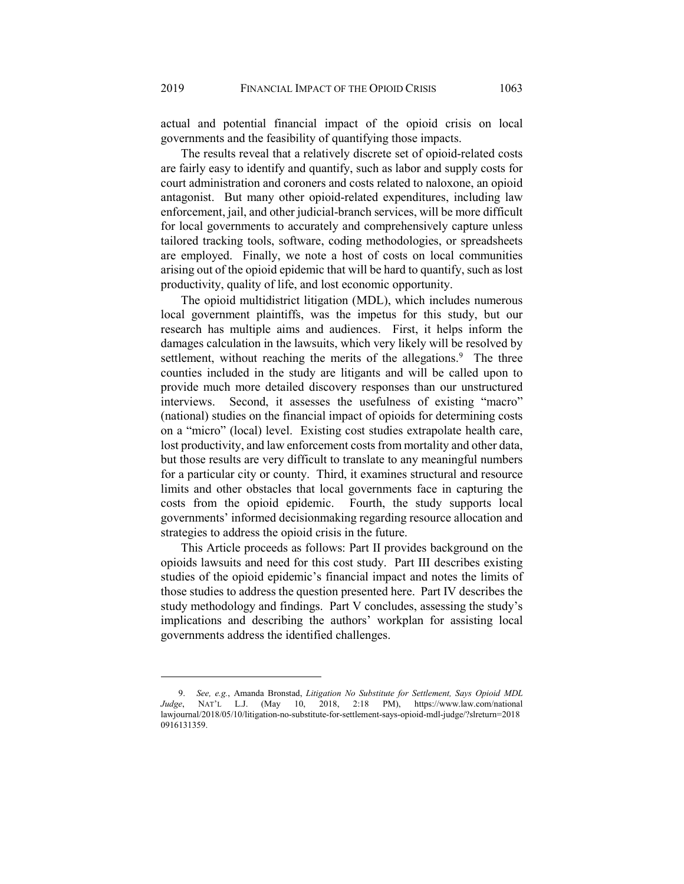actual and potential financial impact of the opioid crisis on local governments and the feasibility of quantifying those impacts.

The results reveal that a relatively discrete set of opioid-related costs are fairly easy to identify and quantify, such as labor and supply costs for court administration and coroners and costs related to naloxone, an opioid antagonist. But many other opioid-related expenditures, including law enforcement, jail, and other judicial-branch services, will be more difficult for local governments to accurately and comprehensively capture unless tailored tracking tools, software, coding methodologies, or spreadsheets are employed. Finally, we note a host of costs on local communities arising out of the opioid epidemic that will be hard to quantify, such as lost productivity, quality of life, and lost economic opportunity.

<span id="page-2-1"></span>The opioid multidistrict litigation (MDL), which includes numerous local government plaintiffs, was the impetus for this study, but our research has multiple aims and audiences. First, it helps inform the damages calculation in the lawsuits, which very likely will be resolved by settlement, without reaching the merits of the allegations.<sup>[9](#page-2-0)</sup> The three counties included in the study are litigants and will be called upon to provide much more detailed discovery responses than our unstructured interviews. Second, it assesses the usefulness of existing "macro" (national) studies on the financial impact of opioids for determining costs on a "micro" (local) level. Existing cost studies extrapolate health care, lost productivity, and law enforcement costs from mortality and other data, but those results are very difficult to translate to any meaningful numbers for a particular city or county. Third, it examines structural and resource limits and other obstacles that local governments face in capturing the costs from the opioid epidemic. Fourth, the study supports local governments' informed decisionmaking regarding resource allocation and strategies to address the opioid crisis in the future.

This Article proceeds as follows: Part II provides background on the opioids lawsuits and need for this cost study. Part III describes existing studies of the opioid epidemic's financial impact and notes the limits of those studies to address the question presented here. Part IV describes the study methodology and findings. Part V concludes, assessing the study's implications and describing the authors' workplan for assisting local governments address the identified challenges.

<span id="page-2-0"></span><sup>9.</sup> *See, e.g.*, Amanda Bronstad, *Litigation No Substitute for Settlement, Says Opioid MDL Judge*, NAT'L L.J. (May 10, 2018, 2:18 PM), https://www.law.com/national lawjournal/2018/05/10/litigation-no-substitute-for-settlement-says-opioid-mdl-judge/?slreturn=2018 0916131359.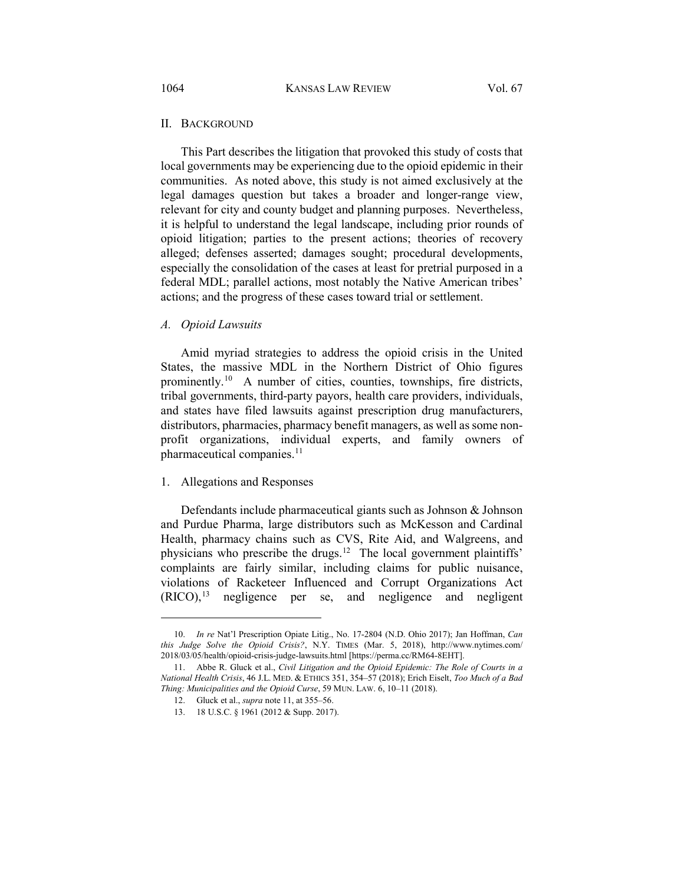## II. BACKGROUND

This Part describes the litigation that provoked this study of costs that local governments may be experiencing due to the opioid epidemic in their communities. As noted above, this study is not aimed exclusively at the legal damages question but takes a broader and longer-range view, relevant for city and county budget and planning purposes. Nevertheless, it is helpful to understand the legal landscape, including prior rounds of opioid litigation; parties to the present actions; theories of recovery alleged; defenses asserted; damages sought; procedural developments, especially the consolidation of the cases at least for pretrial purposed in a federal MDL; parallel actions, most notably the Native American tribes' actions; and the progress of these cases toward trial or settlement.

## *A. Opioid Lawsuits*

<span id="page-3-5"></span>Amid myriad strategies to address the opioid crisis in the United States, the massive MDL in the Northern District of Ohio figures prominently.[10](#page-3-1) A number of cities, counties, townships, fire districts, tribal governments, third-party payors, health care providers, individuals, and states have filed lawsuits against prescription drug manufacturers, distributors, pharmacies, pharmacy benefit managers, as well as some nonprofit organizations, individual experts, and family owners of pharmaceutical companies.<sup>[11](#page-3-2)</sup>

#### <span id="page-3-0"></span>1. Allegations and Responses

 $\overline{a}$ 

Defendants include pharmaceutical giants such as Johnson & Johnson and Purdue Pharma, large distributors such as McKesson and Cardinal Health, pharmacy chains such as CVS, Rite Aid, and Walgreens, and physicians who prescribe the drugs.<sup>12</sup> The local government plaintiffs' complaints are fairly similar, including claims for public nuisance, violations of Racketeer Influenced and Corrupt Organizations Act  $(RICO),<sup>13</sup>$  $(RICO),<sup>13</sup>$  $(RICO),<sup>13</sup>$  negligence per se, and negligence and negligent

<span id="page-3-1"></span><sup>10.</sup> *In re* Nat'l Prescription Opiate Litig., No. 17-2804 (N.D. Ohio 2017); Jan Hoffman, *Can this Judge Solve the Opioid Crisis?*, N.Y. TIMES (Mar. 5, 2018), http://www.nytimes.com/ 2018/03/05/health/opioid-crisis-judge-lawsuits.html [https://perma.cc/RM64-8EHT].

<span id="page-3-4"></span><span id="page-3-3"></span><span id="page-3-2"></span><sup>11.</sup> Abbe R. Gluck et al., *Civil Litigation and the Opioid Epidemic: The Role of Courts in a National Health Crisis*, 46 J.L. MED. & ETHICS 351, 354–57 (2018); Erich Eiselt, *Too Much of a Bad Thing: Municipalities and the Opioid Curse*, 59 MUN. LAW. 6, 10–11 (2018).

<sup>12.</sup> Gluck et al., *supra* not[e 11,](#page-3-0) at 355–56.

<sup>13. 18</sup> U.S.C. § 1961 (2012 & Supp. 2017).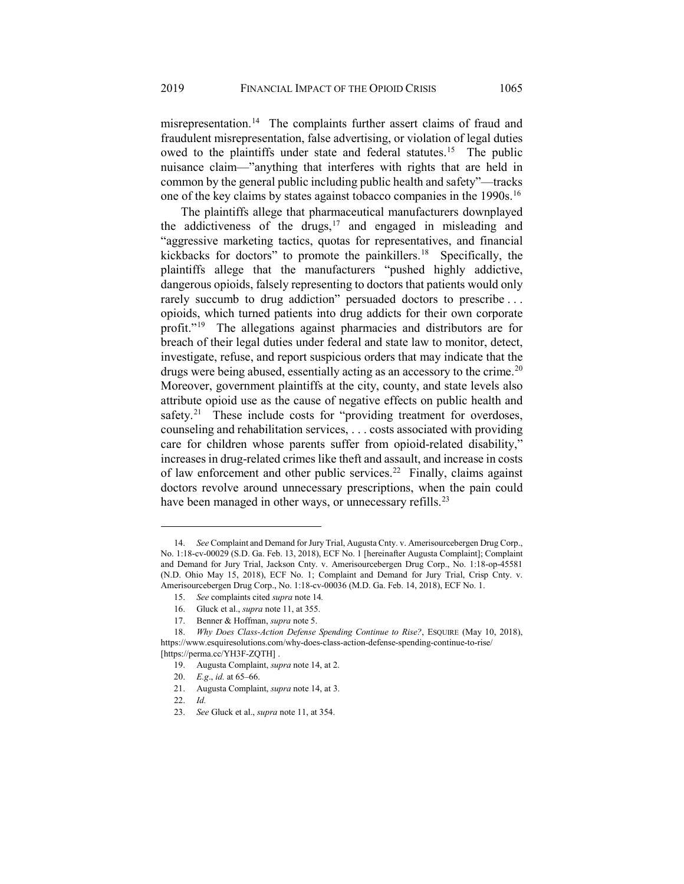<span id="page-4-0"></span>misrepresentation.<sup>14</sup> The complaints further assert claims of fraud and fraudulent misrepresentation, false advertising, or violation of legal duties owed to the plaintiffs under state and federal statutes.<sup>[15](#page-4-2)</sup> The public nuisance claim—"anything that interferes with rights that are held in common by the general public including public health and safety"—tracks one of the key claims by states against tobacco companies in the 1990s.<sup>16</sup>

The plaintiffs allege that pharmaceutical manufacturers downplayed the addictiveness of the drugs, $17$  and engaged in misleading and "aggressive marketing tactics, quotas for representatives, and financial kickbacks for doctors" to promote the painkillers.<sup>[18](#page-4-5)</sup> Specifically, the plaintiffs allege that the manufacturers "pushed highly addictive, dangerous opioids, falsely representing to doctors that patients would only rarely succumb to drug addiction" persuaded doctors to prescribe . . . opioids, which turned patients into drug addicts for their own corporate profit."[19](#page-4-6) The allegations against pharmacies and distributors are for breach of their legal duties under federal and state law to monitor, detect, investigate, refuse, and report suspicious orders that may indicate that the drugs were being abused, essentially acting as an accessory to the crime.<sup>[20](#page-4-7)</sup> Moreover, government plaintiffs at the city, county, and state levels also attribute opioid use as the cause of negative effects on public health and safety.<sup>[21](#page-4-8)</sup> These include costs for "providing treatment for overdoses, counseling and rehabilitation services, . . . costs associated with providing care for children whose parents suffer from opioid-related disability," increases in drug-related crimes like theft and assault, and increase in costs of law enforcement and other public services.<sup>22</sup> Finally, claims against doctors revolve around unnecessary prescriptions, when the pain could have been managed in other ways, or unnecessary refills.<sup>[23](#page-4-10)</sup>

<span id="page-4-9"></span>22. *Id.*

<span id="page-4-1"></span><sup>14.</sup> *See* Complaint and Demand for Jury Trial, Augusta Cnty. v. Amerisourcebergen Drug Corp., No. 1:18-cv-00029 (S.D. Ga. Feb. 13, 2018), ECF No. 1 [hereinafter Augusta Complaint]; Complaint and Demand for Jury Trial, Jackson Cnty. v. Amerisourcebergen Drug Corp., No. 1:18-op-45581 (N.D. Ohio May 15, 2018), ECF No. 1; Complaint and Demand for Jury Trial, Crisp Cnty. v. Amerisourcebergen Drug Corp., No. 1:18-cv-00036 (M.D. Ga. Feb. 14, 2018), ECF No. 1.

<sup>15.</sup> *See* complaints cited *supra* note [14](#page-4-0)*.*

<sup>16.</sup> Gluck et al., *supra* not[e 11,](#page-3-0) at 355.

<sup>17.</sup> Benner & Hoffman, *supra* not[e 5.](#page-1-7)

<span id="page-4-8"></span><span id="page-4-7"></span><span id="page-4-6"></span><span id="page-4-5"></span><span id="page-4-4"></span><span id="page-4-3"></span><span id="page-4-2"></span><sup>18.</sup> *Why Does Class-Action Defense Spending Continue to Rise?*, ESQUIRE (May 10, 2018), https://www.esquiresolutions.com/why-does-class-action-defense-spending-continue-to-rise/ [https://perma.cc/YH3F-ZQTH].

<sup>19.</sup> Augusta Complaint, *supra* not[e 14,](#page-4-0) at 2.

<sup>20.</sup> *E.g*., *id.* at 65–66.

<sup>21.</sup> Augusta Complaint, *supra* not[e 14,](#page-4-0) at 3.

<span id="page-4-10"></span><sup>23.</sup> *See* Gluck et al., *supra* not[e 11,](#page-3-0) at 354.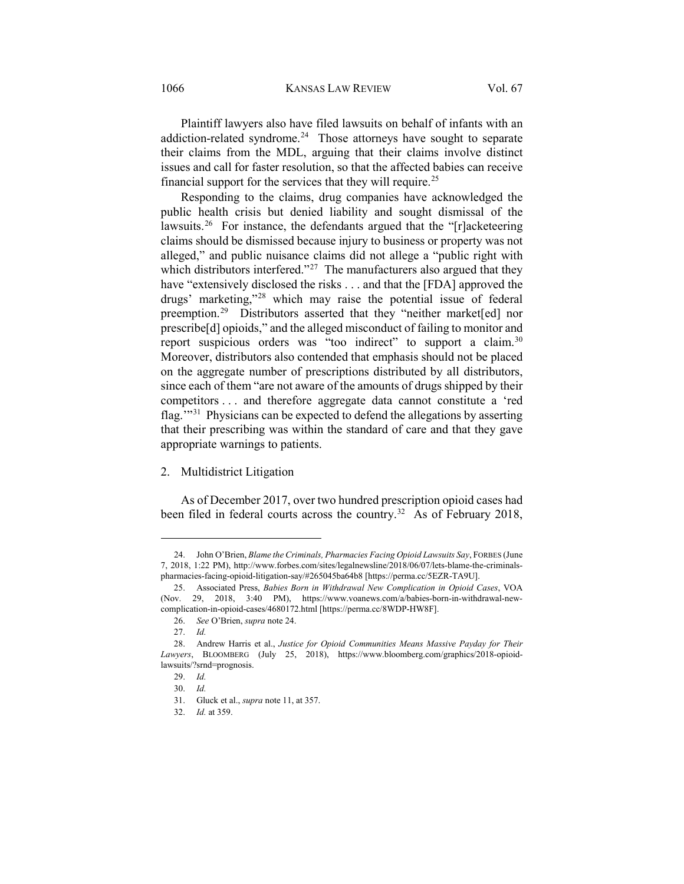1066 KANSAS LAW REVIEW Vol. 67

<span id="page-5-0"></span>Plaintiff lawyers also have filed lawsuits on behalf of infants with an addiction-related syndrome.<sup>[24](#page-5-1)</sup> Those attorneys have sought to separate their claims from the MDL, arguing that their claims involve distinct issues and call for faster resolution, so that the affected babies can receive financial support for the services that they will require.<sup>[25](#page-5-2)</sup>

Responding to the claims, drug companies have acknowledged the public health crisis but denied liability and sought dismissal of the lawsuits.<sup>[26](#page-5-3)</sup> For instance, the defendants argued that the " $\Gamma$ ]acketeering claims should be dismissed because injury to business or property was not alleged," and public nuisance claims did not allege a "public right with which distributors interfered."<sup>27</sup> The manufacturers also argued that they have "extensively disclosed the risks . . . and that the [FDA] approved the drugs' marketing,"[28](#page-5-5) which may raise the potential issue of federal preemption.<sup>[29](#page-5-6)</sup> Distributors asserted that they "neither market[ed] nor prescribe[d] opioids," and the alleged misconduct of failing to monitor and report suspicious orders was "too indirect" to support a claim.<sup>[30](#page-5-7)</sup> Moreover, distributors also contended that emphasis should not be placed on the aggregate number of prescriptions distributed by all distributors, since each of them "are not aware of the amounts of drugs shipped by their competitors . . . and therefore aggregate data cannot constitute a 'red flag.'"[31](#page-5-8) Physicians can be expected to defend the allegations by asserting that their prescribing was within the standard of care and that they gave appropriate warnings to patients.

## 2. Multidistrict Litigation

As of December 2017, over two hundred prescription opioid cases had been filed in federal courts across the country.<sup>32</sup> As of February 2018,

<span id="page-5-1"></span><sup>24.</sup> John O'Brien, *Blame the Criminals, Pharmacies Facing Opioid Lawsuits Say*, FORBES (June 7, 2018, 1:22 PM), http://www.forbes.com/sites/legalnewsline/2018/06/07/lets-blame-the-criminalspharmacies-facing-opioid-litigation-say/#265045ba64b8 [https://perma.cc/5EZR-TA9U].

<span id="page-5-2"></span><sup>25.</sup> Associated Press, *Babies Born in Withdrawal New Complication in Opioid Cases*, VOA (Nov. 29, 2018, 3:40 PM), https://www.voanews.com/a/babies-born-in-withdrawal-newcomplication-in-opioid-cases/4680172.html [https://perma.cc/8WDP-HW8F].

<sup>26.</sup> *See* O'Brien, *supra* not[e 24.](#page-5-0)

<sup>27.</sup> *Id.*

<span id="page-5-9"></span><span id="page-5-8"></span><span id="page-5-7"></span><span id="page-5-6"></span><span id="page-5-5"></span><span id="page-5-4"></span><span id="page-5-3"></span><sup>28.</sup> Andrew Harris et al., *Justice for Opioid Communities Means Massive Payday for Their Lawyers*, BLOOMBERG (July 25, 2018), https://www.bloomberg.com/graphics/2018-opioidlawsuits/?srnd=prognosis.

<sup>29.</sup> *Id.*

<sup>30.</sup> *Id.*

<sup>31.</sup> Gluck et al., *supra* not[e 11,](#page-3-0) at 357.

<sup>32.</sup> *Id.* at 359.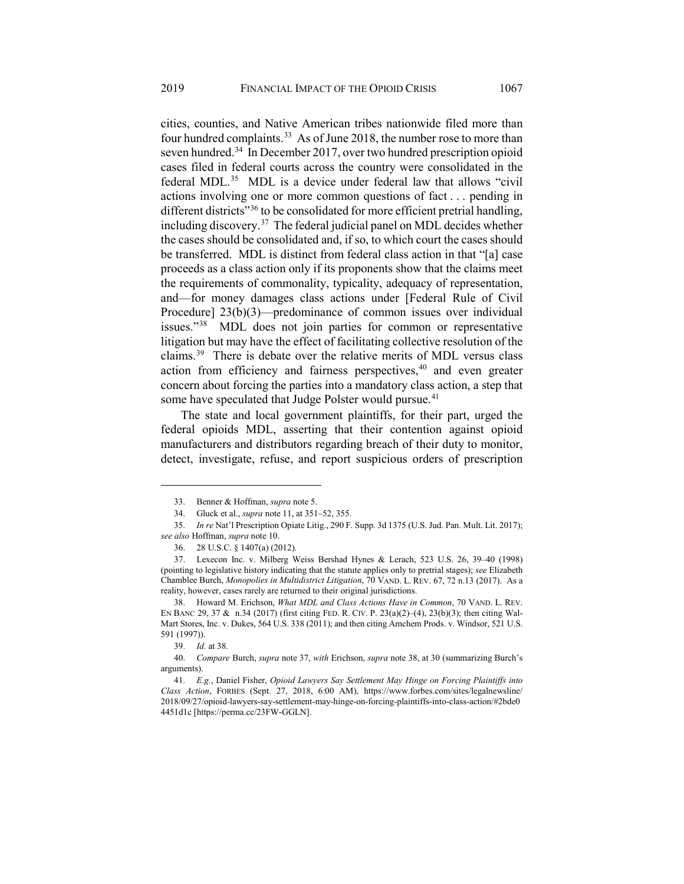<span id="page-6-0"></span>cities, counties, and Native American tribes nationwide filed more than four hundred complaints.<sup>33</sup> As of June 2018, the number rose to more than seven hundred[.34](#page-6-3) In December 2017, over two hundred prescription opioid cases filed in federal courts across the country were consolidated in the federal MDL.<sup>35</sup> MDL is a device under federal law that allows "civil" actions involving one or more common questions of fact . . . pending in different districts"<sup>[36](#page-6-5)</sup> to be consolidated for more efficient pretrial handling, including discovery.[37](#page-6-6) The federal judicial panel on MDL decides whether the cases should be consolidated and, if so, to which court the cases should be transferred. MDL is distinct from federal class action in that "[a] case proceeds as a class action only if its proponents show that the claims meet the requirements of commonality, typicality, adequacy of representation, and—for money damages class actions under [Federal Rule of Civil Procedure] 23(b)(3)—predominance of common issues over individual issues.["38](#page-6-7) MDL does not join parties for common or representative litigation but may have the effect of facilitating collective resolution of the claims.[39](#page-6-8) There is debate over the relative merits of MDL versus class action from efficiency and fairness perspectives,<sup>[40](#page-6-9)</sup> and even greater concern about forcing the parties into a mandatory class action, a step that some have speculated that Judge Polster would pursue.<sup>41</sup>

<span id="page-6-1"></span>The state and local government plaintiffs, for their part, urged the federal opioids MDL, asserting that their contention against opioid manufacturers and distributors regarding breach of their duty to monitor, detect, investigate, refuse, and report suspicious orders of prescription

<sup>33.</sup> Benner & Hoffman, *supra* not[e 5.](#page-1-7)

<sup>34.</sup> Gluck et al., *supra* not[e 11,](#page-3-0) at 351–52, 355.

<span id="page-6-4"></span><span id="page-6-3"></span><span id="page-6-2"></span><sup>35.</sup> *In re* Nat'l Prescription Opiate Litig., 290 F. Supp. 3d 1375 (U.S. Jud. Pan. Mult. Lit. 2017); *see also* Hoffman, *supra* not[e 10.](#page-3-5)

<sup>36. 28</sup> U.S.C. § 1407(a) (2012).

<span id="page-6-6"></span><span id="page-6-5"></span><sup>37.</sup> Lexecon Inc. v. Milberg Weiss Bershad Hynes & Lerach, 523 U.S. 26, 39–40 (1998) (pointing to legislative history indicating that the statute applies only to pretrial stages); *see* Elizabeth Chamblee Burch, *Monopolies in Multidistrict Litigation*, 70 VAND. L. REV. 67, 72 n.13 (2017). As a reality, however, cases rarely are returned to their original jurisdictions.

<span id="page-6-7"></span><sup>38.</sup> Howard M. Erichson, *What MDL and Class Actions Have in Common*, 70 VAND. L. REV. EN BANC 29, 37 & n.34 (2017) (first citing FED. R. CIV. P. 23(a)(2)–(4), 23(b)(3); then citing Wal-Mart Stores, Inc. v. Dukes, 564 U.S. 338 (2011); and then citing Amchem Prods. v. Windsor, 521 U.S. 591 (1997)).

<sup>39.</sup> *Id.* at 38.

<span id="page-6-9"></span><span id="page-6-8"></span><sup>40.</sup> *Compare* Burch, *supra* not[e 37,](#page-6-0) *with* Erichson, *supra* not[e 38,](#page-6-1) at 30 (summarizing Burch's arguments).

<span id="page-6-10"></span><sup>41.</sup> *E.g.*, Daniel Fisher, *Opioid Lawyers Say Settlement May Hinge on Forcing Plaintiffs into Class Action*, FORBES (Sept. 27, 2018, 6:00 AM), https://www.forbes.com/sites/legalnewsline/ 2018/09/27/opioid-lawyers-say-settlement-may-hinge-on-forcing-plaintiffs-into-class-action/#2bde0 4451d1c [https://perma.cc/23FW-GGLN].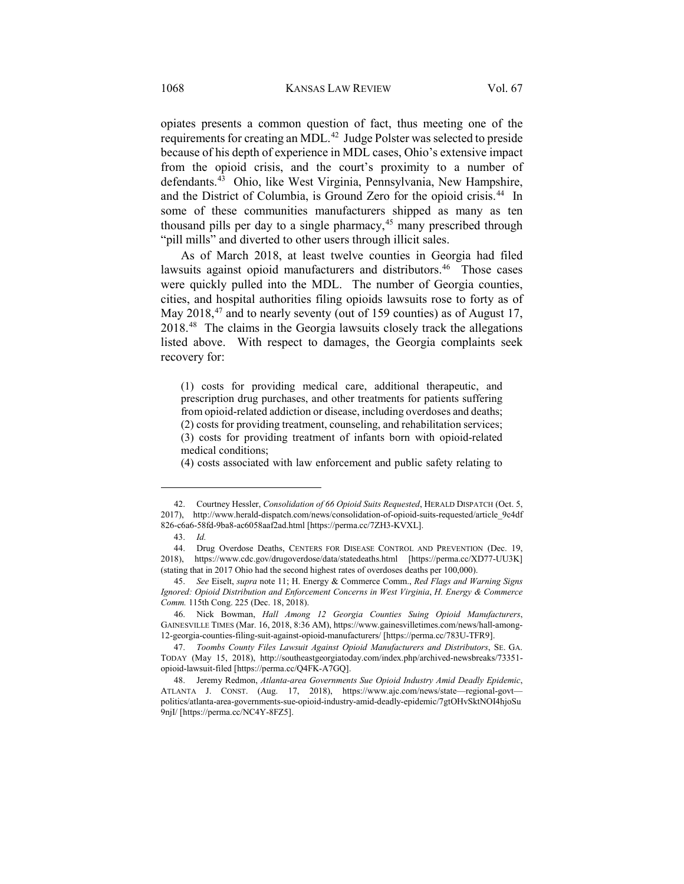opiates presents a common question of fact, thus meeting one of the requirements for creating an MDL.[42](#page-7-0) Judge Polster was selected to preside because of his depth of experience in MDL cases, Ohio's extensive impact from the opioid crisis, and the court's proximity to a number of defendants.[43](#page-7-1) Ohio, like West Virginia, Pennsylvania, New Hampshire, and the District of Columbia, is Ground Zero for the opioid crisis.<sup>44</sup> In some of these communities manufacturers shipped as many as ten thousand pills per day to a single pharmacy, $45$  many prescribed through "pill mills" and diverted to other users through illicit sales.

As of March 2018, at least twelve counties in Georgia had filed lawsuits against opioid manufacturers and distributors.<sup>[46](#page-7-4)</sup> Those cases were quickly pulled into the MDL. The number of Georgia counties, cities, and hospital authorities filing opioids lawsuits rose to forty as of May 2018,<sup>47</sup> and to nearly seventy (out of 159 counties) as of August 17, 2018.[48](#page-7-6) The claims in the Georgia lawsuits closely track the allegations listed above. With respect to damages, the Georgia complaints seek recovery for:

(1) costs for providing medical care, additional therapeutic, and prescription drug purchases, and other treatments for patients suffering from opioid-related addiction or disease, including overdoses and deaths; (2) costs for providing treatment, counseling, and rehabilitation services; (3) costs for providing treatment of infants born with opioid-related medical conditions;

(4) costs associated with law enforcement and public safety relating to

<span id="page-7-0"></span><sup>42.</sup> Courtney Hessler, *Consolidation of 66 Opioid Suits Requested*, HERALD DISPATCH (Oct. 5, 2017), http://www.herald-dispatch.com/news/consolidation-of-opioid-suits-requested/article\_9c4df 826-c6a6-58fd-9ba8-ac6058aaf2ad.html [https://perma.cc/7ZH3-KVXL].

<sup>43.</sup> *Id.*

<span id="page-7-2"></span><span id="page-7-1"></span><sup>44.</sup> Drug Overdose Deaths, CENTERS FOR DISEASE CONTROL AND PREVENTION (Dec. 19, 2018), https://www.cdc.gov/drugoverdose/data/statedeaths.html [https://perma.cc/XD77-UU3K] (stating that in 2017 Ohio had the second highest rates of overdoses deaths per 100,000).

<span id="page-7-3"></span><sup>45.</sup> *See* Eiselt, *supra* not[e 11;](#page-3-0) H. Energy & Commerce Comm., *Red Flags and Warning Signs Ignored: Opioid Distribution and Enforcement Concerns in West Virginia*, *H. Energy & Commerce Comm.* 115th Cong. 225 (Dec. 18, 2018).

<span id="page-7-4"></span><sup>46.</sup> Nick Bowman, *Hall Among 12 Georgia Counties Suing Opioid Manufacturers*, GAINESVILLE TIMES (Mar. 16, 2018, 8:36 AM), https://www.gainesvilletimes.com/news/hall-among-12-georgia-counties-filing-suit-against-opioid-manufacturers/ [https://perma.cc/783U-TFR9].

<span id="page-7-5"></span><sup>47.</sup> *Toombs County Files Lawsuit Against Opioid Manufacturers and Distributors*, SE. GA. TODAY (May 15, 2018), http://southeastgeorgiatoday.com/index.php/archived-newsbreaks/73351 opioid-lawsuit-filed [https://perma.cc/Q4FK-A7GQ].

<span id="page-7-6"></span><sup>48.</sup> Jeremy Redmon, *Atlanta-area Governments Sue Opioid Industry Amid Deadly Epidemic*, ATLANTA J. CONST. (Aug. 17, 2018), https://www.ajc.com/news/state—regional-govt politics/atlanta-area-governments-sue-opioid-industry-amid-deadly-epidemic/7gtOHvSktNOI4hjoSu 9njI/ [https://perma.cc/NC4Y-8FZ5].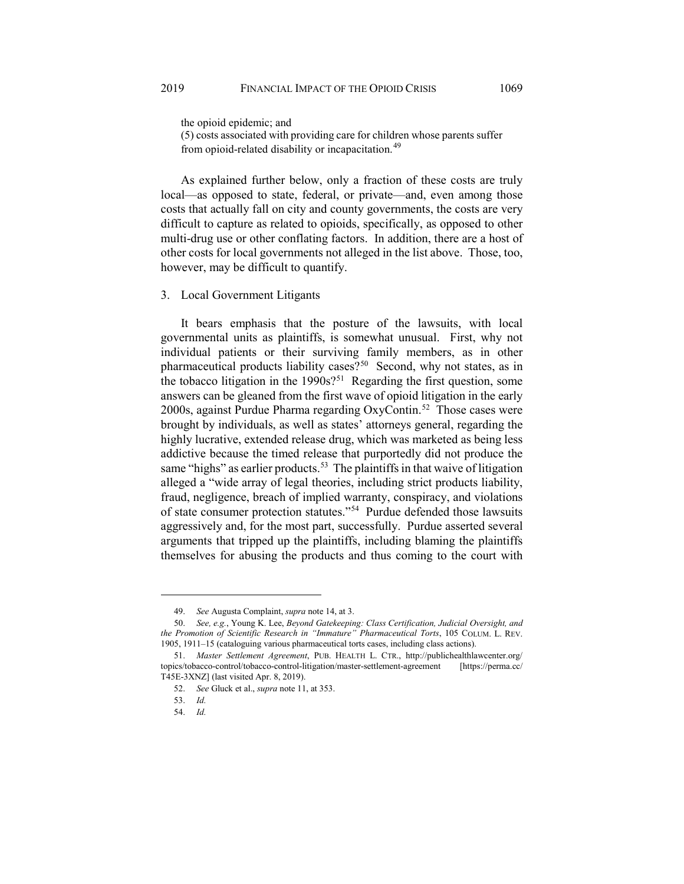the opioid epidemic; and

(5) costs associated with providing care for children whose parents suffer from opioid-related disability or incapacitation.<sup>[49](#page-8-0)</sup>

As explained further below, only a fraction of these costs are truly local—as opposed to state, federal, or private—and, even among those costs that actually fall on city and county governments, the costs are very difficult to capture as related to opioids, specifically, as opposed to other multi-drug use or other conflating factors. In addition, there are a host of other costs for local governments not alleged in the list above. Those, too, however, may be difficult to quantify.

## 3. Local Government Litigants

<span id="page-8-6"></span>It bears emphasis that the posture of the lawsuits, with local governmental units as plaintiffs, is somewhat unusual. First, why not individual patients or their surviving family members, as in other pharmaceutical products liability cases?<sup>50</sup> Second, why not states, as in the tobacco litigation in the  $1990s$ ?<sup>[51](#page-8-2)</sup> Regarding the first question, some answers can be gleaned from the first wave of opioid litigation in the early 2000s, against Purdue Pharma regarding OxyContin.[52](#page-8-3) Those cases were brought by individuals, as well as states' attorneys general, regarding the highly lucrative, extended release drug, which was marketed as being less addictive because the timed release that purportedly did not produce the same "highs" as earlier products.<sup>[53](#page-8-4)</sup> The plaintiffs in that waive of litigation alleged a "wide array of legal theories, including strict products liability, fraud, negligence, breach of implied warranty, conspiracy, and violations of state consumer protection statutes."[54](#page-8-5) Purdue defended those lawsuits aggressively and, for the most part, successfully. Purdue asserted several arguments that tripped up the plaintiffs, including blaming the plaintiffs themselves for abusing the products and thus coming to the court with

<sup>49.</sup> *See* Augusta Complaint, *supra* not[e 14,](#page-4-0) at 3.

<span id="page-8-1"></span><span id="page-8-0"></span><sup>50.</sup> *See, e.g.*, Young K. Lee, *Beyond Gatekeeping: Class Certification, Judicial Oversight, and the Promotion of Scientific Research in "Immature" Pharmaceutical Torts*, 105 COLUM. L. REV. 1905, 1911–15 (cataloguing various pharmaceutical torts cases, including class actions).

<span id="page-8-5"></span><span id="page-8-4"></span><span id="page-8-3"></span><span id="page-8-2"></span><sup>51.</sup> *Master Settlement Agreement*, PUB. HEALTH L. CTR., http://publichealthlawcenter.org/ topics/tobacco-control/tobacco-control-litigation/master-settlement-agreement [https://perma.cc/ T45E-3XNZ] (last visited Apr. 8, 2019).

<sup>52.</sup> *See* Gluck et al., *supra* not[e 11,](#page-3-0) at 353.

<sup>53.</sup> *Id.*

<sup>54.</sup> *Id.*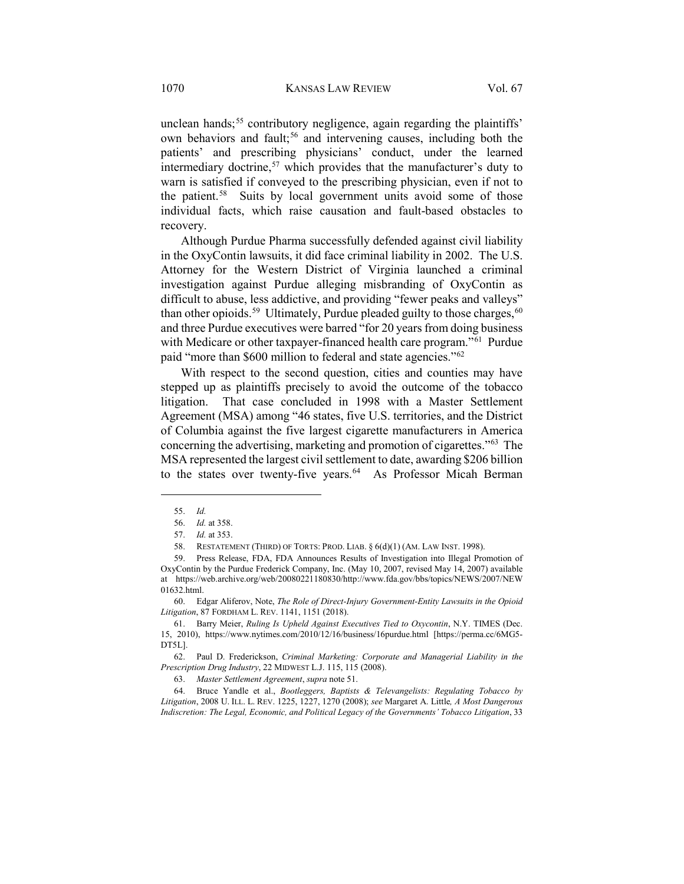unclean hands;<sup>[55](#page-9-0)</sup> contributory negligence, again regarding the plaintiffs' own behaviors and fault;<sup>[56](#page-9-1)</sup> and intervening causes, including both the patients' and prescribing physicians' conduct, under the learned intermediary doctrine,<sup>57</sup> which provides that the manufacturer's duty to warn is satisfied if conveyed to the prescribing physician, even if not to the patient.<sup>[58](#page-9-3)</sup> Suits by local government units avoid some of those individual facts, which raise causation and fault-based obstacles to recovery.

Although Purdue Pharma successfully defended against civil liability in the OxyContin lawsuits, it did face criminal liability in 2002. The U.S. Attorney for the Western District of Virginia launched a criminal investigation against Purdue alleging misbranding of OxyContin as difficult to abuse, less addictive, and providing "fewer peaks and valleys" than other opioids.<sup>59</sup> Ultimately, Purdue pleaded guilty to those charges,  $60$ and three Purdue executives were barred "for 20 years from doing business with Medicare or other taxpayer-financed health care program."<sup>61</sup> Purdue paid "more than \$600 million to federal and state agencies."[62](#page-9-7)

With respect to the second question, cities and counties may have stepped up as plaintiffs precisely to avoid the outcome of the tobacco litigation. That case concluded in 1998 with a Master Settlement Agreement (MSA) among "46 states, five U.S. territories, and the District of Columbia against the five largest cigarette manufacturers in America concerning the advertising, marketing and promotion of cigarettes.["63](#page-9-8) The MSA represented the largest civil settlement to date, awarding \$206 billion to the states over twenty-five years.<sup>64</sup> As Professor Micah Berman

<span id="page-9-0"></span> $\overline{a}$ 

<span id="page-9-5"></span>60. Edgar Aliferov, Note, *The Role of Direct-Injury Government-Entity Lawsuits in the Opioid Litigation*, 87 FORDHAM L. REV. 1141, 1151 (2018).

63. *Master Settlement Agreement*, *supra* not[e 51.](#page-8-6)

<span id="page-9-9"></span><span id="page-9-8"></span>64. Bruce Yandle et al., *Bootleggers, Baptists & Televangelists: Regulating Tobacco by Litigation*, 2008 U. ILL. L. REV. 1225, 1227, 1270 (2008); *see* Margaret A. Little*, A Most Dangerous Indiscretion: The Legal, Economic, and Political Legacy of the Governments' Tobacco Litigation*, 33

<sup>55.</sup> *Id.*

<sup>56.</sup> *Id.* at 358.

<sup>57.</sup> *Id.* at 353.

<sup>58.</sup> RESTATEMENT (THIRD) OF TORTS: PROD. LIAB. § 6(d)(1) (AM. LAW INST. 1998).

<span id="page-9-4"></span><span id="page-9-3"></span><span id="page-9-2"></span><span id="page-9-1"></span><sup>59.</sup> Press Release, FDA, FDA Announces Results of Investigation into Illegal Promotion of OxyContin by the Purdue Frederick Company, Inc. (May 10, 2007, revised May 14, 2007) available at https://web.archive.org/web/20080221180830/http://www.fda.gov/bbs/topics/NEWS/2007/NEW 01632.html.

<span id="page-9-6"></span><sup>61.</sup> Barry Meier, *Ruling Is Upheld Against Executives Tied to Oxycontin*, N.Y. TIMES (Dec. 15, 2010), https://www.nytimes.com/2010/12/16/business/16purdue.html [https://perma.cc/6MG5- DT5L].

<span id="page-9-7"></span><sup>62.</sup> Paul D. Frederickson, *Criminal Marketing: Corporate and Managerial Liability in the Prescription Drug Industry*, 22 MIDWEST L.J. 115, 115 (2008).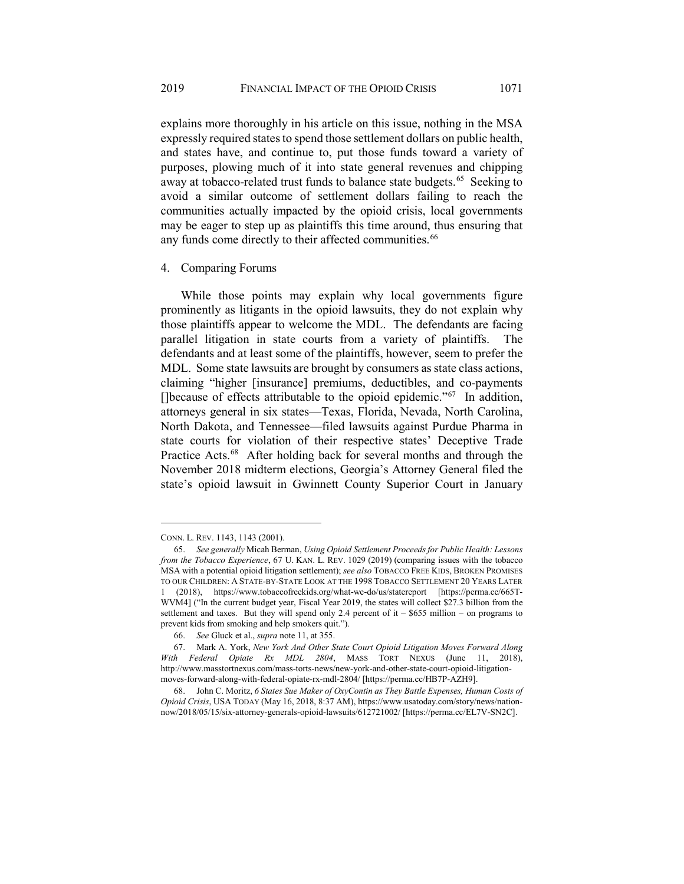explains more thoroughly in his article on this issue, nothing in the MSA expressly required states to spend those settlement dollars on public health, and states have, and continue to, put those funds toward a variety of purposes, plowing much of it into state general revenues and chipping away at tobacco-related trust funds to balance state budgets.<sup>65</sup> Seeking to avoid a similar outcome of settlement dollars failing to reach the communities actually impacted by the opioid crisis, local governments may be eager to step up as plaintiffs this time around, thus ensuring that any funds come directly to their affected communities.<sup>[66](#page-10-1)</sup>

#### 4. Comparing Forums

While those points may explain why local governments figure prominently as litigants in the opioid lawsuits, they do not explain why those plaintiffs appear to welcome the MDL. The defendants are facing parallel litigation in state courts from a variety of plaintiffs. The defendants and at least some of the plaintiffs, however, seem to prefer the MDL. Some state lawsuits are brought by consumers as state class actions, claiming "higher [insurance] premiums, deductibles, and co-payments []because of effects attributable to the opioid epidemic."[67](#page-10-2) In addition, attorneys general in six states—Texas, Florida, Nevada, North Carolina, North Dakota, and Tennessee—filed lawsuits against Purdue Pharma in state courts for violation of their respective states' Deceptive Trade Practice Acts.<sup>[68](#page-10-3)</sup> After holding back for several months and through the November 2018 midterm elections, Georgia's Attorney General filed the state's opioid lawsuit in Gwinnett County Superior Court in January

CONN. L. REV. 1143, 1143 (2001).

<span id="page-10-0"></span><sup>65.</sup> *See generally* Micah Berman, *Using Opioid Settlement Proceeds for Public Health: Lessons from the Tobacco Experience*, 67 U. KAN. L. REV. 1029 (2019) (comparing issues with the tobacco MSA with a potential opioid litigation settlement); *see also* TOBACCO FREE KIDS, BROKEN PROMISES TO OUR CHILDREN: A STATE-BY-STATE LOOK AT THE 1998 TOBACCO SETTLEMENT 20 YEARS LATER 1 (2018), https://www.tobaccofreekids.org/what-we-do/us/statereport [https://perma.cc/665T-WVM4] ("In the current budget year, Fiscal Year 2019, the states will collect \$27.3 billion from the settlement and taxes. But they will spend only 2.4 percent of it  $-$  \$655 million – on programs to prevent kids from smoking and help smokers quit.").

<sup>66.</sup> *See* Gluck et al., *supra* not[e 11,](#page-3-0) at 355.

<span id="page-10-2"></span><span id="page-10-1"></span><sup>67.</sup> Mark A. York, *New York And Other State Court Opioid Litigation Moves Forward Along With Federal Opiate Rx MDL 2804*, MASS TORT NEXUS (June 11, 2018), http://www.masstortnexus.com/mass-torts-news/new-york-and-other-state-court-opioid-litigationmoves-forward-along-with-federal-opiate-rx-mdl-2804/ [https://perma.cc/HB7P-AZH9].

<span id="page-10-3"></span><sup>68.</sup> John C. Moritz, *6 States Sue Maker of OxyContin as They Battle Expenses, Human Costs of Opioid Crisis*, USA TODAY (May 16, 2018, 8:37 AM), https://www.usatoday.com/story/news/nationnow/2018/05/15/six-attorney-generals-opioid-lawsuits/612721002/ [https://perma.cc/EL7V-SN2C].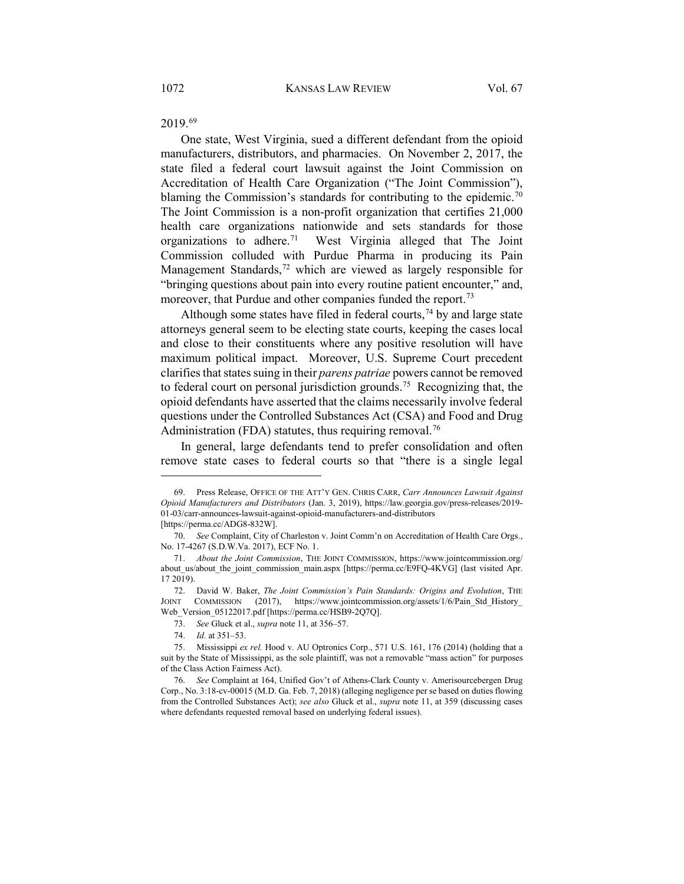2019.[69](#page-11-0)

One state, West Virginia, sued a different defendant from the opioid manufacturers, distributors, and pharmacies. On November 2, 2017, the state filed a federal court lawsuit against the Joint Commission on Accreditation of Health Care Organization ("The Joint Commission"), blaming the Commission's standards for contributing to the epidemic.<sup>[70](#page-11-1)</sup> The Joint Commission is a non-profit organization that certifies 21,000 health care organizations nationwide and sets standards for those organizations to adhere.[71](#page-11-2) West Virginia alleged that The Joint Commission colluded with Purdue Pharma in producing its Pain Management Standards,<sup>[72](#page-11-3)</sup> which are viewed as largely responsible for "bringing questions about pain into every routine patient encounter," and, moreover, that Purdue and other companies funded the report.<sup>[73](#page-11-4)</sup>

Although some states have filed in federal courts,  $74$  by and large state attorneys general seem to be electing state courts, keeping the cases local and close to their constituents where any positive resolution will have maximum political impact. Moreover, U.S. Supreme Court precedent clarifies that states suing in their *parens patriae* powers cannot be removed to federal court on personal jurisdiction grounds.[75](#page-11-6) Recognizing that, the opioid defendants have asserted that the claims necessarily involve federal questions under the Controlled Substances Act (CSA) and Food and Drug Administration (FDA) statutes, thus requiring removal.<sup>[76](#page-11-7)</sup>

In general, large defendants tend to prefer consolidation and often remove state cases to federal courts so that "there is a single legal

<span id="page-11-0"></span><sup>69.</sup> Press Release, OFFICE OF THE ATT'Y GEN. CHRIS CARR, *Carr Announces Lawsuit Against Opioid Manufacturers and Distributors* (Jan. 3, 2019), https://law.georgia.gov/press-releases/2019- 01-03/carr-announces-lawsuit-against-opioid-manufacturers-and-distributors

<sup>[</sup>https://perma.cc/ADG8-832W].

<span id="page-11-1"></span><sup>70.</sup> *See* Complaint, City of Charleston v. Joint Comm'n on Accreditation of Health Care Orgs., No. 17-4267 (S.D.W.Va. 2017), ECF No. 1.

<span id="page-11-2"></span><sup>71.</sup> *About the Joint Commission*, THE JOINT COMMISSION, https://www.jointcommission.org/ about us/about the joint commission main.aspx [https://perma.cc/E9FQ-4KVG] (last visited Apr. 17 2019).

<span id="page-11-3"></span><sup>72.</sup> David W. Baker, *The Joint Commission's Pain Standards: Origins and Evolution*, THE JOINT COMMISSION (2017), https://www.jointcommission.org/assets/1/6/Pain Std History COMMISSION (2017), https://www.jointcommission.org/assets/1/6/Pain\_Std\_History\_ Web\_Version\_05122017.pdf [https://perma.cc/HSB9-2Q7Q].

<sup>73.</sup> *See* Gluck et al., *supra* not[e 11,](#page-3-0) at 356–57.

<sup>74.</sup> *Id.* at 351–53.

<span id="page-11-6"></span><span id="page-11-5"></span><span id="page-11-4"></span><sup>75.</sup> Mississippi *ex rel.* Hood v. AU Optronics Corp., 571 U.S. 161, 176 (2014) (holding that a suit by the State of Mississippi, as the sole plaintiff, was not a removable "mass action" for purposes of the Class Action Fairness Act).

<span id="page-11-7"></span><sup>76.</sup> *See* Complaint at 164, Unified Gov't of Athens-Clark County v. Amerisourcebergen Drug Corp., No. 3:18-cv-00015 (M.D. Ga. Feb. 7, 2018) (alleging negligence per se based on duties flowing from the Controlled Substances Act); *see also* Gluck et al., *supra* note [11,](#page-3-0) at 359 (discussing cases where defendants requested removal based on underlying federal issues).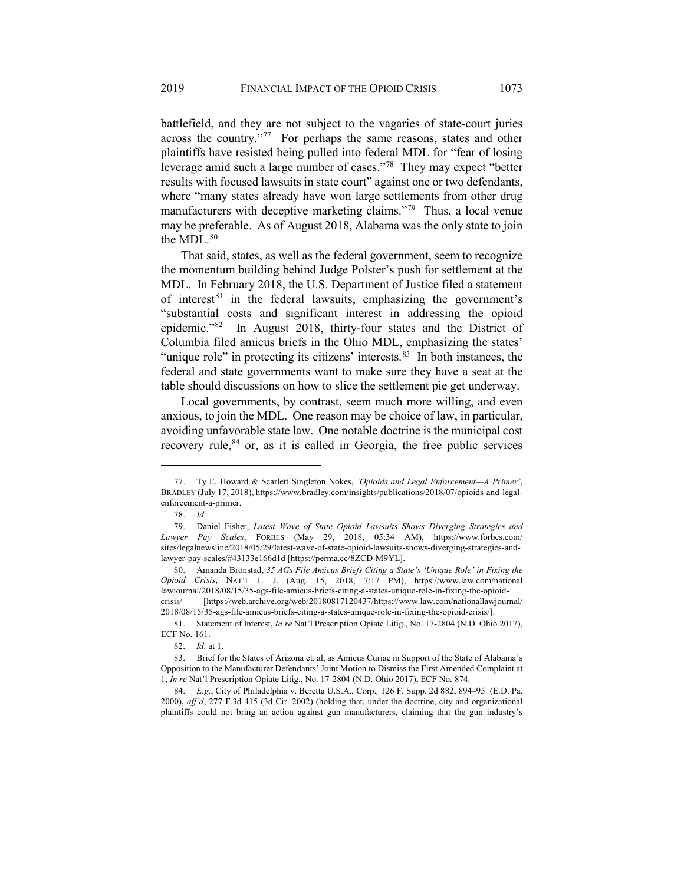battlefield, and they are not subject to the vagaries of state-court juries across the country."[77](#page-12-0) For perhaps the same reasons, states and other plaintiffs have resisted being pulled into federal MDL for "fear of losing leverage amid such a large number of cases."[78](#page-12-1) They may expect "better results with focused lawsuits in state court" against one or two defendants, where "many states already have won large settlements from other drug manufacturers with deceptive marketing claims."<sup>[79](#page-12-2)</sup> Thus, a local venue may be preferable. As of August 2018, Alabama was the only state to join the MDL.<sup>[80](#page-12-3)</sup>

That said, states, as well as the federal government, seem to recognize the momentum building behind Judge Polster's push for settlement at the MDL. In February 2018, the U.S. Department of Justice filed a statement of interest $81$  in the federal lawsuits, emphasizing the government's "substantial costs and significant interest in addressing the opioid epidemic.["82](#page-12-5) In August 2018, thirty-four states and the District of Columbia filed amicus briefs in the Ohio MDL, emphasizing the states' "unique role" in protecting its citizens' interests. $83$  In both instances, the federal and state governments want to make sure they have a seat at the table should discussions on how to slice the settlement pie get underway.

Local governments, by contrast, seem much more willing, and even anxious, to join the MDL. One reason may be choice of law, in particular, avoiding unfavorable state law. One notable doctrine is the municipal cost recovery rule,<sup>[84](#page-12-7)</sup> or, as it is called in Georgia, the free public services

<span id="page-12-0"></span><sup>77.</sup> Ty E. Howard & Scarlett Singleton Nokes, *'Opioids and Legal Enforcement—A Primer'*, BRADLEY (July 17, 2018), https://www.bradley.com/insights/publications/2018/07/opioids-and-legalenforcement-a-primer.

<sup>78.</sup> *Id.*

<span id="page-12-2"></span><span id="page-12-1"></span><sup>79.</sup> Daniel Fisher, *Latest Wave of State Opioid Lawsuits Shows Diverging Strategies and Lawyer Pay Scales*, FORBES (May 29, 2018, 05:34 AM), https://www.forbes.com/ sites/legalnewsline/2018/05/29/latest-wave-of-state-opioid-lawsuits-shows-diverging-strategies-andlawyer-pay-scales/#43133e166d1d [https://perma.cc/8ZCD-M9YL].

<span id="page-12-3"></span><sup>80.</sup> Amanda Bronstad, *35 AGs File Amicus Briefs Citing a State's 'Unique Role' in Fixing the Opioid Crisis*, NAT'L L. J. (Aug. 15, 2018, 7:17 PM), https://www.law.com/national lawjournal/2018/08/15/35-ags-file-amicus-briefs-citing-a-states-unique-role-in-fixing-the-opioidcrisis/ [https://web.archive.org/web/20180817120437/https://www.law.com/nationallawjournal/ 2018/08/15/35-ags-file-amicus-briefs-citing-a-states-unique-role-in-fixing-the-opioid-crisis/].

<span id="page-12-4"></span><sup>81.</sup> Statement of Interest, *In re* Nat'l Prescription Opiate Litig., No. 17-2804 (N.D. Ohio 2017), ECF No. 161.

<sup>82.</sup> *Id.* at 1.

<span id="page-12-6"></span><span id="page-12-5"></span><sup>83.</sup> Brief for the States of Arizona et. al, as Amicus Curiae in Support of the State of Alabama's Opposition to the Manufacturer Defendants' Joint Motion to Dismiss the First Amended Complaint at 1, *In re* Nat'l Prescription Opiate Litig., No. 17-2804 (N.D. Ohio 2017), ECF No. 874.

<span id="page-12-7"></span><sup>84.</sup> *E.g.*, City of Philadelphia v. Beretta U.S.A., Corp.*,* 126 F. Supp. 2d 882, 894–95 (E.D. Pa. 2000), *aff'd*, 277 F.3d 415 (3d Cir. 2002) (holding that, under the doctrine, city and organizational plaintiffs could not bring an action against gun manufacturers, claiming that the gun industry's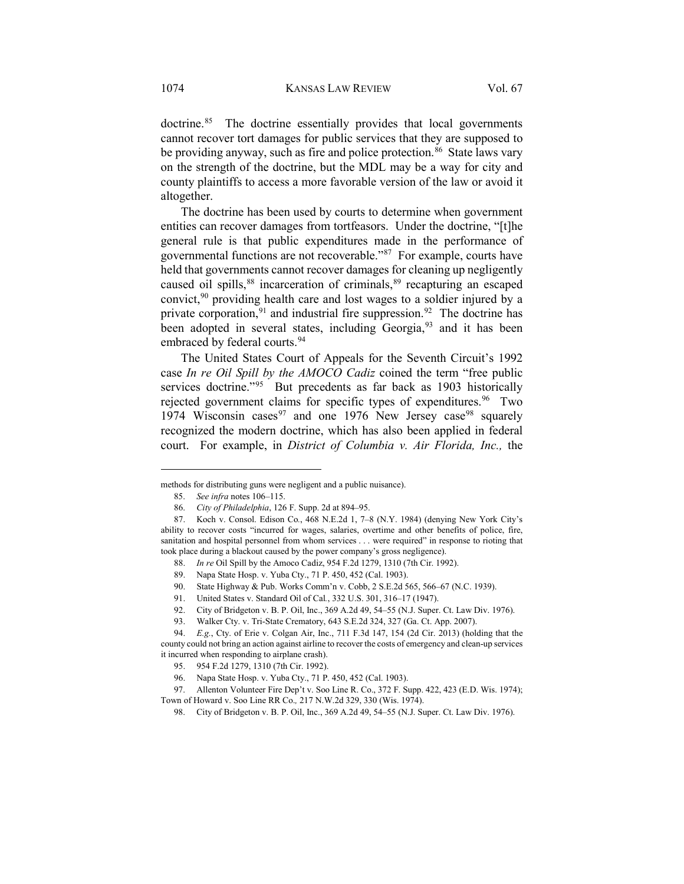doctrine.<sup>[85](#page-13-0)</sup> The doctrine essentially provides that local governments cannot recover tort damages for public services that they are supposed to be providing anyway, such as fire and police protection.<sup>[86](#page-13-1)</sup> State laws vary on the strength of the doctrine, but the MDL may be a way for city and county plaintiffs to access a more favorable version of the law or avoid it altogether.

The doctrine has been used by courts to determine when government entities can recover damages from tortfeasors. Under the doctrine, "[t]he general rule is that public expenditures made in the performance of governmental functions are not recoverable."[87](#page-13-2) For example, courts have held that governments cannot recover damages for cleaning up negligently caused oil spills,<sup>[88](#page-13-3)</sup> incarceration of criminals,<sup>[89](#page-13-4)</sup> recapturing an escaped convict,  $90$  providing health care and lost wages to a soldier injured by a private corporation,  $91$  and industrial fire suppression.  $92$  The doctrine has been adopted in several states, including Georgia,<sup>[93](#page-13-8)</sup> and it has been embraced by federal courts.<sup>[94](#page-13-9)</sup>

The United States Court of Appeals for the Seventh Circuit's 1992 case *In re Oil Spill by the AMOCO Cadiz* coined the term "free public services doctrine."<sup>95</sup> But precedents as far back as 1903 historically rejected government claims for specific types of expenditures.<sup>[96](#page-13-11)</sup> Two 1[97](#page-13-12)4 Wisconsin cases<sup>97</sup> and one 1976 New Jersey case<sup>[98](#page-13-13)</sup> squarely recognized the modern doctrine, which has also been applied in federal court. For example, in *District of Columbia v. Air Florida, Inc.,* the

 $\overline{a}$ 

92. City of Bridgeton v. B. P. Oil, Inc., 369 A.2d 49, 54–55 (N.J. Super. Ct. Law Div. 1976).

<span id="page-13-0"></span>methods for distributing guns were negligent and a public nuisance).

<sup>85.</sup> *See infra* note[s 106](#page-15-0)[–115.](#page-16-0)

<sup>86.</sup> *City of Philadelphia*, 126 F. Supp. 2d at 894–95.

<span id="page-13-4"></span><span id="page-13-3"></span><span id="page-13-2"></span><span id="page-13-1"></span><sup>87.</sup> Koch v. Consol. Edison Co*.*, 468 N.E.2d 1, 7–8 (N.Y. 1984) (denying New York City's ability to recover costs "incurred for wages, salaries, overtime and other benefits of police, fire, sanitation and hospital personnel from whom services . . . were required" in response to rioting that took place during a blackout caused by the power company's gross negligence).

<sup>88.</sup> *In re* Oil Spill by the Amoco Cadiz, 954 F.2d 1279, 1310 (7th Cir. 1992).

<sup>89.</sup> Napa State Hosp. v. Yuba Cty., 71 P. 450, 452 (Cal. 1903).

<sup>90.</sup> State Highway & Pub. Works Comm'n v. Cobb, 2 S.E.2d 565, 566–67 (N.C. 1939).

<sup>91.</sup> United States v. Standard Oil of Cal*.*, 332 U.S. 301, 316–17 (1947).

<sup>93.</sup> Walker Cty. v. Tri-State Crematory, 643 S.E.2d 324, 327 (Ga. Ct. App. 2007).

<span id="page-13-9"></span><span id="page-13-8"></span><span id="page-13-7"></span><span id="page-13-6"></span><span id="page-13-5"></span><sup>94.</sup> *E.g.*, Cty. of Erie v. Colgan Air, Inc., 711 F.3d 147, 154 (2d Cir. 2013) (holding that the county could not bring an action against airline to recover the costs of emergency and clean-up services it incurred when responding to airplane crash).

<sup>95. 954</sup> F.2d 1279, 1310 (7th Cir. 1992).

<sup>96.</sup> Napa State Hosp. v. Yuba Cty., 71 P. 450, 452 (Cal. 1903).

<span id="page-13-13"></span><span id="page-13-12"></span><span id="page-13-11"></span><span id="page-13-10"></span><sup>97.</sup> Allenton Volunteer Fire Dep't v. Soo Line R. Co., 372 F. Supp. 422, 423 (E.D. Wis. 1974); Town of Howard v. Soo Line RR Co.*,* 217 N.W.2d 329, 330 (Wis. 1974).

<sup>98.</sup> City of Bridgeton v. B. P. Oil, Inc., 369 A.2d 49, 54–55 (N.J. Super. Ct. Law Div. 1976).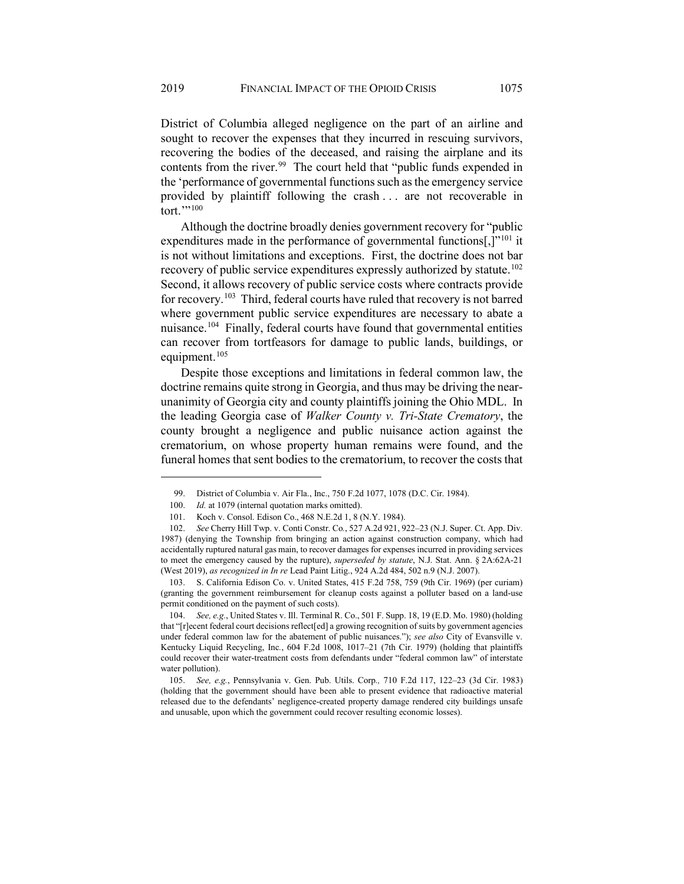District of Columbia alleged negligence on the part of an airline and sought to recover the expenses that they incurred in rescuing survivors, recovering the bodies of the deceased, and raising the airplane and its contents from the river.<sup>[99](#page-14-0)</sup> The court held that "public funds expended in the 'performance of governmental functions such as the emergency service provided by plaintiff following the crash . . . are not recoverable in tort."'[100](#page-14-1)

Although the doctrine broadly denies government recovery for "public expenditures made in the performance of governmental functions[ $,$ ]<sup>["101](#page-14-2)</sup> it is not without limitations and exceptions. First, the doctrine does not bar recovery of public service expenditures expressly authorized by statute.<sup>[102](#page-14-3)</sup> Second, it allows recovery of public service costs where contracts provide for recovery.[103](#page-14-4) Third, federal courts have ruled that recovery is not barred where government public service expenditures are necessary to abate a nuisance.<sup>[104](#page-14-5)</sup> Finally, federal courts have found that governmental entities can recover from tortfeasors for damage to public lands, buildings, or equipment.<sup>[105](#page-14-6)</sup>

Despite those exceptions and limitations in federal common law, the doctrine remains quite strong in Georgia, and thus may be driving the nearunanimity of Georgia city and county plaintiffs joining the Ohio MDL. In the leading Georgia case of *Walker County v. Tri-State Crematory*, the county brought a negligence and public nuisance action against the crematorium, on whose property human remains were found, and the funeral homes that sent bodies to the crematorium, to recover the costs that

<span id="page-14-4"></span>103. S. California Edison Co. v. United States, 415 F.2d 758, 759 (9th Cir. 1969) (per curiam) (granting the government reimbursement for cleanup costs against a polluter based on a land-use permit conditioned on the payment of such costs).

<span id="page-14-5"></span>104. *See, e.g.*, United States v. Ill. Terminal R. Co., 501 F. Supp. 18, 19 (E.D. Mo. 1980) (holding that "[r]ecent federal court decisions reflect[ed] a growing recognition of suits by government agencies under federal common law for the abatement of public nuisances."); *see also* City of Evansville v. Kentucky Liquid Recycling, Inc*.*, 604 F.2d 1008, 1017–21 (7th Cir. 1979) (holding that plaintiffs could recover their water-treatment costs from defendants under "federal common law" of interstate water pollution).

<span id="page-14-6"></span>105. *See, e.g.*, Pennsylvania v. Gen. Pub. Utils. Corp*.,* 710 F.2d 117, 122–23 (3d Cir. 1983) (holding that the government should have been able to present evidence that radioactive material released due to the defendants' negligence-created property damage rendered city buildings unsafe and unusable, upon which the government could recover resulting economic losses).

<sup>99.</sup> District of Columbia v. Air Fla., Inc., 750 F.2d 1077, 1078 (D.C. Cir. 1984).

<sup>100.</sup> *Id.* at 1079 (internal quotation marks omitted).

<sup>101.</sup> Koch v. Consol. Edison Co., 468 N.E.2d 1, 8 (N.Y. 1984).

<span id="page-14-3"></span><span id="page-14-2"></span><span id="page-14-1"></span><span id="page-14-0"></span><sup>102.</sup> *See* Cherry Hill Twp. v. Conti Constr. Co*.*, 527 A.2d 921, 922–23 (N.J. Super. Ct. App. Div. 1987) (denying the Township from bringing an action against construction company, which had accidentally ruptured natural gas main, to recover damages for expenses incurred in providing services to meet the emergency caused by the rupture), *superseded by statute*, N.J. Stat. Ann. § 2A:62A-21 (West 2019), *as recognized in In re* Lead Paint Litig., 924 A.2d 484, 502 n.9 (N.J. 2007).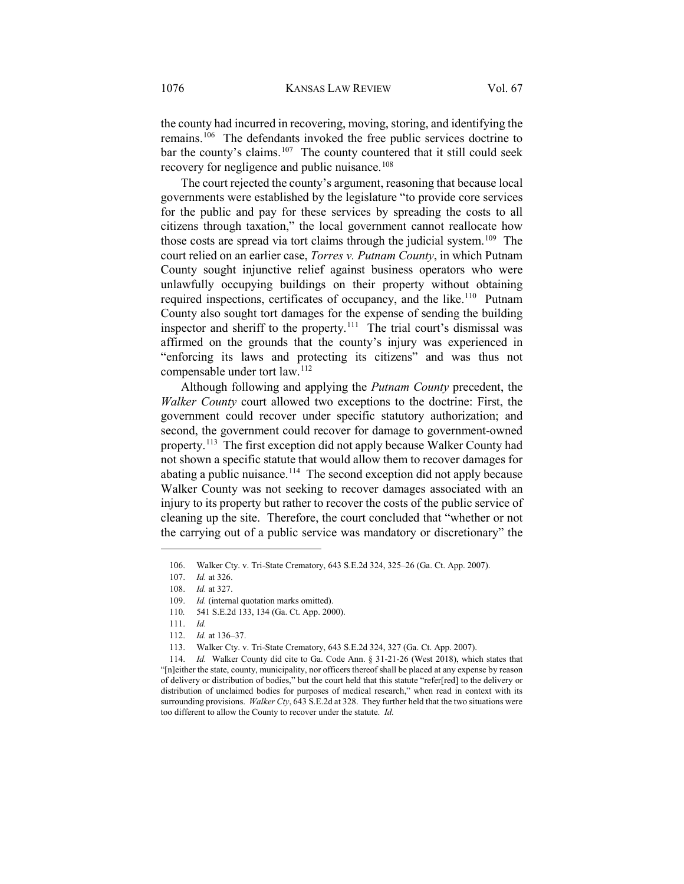<span id="page-15-0"></span>the county had incurred in recovering, moving, storing, and identifying the remains.[106](#page-15-1) The defendants invoked the free public services doctrine to bar the county's claims.<sup>[107](#page-15-2)</sup> The county countered that it still could seek recovery for negligence and public nuisance.<sup>[108](#page-15-3)</sup>

The court rejected the county's argument, reasoning that because local governments were established by the legislature "to provide core services for the public and pay for these services by spreading the costs to all citizens through taxation," the local government cannot reallocate how those costs are spread via tort claims through the judicial system.<sup>109</sup> The court relied on an earlier case, *Torres v. Putnam County*, in which Putnam County sought injunctive relief against business operators who were unlawfully occupying buildings on their property without obtaining required inspections, certificates of occupancy, and the like.<sup>110</sup> Putnam County also sought tort damages for the expense of sending the building inspector and sheriff to the property.[111](#page-15-6) The trial court's dismissal was affirmed on the grounds that the county's injury was experienced in "enforcing its laws and protecting its citizens" and was thus not compensable under tort law.<sup>[112](#page-15-7)</sup>

Although following and applying the *Putnam County* precedent, the *Walker County* court allowed two exceptions to the doctrine: First, the government could recover under specific statutory authorization; and second, the government could recover for damage to government-owned property.[113](#page-15-8) The first exception did not apply because Walker County had not shown a specific statute that would allow them to recover damages for abating a public nuisance.<sup>114</sup> The second exception did not apply because Walker County was not seeking to recover damages associated with an injury to its property but rather to recover the costs of the public service of cleaning up the site. Therefore, the court concluded that "whether or not the carrying out of a public service was mandatory or discretionary" the

<span id="page-15-1"></span><sup>106.</sup> Walker Cty. v. Tri-State Crematory, 643 S.E.2d 324, 325–26 (Ga. Ct. App. 2007).

<span id="page-15-2"></span><sup>107.</sup> *Id.* at 326.

<span id="page-15-3"></span><sup>108.</sup> *Id.* at 327.

<sup>109.</sup> *Id.* (internal quotation marks omitted).

<span id="page-15-4"></span><sup>110</sup>*.* 541 S.E.2d 133, 134 (Ga. Ct. App. 2000).

<sup>111.</sup> *Id.*

<sup>112.</sup> *Id.* at 136–37.

<sup>113.</sup> Walker Cty. v. Tri-State Crematory, 643 S.E.2d 324, 327 (Ga. Ct. App. 2007).

<span id="page-15-9"></span><span id="page-15-8"></span><span id="page-15-7"></span><span id="page-15-6"></span><span id="page-15-5"></span><sup>114.</sup> *Id.* Walker County did cite to Ga. Code Ann. § 31-21-26 (West 2018), which states that "[n]either the state, county, municipality, nor officers thereof shall be placed at any expense by reason of delivery or distribution of bodies," but the court held that this statute "refer[red] to the delivery or distribution of unclaimed bodies for purposes of medical research," when read in context with its surrounding provisions. *Walker Cty*, 643 S.E.2d at 328. They further held that the two situations were too different to allow the County to recover under the statute. *Id.*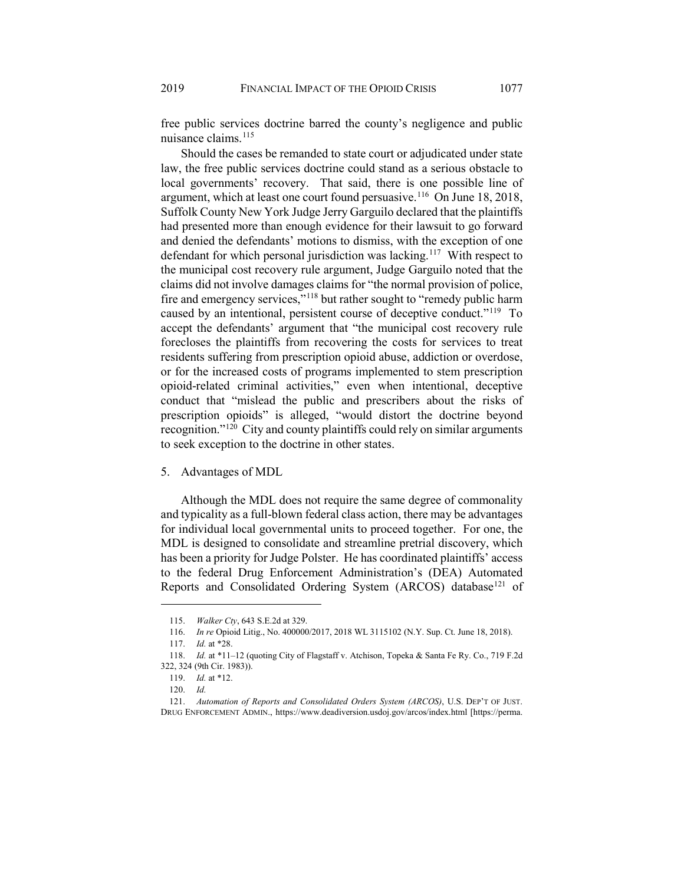<span id="page-16-0"></span>free public services doctrine barred the county's negligence and public nuisance claims.<sup>[115](#page-16-1)</sup>

Should the cases be remanded to state court or adjudicated under state law, the free public services doctrine could stand as a serious obstacle to local governments' recovery. That said, there is one possible line of argument, which at least one court found persuasive.<sup>[116](#page-16-2)</sup> On June 18, 2018, Suffolk County New York Judge Jerry Garguilo declared that the plaintiffs had presented more than enough evidence for their lawsuit to go forward and denied the defendants' motions to dismiss, with the exception of one defendant for which personal jurisdiction was lacking.<sup>117</sup> With respect to the municipal cost recovery rule argument, Judge Garguilo noted that the claims did not involve damages claims for "the normal provision of police, fire and emergency services,"<sup>[118](#page-16-4)</sup> but rather sought to "remedy public harm caused by an intentional, persistent course of deceptive conduct."[119](#page-16-5) To accept the defendants' argument that "the municipal cost recovery rule forecloses the plaintiffs from recovering the costs for services to treat residents suffering from prescription opioid abuse, addiction or overdose, or for the increased costs of programs implemented to stem prescription opioid-related criminal activities," even when intentional, deceptive conduct that "mislead the public and prescribers about the risks of prescription opioids" is alleged, "would distort the doctrine beyond recognition."[120](#page-16-6) City and county plaintiffs could rely on similar arguments to seek exception to the doctrine in other states.

## 5. Advantages of MDL

Although the MDL does not require the same degree of commonality and typicality as a full-blown federal class action, there may be advantages for individual local governmental units to proceed together. For one, the MDL is designed to consolidate and streamline pretrial discovery, which has been a priority for Judge Polster. He has coordinated plaintiffs' access to the federal Drug Enforcement Administration's (DEA) Automated Reports and Consolidated Ordering System (ARCOS) database<sup>121</sup> of

<sup>115.</sup> *Walker Cty*, 643 S.E.2d at 329.

<sup>116.</sup> *In re* Opioid Litig., No. 400000/2017, 2018 WL 3115102 (N.Y. Sup. Ct. June 18, 2018).

<sup>117.</sup> *Id.* at \*28.

<span id="page-16-4"></span><span id="page-16-3"></span><span id="page-16-2"></span><span id="page-16-1"></span><sup>118.</sup> *Id.* at \*11–12 (quoting City of Flagstaff v. Atchison, Topeka & Santa Fe Ry. Co., 719 F.2d 322, 324 (9th Cir. 1983)).

<sup>119.</sup> *Id.* at \*12.

<sup>120.</sup> *Id.*

<span id="page-16-7"></span><span id="page-16-6"></span><span id="page-16-5"></span><sup>121.</sup> *Automation of Reports and Consolidated Orders System (ARCOS)*, U.S. DEP'T OF JUST. DRUG ENFORCEMENT ADMIN., https://www.deadiversion.usdoj.gov/arcos/index.html [https://perma.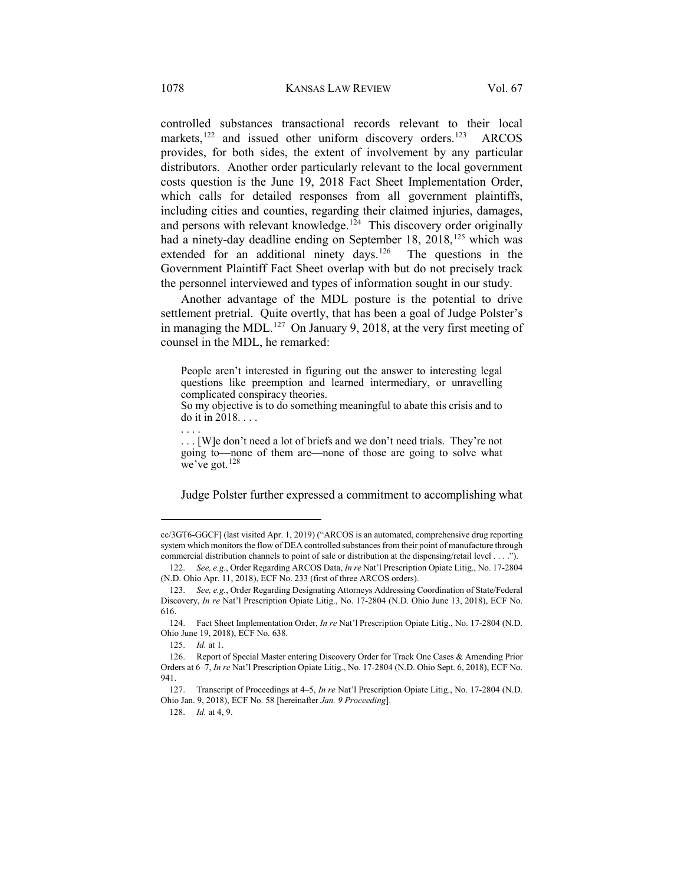controlled substances transactional records relevant to their local markets,<sup>[122](#page-17-0)</sup> and issued other uniform discovery orders.<sup>123</sup> ARCOS provides, for both sides, the extent of involvement by any particular distributors. Another order particularly relevant to the local government costs question is the June 19, 2018 Fact Sheet Implementation Order, which calls for detailed responses from all government plaintiffs, including cities and counties, regarding their claimed injuries, damages, and persons with relevant knowledge.<sup>[124](#page-17-2)</sup> This discovery order originally had a ninety-day deadline ending on September 18, 2018,<sup>[125](#page-17-3)</sup> which was extended for an additional ninety days.<sup>126</sup> The questions in the Government Plaintiff Fact Sheet overlap with but do not precisely track the personnel interviewed and types of information sought in our study.

Another advantage of the MDL posture is the potential to drive settlement pretrial. Quite overtly, that has been a goal of Judge Polster's in managing the MDL.<sup>[127](#page-17-5)</sup> On January 9, 2018, at the very first meeting of counsel in the MDL, he remarked:

<span id="page-17-7"></span>People aren't interested in figuring out the answer to interesting legal questions like preemption and learned intermediary, or unravelling complicated conspiracy theories.

. . . [W]e don't need a lot of briefs and we don't need trials. They're not going to—none of them are—none of those are going to solve what we've got.[128](#page-17-6)

Judge Polster further expressed a commitment to accomplishing what

 $\overline{a}$ 

128. *Id.* at 4, 9.

So my objective is to do something meaningful to abate this crisis and to do it in 2018. . . . . . . .

cc/3GT6-GGCF] (last visited Apr. 1, 2019) ("ARCOS is an automated, comprehensive drug reporting system which monitors the flow of DEA controlled substances from their point of manufacture through commercial distribution channels to point of sale or distribution at the dispensing/retail level . . . .").

<span id="page-17-0"></span><sup>122.</sup> *See, e.g.*, Order Regarding ARCOS Data, *In re* Nat'l Prescription Opiate Litig., No. 17-2804 (N.D. Ohio Apr. 11, 2018), ECF No. 233 (first of three ARCOS orders).

<span id="page-17-1"></span><sup>123.</sup> *See, e.g.*, Order Regarding Designating Attorneys Addressing Coordination of State/Federal Discovery, *In re* Nat'l Prescription Opiate Litig., No. 17-2804 (N.D. Ohio June 13, 2018), ECF No. 616.

<span id="page-17-2"></span><sup>124.</sup> Fact Sheet Implementation Order, *In re* Nat'l Prescription Opiate Litig., No. 17-2804 (N.D. Ohio June 19, 2018), ECF No. 638.

<sup>125.</sup> *Id.* at 1.

<span id="page-17-4"></span><span id="page-17-3"></span><sup>126.</sup> Report of Special Master entering Discovery Order for Track One Cases & Amending Prior Orders at 6–7, *In re* Nat'l Prescription Opiate Litig., No. 17-2804 (N.D. Ohio Sept. 6, 2018), ECF No. 941.

<span id="page-17-6"></span><span id="page-17-5"></span><sup>127.</sup> Transcript of Proceedings at 4–5, *In re* Nat'l Prescription Opiate Litig., No. 17-2804 (N.D. Ohio Jan. 9, 2018), ECF No. 58 [hereinafter *Jan. 9 Proceeding*].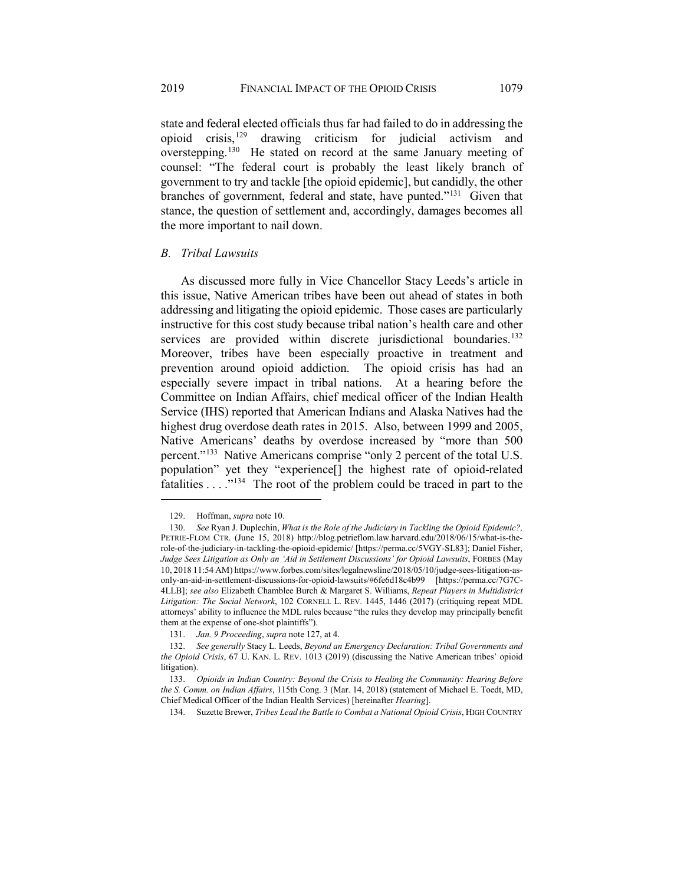state and federal elected officials thus far had failed to do in addressing the opioid crisis,[129](#page-18-0) drawing criticism for judicial activism and overstepping.[130](#page-18-1) He stated on record at the same January meeting of counsel: "The federal court is probably the least likely branch of government to try and tackle [the opioid epidemic], but candidly, the other branches of government, federal and state, have punted."<sup>[131](#page-18-2)</sup> Given that stance, the question of settlement and, accordingly, damages becomes all the more important to nail down.

## *B. Tribal Lawsuits*

As discussed more fully in Vice Chancellor Stacy Leeds's article in this issue, Native American tribes have been out ahead of states in both addressing and litigating the opioid epidemic. Those cases are particularly instructive for this cost study because tribal nation's health care and other services are provided within discrete jurisdictional boundaries.<sup>[132](#page-18-3)</sup> Moreover, tribes have been especially proactive in treatment and prevention around opioid addiction. The opioid crisis has had an especially severe impact in tribal nations. At a hearing before the Committee on Indian Affairs, chief medical officer of the Indian Health Service (IHS) reported that American Indians and Alaska Natives had the highest drug overdose death rates in 2015. Also, between 1999 and 2005, Native Americans' deaths by overdose increased by "more than 500 percent."[133](#page-18-4) Native Americans comprise "only 2 percent of the total U.S. population" yet they "experience[] the highest rate of opioid-related fatalities . . . ."[134](#page-18-5) The root of the problem could be traced in part to the

<span id="page-18-7"></span><span id="page-18-6"></span><sup>129.</sup> Hoffman, *supra* note [10.](#page-3-5)

<span id="page-18-1"></span><span id="page-18-0"></span><sup>130.</sup> *See* Ryan J. Duplechin, *What is the Role of the Judiciary in Tackling the Opioid Epidemic?,*  PETRIE-FLOM CTR. (June 15, 2018) http://blog.petrieflom.law.harvard.edu/2018/06/15/what-is-therole-of-the-judiciary-in-tackling-the-opioid-epidemic/ [https://perma.cc/5VGY-SL83]; Daniel Fisher, *Judge Sees Litigation as Only an 'Aid in Settlement Discussions' for Opioid Lawsuits*, FORBES (May 10, 2018 11:54 AM) https://www.forbes.com/sites/legalnewsline/2018/05/10/judge-sees-litigation-asonly-an-aid-in-settlement-discussions-for-opioid-lawsuits/#6fe6d18c4b99 [https://perma.cc/7G7C-4LLB]; *see also* Elizabeth Chamblee Burch & Margaret S. Williams, *Repeat Players in Multidistrict Litigation: The Social Network*, 102 CORNELL L. REV. 1445, 1446 (2017) (critiquing repeat MDL attorneys' ability to influence the MDL rules because "the rules they develop may principally benefit them at the expense of one-shot plaintiffs").

<sup>131.</sup> *Jan. 9 Proceeding*, *supra* not[e 127,](#page-17-7) at 4.

<span id="page-18-3"></span><span id="page-18-2"></span><sup>132.</sup> *See generally* Stacy L. Leeds, *Beyond an Emergency Declaration: Tribal Governments and the Opioid Crisis*, 67 U. KAN. L. REV. 1013 (2019) (discussing the Native American tribes' opioid litigation).

<span id="page-18-5"></span><span id="page-18-4"></span><sup>133.</sup> *Opioids in Indian Country: Beyond the Crisis to Healing the Community: Hearing Before the S. Comm. on Indian Affairs*, 115th Cong. 3 (Mar. 14, 2018) (statement of Michael E. Toedt, MD, Chief Medical Officer of the Indian Health Services) [hereinafter *Hearing*].

<sup>134.</sup> Suzette Brewer, *Tribes Lead the Battle to Combat a National Opioid Crisis*, HIGH COUNTRY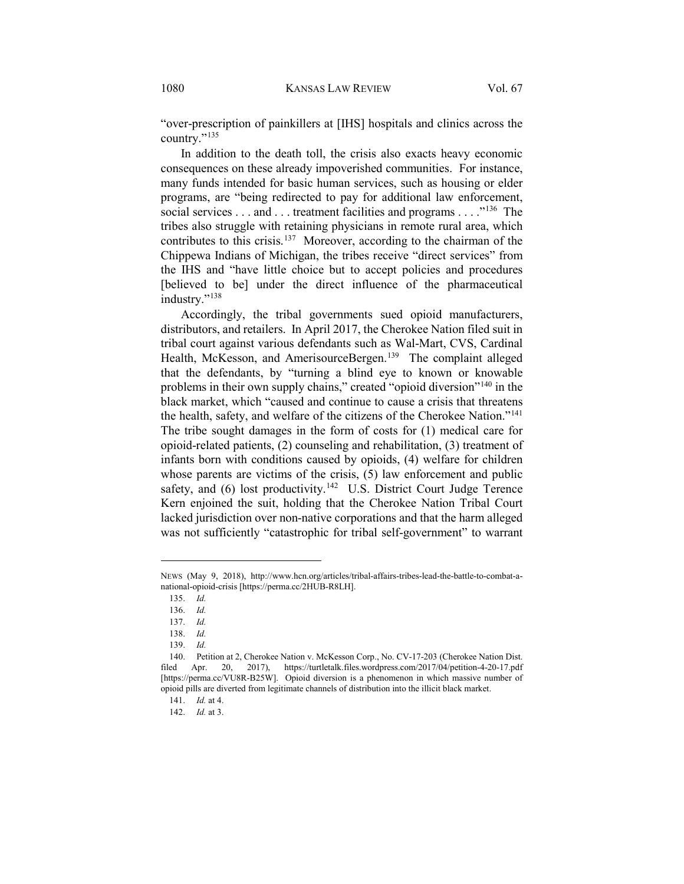"over-prescription of painkillers at [IHS] hospitals and clinics across the country."[135](#page-19-0)

In addition to the death toll, the crisis also exacts heavy economic consequences on these already impoverished communities. For instance, many funds intended for basic human services, such as housing or elder programs, are "being redirected to pay for additional law enforcement, social services . . . and . . . treatment facilities and programs . . . . "<sup>[136](#page-19-1)</sup> The tribes also struggle with retaining physicians in remote rural area, which contributes to this crisis.[137](#page-19-2) Moreover, according to the chairman of the Chippewa Indians of Michigan, the tribes receive "direct services" from the IHS and "have little choice but to accept policies and procedures [believed to be] under the direct influence of the pharmaceutical industry."<sup>[138](#page-19-3)</sup>

Accordingly, the tribal governments sued opioid manufacturers, distributors, and retailers. In April 2017, the Cherokee Nation filed suit in tribal court against various defendants such as Wal-Mart, CVS, Cardinal Health, McKesson, and AmerisourceBergen.<sup>[139](#page-19-4)</sup> The complaint alleged that the defendants, by "turning a blind eye to known or knowable problems in their own supply chains," created "opioid diversion"[140](#page-19-5) in the black market, which "caused and continue to cause a crisis that threatens the health, safety, and welfare of the citizens of the Cherokee Nation."[141](#page-19-6) The tribe sought damages in the form of costs for (1) medical care for opioid-related patients, (2) counseling and rehabilitation, (3) treatment of infants born with conditions caused by opioids, (4) welfare for children whose parents are victims of the crisis, (5) law enforcement and public safety, and (6) lost productivity.<sup>142</sup> U.S. District Court Judge Terence Kern enjoined the suit, holding that the Cherokee Nation Tribal Court lacked jurisdiction over non-native corporations and that the harm alleged was not sufficiently "catastrophic for tribal self-government" to warrant

<span id="page-19-1"></span><span id="page-19-0"></span>NEWS (May 9, 2018), http://www.hcn.org/articles/tribal-affairs-tribes-lead-the-battle-to-combat-anational-opioid-crisis [https://perma.cc/2HUB-R8LH].

<sup>135.</sup> *Id.*

<sup>136.</sup> *Id.*

<sup>137.</sup> *Id.*

<sup>138.</sup> *Id.*

<sup>139.</sup> *Id.*

<span id="page-19-6"></span><span id="page-19-5"></span><span id="page-19-4"></span><span id="page-19-3"></span><span id="page-19-2"></span><sup>140.</sup> Petition at 2, Cherokee Nation v. McKesson Corp., No. CV-17-203 (Cherokee Nation Dist. filed Apr. 20, 2017), https://turtletalk.files.wordpress.com/2017/04/petition-4-20-17.pdf [https://perma.cc/VU8R-B25W]. Opioid diversion is a phenomenon in which massive number of opioid pills are diverted from legitimate channels of distribution into the illicit black market.

<sup>141.</sup> *Id.* at 4.

<span id="page-19-7"></span><sup>142.</sup> *Id.* at 3.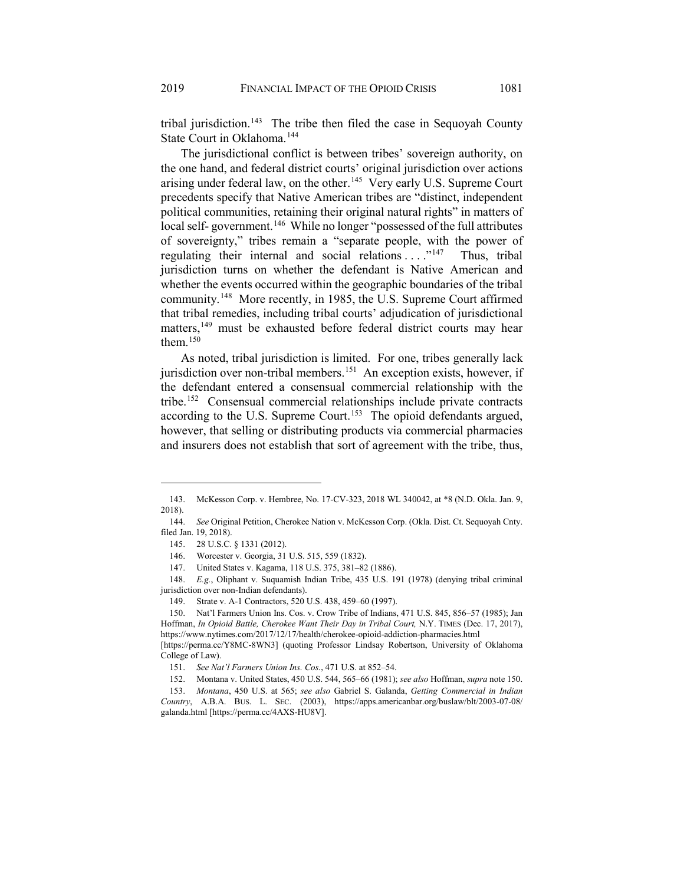tribal jurisdiction.<sup>143</sup> The tribe then filed the case in Sequoyah County State Court in Oklahoma.<sup>[144](#page-20-2)</sup>

The jurisdictional conflict is between tribes' sovereign authority, on the one hand, and federal district courts' original jurisdiction over actions arising under federal law, on the other.<sup>145</sup> Very early U.S. Supreme Court precedents specify that Native American tribes are "distinct, independent political communities, retaining their original natural rights" in matters of local self- government.<sup>[146](#page-20-4)</sup> While no longer "possessed of the full attributes of sovereignty," tribes remain a "separate people, with the power of regulating their internal and social relations  $\dots$ <sup>[147](#page-20-5)</sup> Thus, tribal jurisdiction turns on whether the defendant is Native American and whether the events occurred within the geographic boundaries of the tribal community.[148](#page-20-6) More recently, in 1985, the U.S. Supreme Court affirmed that tribal remedies, including tribal courts' adjudication of jurisdictional matters,<sup>[149](#page-20-7)</sup> must be exhausted before federal district courts may hear them. $150$ 

<span id="page-20-0"></span>As noted, tribal jurisdiction is limited. For one, tribes generally lack jurisdiction over non-tribal members.<sup>151</sup> An exception exists, however, if the defendant entered a consensual commercial relationship with the tribe[.152](#page-20-10) Consensual commercial relationships include private contracts according to the U.S. Supreme Court.<sup>153</sup> The opioid defendants argued, however, that selling or distributing products via commercial pharmacies and insurers does not establish that sort of agreement with the tribe, thus,

 $\overline{a}$ 

<span id="page-20-6"></span><span id="page-20-5"></span><span id="page-20-4"></span>148. *E.g.*, Oliphant v. Suquamish Indian Tribe, 435 U.S. 191 (1978) (denying tribal criminal jurisdiction over non-Indian defendants).

<span id="page-20-1"></span><sup>143.</sup> McKesson Corp. v. Hembree, No. 17-CV-323, 2018 WL 340042, at \*8 (N.D. Okla. Jan. 9, 2018).

<span id="page-20-3"></span><span id="page-20-2"></span><sup>144.</sup> *See* Original Petition, Cherokee Nation v. McKesson Corp. (Okla. Dist. Ct. Sequoyah Cnty. filed Jan. 19, 2018).

<sup>145. 28</sup> U.S.C. § 1331 (2012).

<sup>146.</sup> Worcester v. Georgia, 31 U.S. 515, 559 (1832).

<sup>147.</sup> United States v. Kagama, 118 U.S. 375, 381–82 (1886).

<sup>149.</sup> Strate v. A-1 Contractors, 520 U.S. 438, 459–60 (1997).

<span id="page-20-8"></span><span id="page-20-7"></span><sup>150.</sup> Nat'l Farmers Union Ins. Cos. v. Crow Tribe of Indians, 471 U.S. 845, 856–57 (1985); Jan Hoffman, *In Opioid Battle, Cherokee Want Their Day in Tribal Court,* N.Y. TIMES (Dec. 17, 2017), https://www.nytimes.com/2017/12/17/health/cherokee-opioid-addiction-pharmacies.html [https://perma.cc/Y8MC-8WN3] (quoting Professor Lindsay Robertson, University of Oklahoma

<span id="page-20-9"></span>College of Law).

<sup>151.</sup> *See Nat'l Farmers Union Ins. Cos.*, 471 U.S. at 852–54.

<sup>152.</sup> Montana v. United States, 450 U.S. 544, 565–66 (1981); *see also* Hoffman, *supra* not[e 150.](#page-20-0)

<span id="page-20-11"></span><span id="page-20-10"></span><sup>153.</sup> *Montana*, 450 U.S. at 565; *see also* Gabriel S. Galanda, *Getting Commercial in Indian Country*, A.B.A. BUS. L. SEC. (2003), https://apps.americanbar.org/buslaw/blt/2003-07-08/ galanda.html [https://perma.cc/4AXS-HU8V].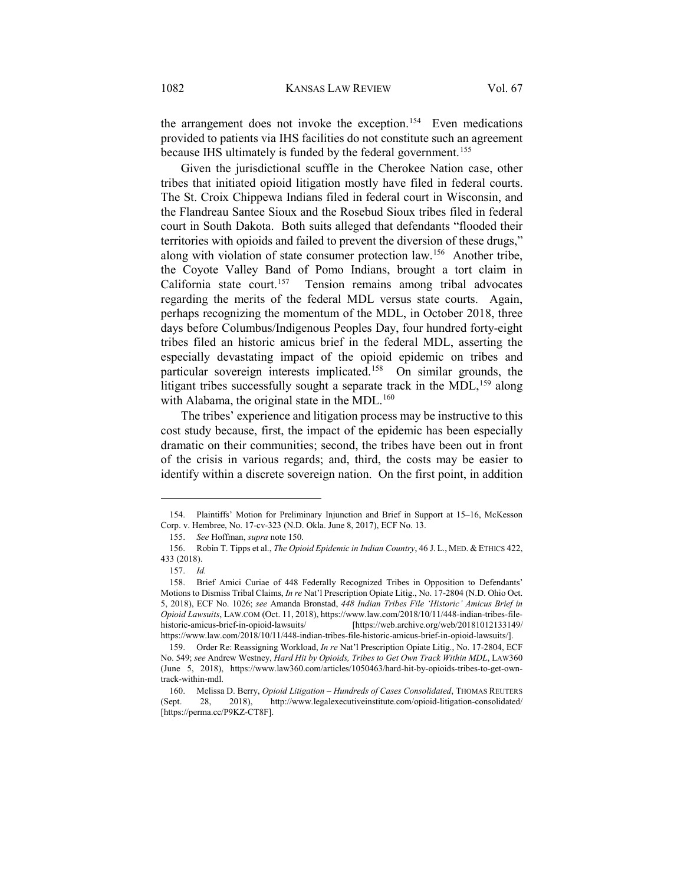the arrangement does not invoke the exception.<sup>154</sup> Even medications provided to patients via IHS facilities do not constitute such an agreement because IHS ultimately is funded by the federal government.<sup>[155](#page-21-1)</sup>

<span id="page-21-7"></span>Given the jurisdictional scuffle in the Cherokee Nation case, other tribes that initiated opioid litigation mostly have filed in federal courts. The St. Croix Chippewa Indians filed in federal court in Wisconsin, and the Flandreau Santee Sioux and the Rosebud Sioux tribes filed in federal court in South Dakota. Both suits alleged that defendants "flooded their territories with opioids and failed to prevent the diversion of these drugs," along with violation of state consumer protection law.<sup>[156](#page-21-2)</sup> Another tribe, the Coyote Valley Band of Pomo Indians, brought a tort claim in California state court.[157](#page-21-3) Tension remains among tribal advocates regarding the merits of the federal MDL versus state courts. Again, perhaps recognizing the momentum of the MDL, in October 2018, three days before Columbus/Indigenous Peoples Day, four hundred forty-eight tribes filed an historic amicus brief in the federal MDL, asserting the especially devastating impact of the opioid epidemic on tribes and particular sovereign interests implicated.[158](#page-21-4) On similar grounds, the litigant tribes successfully sought a separate track in the MDL,<sup>159</sup> along with Alabama, the original state in the MDL. $160$ 

The tribes' experience and litigation process may be instructive to this cost study because, first, the impact of the epidemic has been especially dramatic on their communities; second, the tribes have been out in front of the crisis in various regards; and, third, the costs may be easier to identify within a discrete sovereign nation. On the first point, in addition

<span id="page-21-1"></span><span id="page-21-0"></span><sup>154.</sup> Plaintiffs' Motion for Preliminary Injunction and Brief in Support at 15–16, McKesson Corp. v. Hembree, No. 17-cv-323 (N.D. Okla. June 8, 2017), ECF No. 13.

<sup>155.</sup> *See* Hoffman, *supra* not[e 150.](#page-20-0)

<span id="page-21-2"></span><sup>156.</sup> Robin T. Tipps et al., *The Opioid Epidemic in Indian Country*, 46 J. L., MED. & ETHICS 422, 433 (2018).

<sup>157.</sup> *Id.*

<span id="page-21-4"></span><span id="page-21-3"></span><sup>158.</sup> Brief Amici Curiae of 448 Federally Recognized Tribes in Opposition to Defendants' Motions to Dismiss Tribal Claims, *In re* Nat'l Prescription Opiate Litig., No. 17-2804 (N.D. Ohio Oct. 5, 2018), ECF No. 1026; *see* Amanda Bronstad, *448 Indian Tribes File 'Historic' Amicus Brief in Opioid Lawsuits*, LAW.COM (Oct. 11, 2018), https://www.law.com/2018/10/11/448-indian-tribes-file-<br>historic-amicus-brief-in-opioid-lawsuits/ [https://web.archive.org/web/20181012133149/ [https://web.archive.org/web/20181012133149/ https://www.law.com/2018/10/11/448-indian-tribes-file-historic-amicus-brief-in-opioid-lawsuits/].

<span id="page-21-5"></span><sup>159.</sup> Order Re: Reassigning Workload, *In re* Nat'l Prescription Opiate Litig., No. 17-2804, ECF No. 549; *see* Andrew Westney, *Hard Hit by Opioids, Tribes to Get Own Track Within MDL*, LAW360 (June 5, 2018), https://www.law360.com/articles/1050463/hard-hit-by-opioids-tribes-to-get-owntrack-within-mdl.

<span id="page-21-6"></span><sup>160.</sup> Melissa D. Berry, *Opioid Litigation – Hundreds of Cases Consolidated*, THOMAS REUTERS (Sept. 28, 2018), http://www.legalexecutiveinstitute.com/opioid-litigation-consolidated/ [https://perma.cc/P9KZ-CT8F].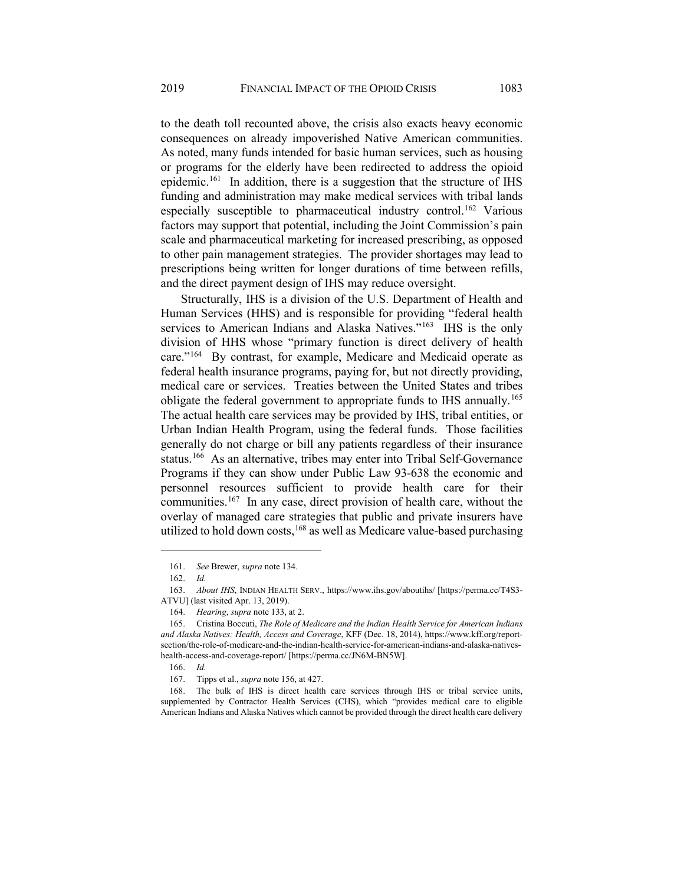to the death toll recounted above, the crisis also exacts heavy economic consequences on already impoverished Native American communities. As noted, many funds intended for basic human services, such as housing or programs for the elderly have been redirected to address the opioid epidemic.<sup>[161](#page-22-0)</sup> In addition, there is a suggestion that the structure of IHS funding and administration may make medical services with tribal lands especially susceptible to pharmaceutical industry control.<sup>[162](#page-22-1)</sup> Various factors may support that potential, including the Joint Commission's pain scale and pharmaceutical marketing for increased prescribing, as opposed to other pain management strategies. The provider shortages may lead to prescriptions being written for longer durations of time between refills, and the direct payment design of IHS may reduce oversight.

Structurally, IHS is a division of the U.S. Department of Health and Human Services (HHS) and is responsible for providing "federal health services to American Indians and Alaska Natives."<sup>[163](#page-22-2)</sup> IHS is the only division of HHS whose "primary function is direct delivery of health care.["164](#page-22-3) By contrast, for example, Medicare and Medicaid operate as federal health insurance programs, paying for, but not directly providing, medical care or services. Treaties between the United States and tribes obligate the federal government to appropriate funds to IHS annually.<sup>[165](#page-22-4)</sup> The actual health care services may be provided by IHS, tribal entities, or Urban Indian Health Program, using the federal funds. Those facilities generally do not charge or bill any patients regardless of their insurance status.[166](#page-22-5) As an alternative, tribes may enter into Tribal Self-Governance Programs if they can show under Public Law 93-638 the economic and personnel resources sufficient to provide health care for their communities.[167](#page-22-6) In any case, direct provision of health care, without the overlay of managed care strategies that public and private insurers have utilized to hold down costs,  $168$  as well as Medicare value-based purchasing

<sup>161.</sup> *See* Brewer, *supra* not[e 134](#page-18-6)*.*

<sup>162.</sup> *Id.*

<span id="page-22-2"></span><span id="page-22-1"></span><span id="page-22-0"></span><sup>163.</sup> *About IHS*, INDIAN HEALTH SERV., https://www.ihs.gov/aboutihs/ [https://perma.cc/T4S3- ATVU] (last visited Apr. 13, 2019).

<sup>164.</sup> *Hearing*, *supra* not[e 133,](#page-18-7) at 2.

<span id="page-22-4"></span><span id="page-22-3"></span><sup>165.</sup> Cristina Boccuti, *The Role of Medicare and the Indian Health Service for American Indians and Alaska Natives: Health, Access and Coverage*, KFF (Dec. 18, 2014), https://www.kff.org/reportsection/the-role-of-medicare-and-the-indian-health-service-for-american-indians-and-alaska-nativeshealth-access-and-coverage-report/ [https://perma.cc/JN6M-BN5W].

<sup>166.</sup> *Id.*

<sup>167.</sup> Tipps et al., *supra* note [156,](#page-21-7) at 427.

<span id="page-22-7"></span><span id="page-22-6"></span><span id="page-22-5"></span><sup>168.</sup> The bulk of IHS is direct health care services through IHS or tribal service units, supplemented by Contractor Health Services (CHS), which "provides medical care to eligible American Indians and Alaska Natives which cannot be provided through the direct health care delivery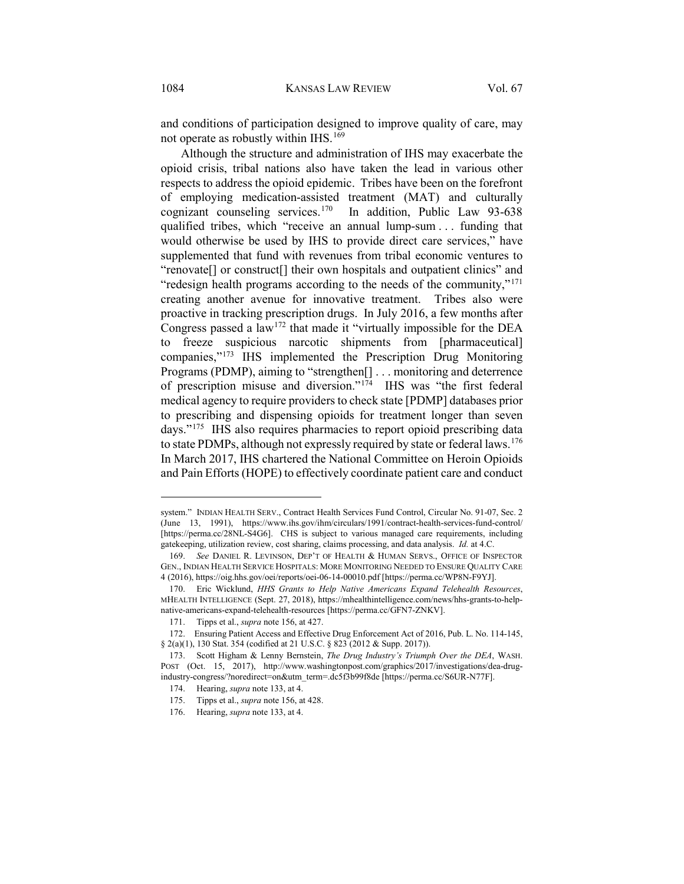and conditions of participation designed to improve quality of care, may not operate as robustly within IHS.<sup>[169](#page-23-0)</sup>

Although the structure and administration of IHS may exacerbate the opioid crisis, tribal nations also have taken the lead in various other respects to address the opioid epidemic. Tribes have been on the forefront of employing medication-assisted treatment (MAT) and culturally cognizant counseling services.<sup>170</sup> In addition, Public Law  $93-638$ qualified tribes, which "receive an annual lump-sum . . . funding that would otherwise be used by IHS to provide direct care services," have supplemented that fund with revenues from tribal economic ventures to "renovate[] or construct[] their own hospitals and outpatient clinics" and "redesign health programs according to the needs of the community,"<sup>[171](#page-23-2)</sup> creating another avenue for innovative treatment. Tribes also were proactive in tracking prescription drugs. In July 2016, a few months after Congress passed a law<sup>[172](#page-23-3)</sup> that made it "virtually impossible for the DEA to freeze suspicious narcotic shipments from [pharmaceutical] companies,"[173](#page-23-4) IHS implemented the Prescription Drug Monitoring Programs (PDMP), aiming to "strengthen[] . . . monitoring and deterrence of prescription misuse and diversion."[174](#page-23-5) IHS was "the first federal medical agency to require providers to check state [PDMP] databases prior to prescribing and dispensing opioids for treatment longer than seven days."[175](#page-23-6) IHS also requires pharmacies to report opioid prescribing data to state PDMPs, although not expressly required by state or federal laws.[176](#page-23-7) In March 2017, IHS chartered the National Committee on Heroin Opioids and Pain Efforts (HOPE) to effectively coordinate patient care and conduct

system." INDIAN HEALTH SERV., Contract Health Services Fund Control, Circular No. 91-07, Sec. 2 (June 13, 1991), https://www.ihs.gov/ihm/circulars/1991/contract-health-services-fund-control/ [https://perma.cc/28NL-S4G6]. CHS is subject to various managed care requirements, including gatekeeping, utilization review, cost sharing, claims processing, and data analysis. *Id.* at 4.C.

<span id="page-23-0"></span><sup>169.</sup> *See* DANIEL R. LEVINSON, DEP'T OF HEALTH & HUMAN SERVS., OFFICE OF INSPECTOR GEN., INDIAN HEALTH SERVICE HOSPITALS: MORE MONITORING NEEDED TO ENSURE QUALITY CARE 4 (2016), https://oig.hhs.gov/oei/reports/oei-06-14-00010.pdf [https://perma.cc/WP8N-F9YJ].

<span id="page-23-1"></span><sup>170.</sup> Eric Wicklund, *HHS Grants to Help Native Americans Expand Telehealth Resources*, MHEALTH INTELLIGENCE (Sept. 27, 2018), https://mhealthintelligence.com/news/hhs-grants-to-helpnative-americans-expand-telehealth-resources [https://perma.cc/GFN7-ZNKV].

<sup>171.</sup> Tipps et al., *supra* note [156,](#page-21-7) at 427.

<span id="page-23-3"></span><span id="page-23-2"></span><sup>172.</sup> Ensuring Patient Access and Effective Drug Enforcement Act of 2016, Pub. L. No. 114-145, § 2(a)(1), 130 Stat. 354 (codified at 21 U.S.C. § 823 (2012 & Supp. 2017)).

<span id="page-23-7"></span><span id="page-23-6"></span><span id="page-23-5"></span><span id="page-23-4"></span><sup>173.</sup> Scott Higham & Lenny Bernstein, *The Drug Industry's Triumph Over the DEA*, WASH. POST (Oct. 15, 2017), http://www.washingtonpost.com/graphics/2017/investigations/dea-drugindustry-congress/?noredirect=on&utm\_term=.dc5f3b99f8de [https://perma.cc/S6UR-N77F].

<sup>174.</sup> Hearing, *supra* note [133,](#page-18-7) at 4.

<sup>175.</sup> Tipps et al., *supra* note [156,](#page-21-7) at 428.

<sup>176.</sup> Hearing, *supra* note [133,](#page-18-7) at 4.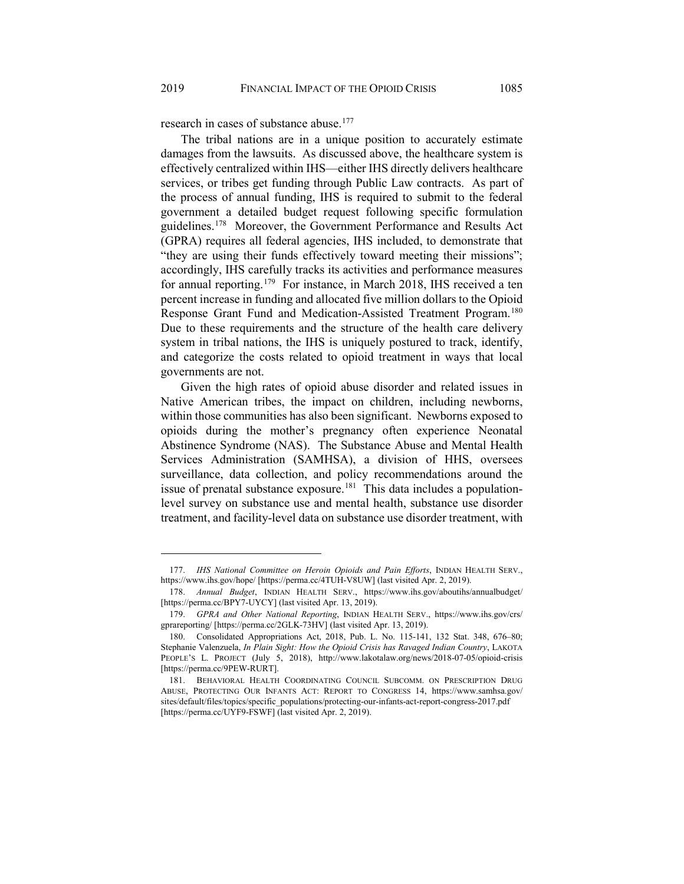research in cases of substance abuse[.177](#page-24-0)

The tribal nations are in a unique position to accurately estimate damages from the lawsuits. As discussed above, the healthcare system is effectively centralized within IHS—either IHS directly delivers healthcare services, or tribes get funding through Public Law contracts. As part of the process of annual funding, IHS is required to submit to the federal government a detailed budget request following specific formulation guidelines[.178](#page-24-1) Moreover, the Government Performance and Results Act (GPRA) requires all federal agencies, IHS included, to demonstrate that "they are using their funds effectively toward meeting their missions"; accordingly, IHS carefully tracks its activities and performance measures for annual reporting.[179](#page-24-2) For instance, in March 2018, IHS received a ten percent increase in funding and allocated five million dollars to the Opioid Response Grant Fund and Medication-Assisted Treatment Program.<sup>[180](#page-24-3)</sup> Due to these requirements and the structure of the health care delivery system in tribal nations, the IHS is uniquely postured to track, identify, and categorize the costs related to opioid treatment in ways that local governments are not.

Given the high rates of opioid abuse disorder and related issues in Native American tribes, the impact on children, including newborns, within those communities has also been significant. Newborns exposed to opioids during the mother's pregnancy often experience Neonatal Abstinence Syndrome (NAS). The Substance Abuse and Mental Health Services Administration (SAMHSA), a division of HHS, oversees surveillance, data collection, and policy recommendations around the issue of prenatal substance exposure.<sup>[181](#page-24-4)</sup> This data includes a populationlevel survey on substance use and mental health, substance use disorder treatment, and facility-level data on substance use disorder treatment, with

<span id="page-24-0"></span><sup>177.</sup> *IHS National Committee on Heroin Opioids and Pain Efforts*, INDIAN HEALTH SERV., https://www.ihs.gov/hope/ [https://perma.cc/4TUH-V8UW] (last visited Apr. 2, 2019).

<span id="page-24-1"></span><sup>178.</sup> *Annual Budget*, INDIAN HEALTH SERV., https://www.ihs.gov/aboutihs/annualbudget/ [https://perma.cc/BPY7-UYCY] (last visited Apr. 13, 2019).

<span id="page-24-2"></span><sup>179.</sup> *GPRA and Other National Reporting*, INDIAN HEALTH SERV., https://www.ihs.gov/crs/ gprareporting/ [https://perma.cc/2GLK-73HV] (last visited Apr. 13, 2019).

<span id="page-24-3"></span><sup>180.</sup> Consolidated Appropriations Act, 2018, Pub. L. No. 115-141, 132 Stat. 348, 676–80; Stephanie Valenzuela, *In Plain Sight: How the Opioid Crisis has Ravaged Indian Country*, LAKOTA PEOPLE'S L. PROJECT (July 5, 2018), http://www.lakotalaw.org/news/2018-07-05/opioid-crisis [https://perma.cc/9PEW-RURT].

<span id="page-24-4"></span><sup>181.</sup> BEHAVIORAL HEALTH COORDINATING COUNCIL SUBCOMM. ON PRESCRIPTION DRUG ABUSE, PROTECTING OUR INFANTS ACT: REPORT TO CONGRESS 14, https://www.samhsa.gov/ sites/default/files/topics/specific\_populations/protecting-our-infants-act-report-congress-2017.pdf [https://perma.cc/UYF9-FSWF] (last visited Apr. 2, 2019).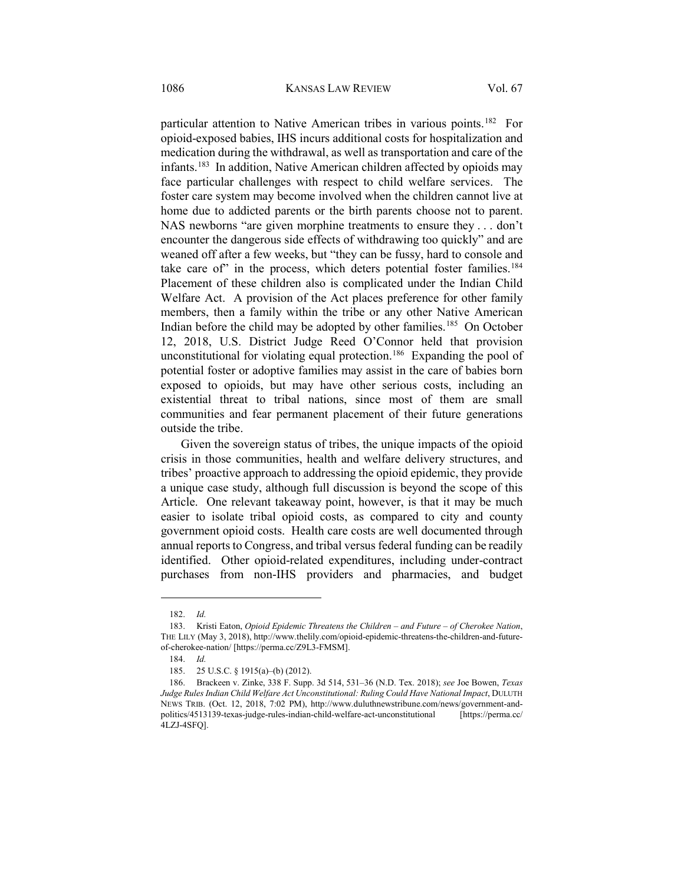particular attention to Native American tribes in various points.<sup>[182](#page-25-0)</sup> For opioid-exposed babies, IHS incurs additional costs for hospitalization and medication during the withdrawal, as well as transportation and care of the infants.[183](#page-25-1) In addition, Native American children affected by opioids may face particular challenges with respect to child welfare services. The foster care system may become involved when the children cannot live at home due to addicted parents or the birth parents choose not to parent. NAS newborns "are given morphine treatments to ensure they . . . don't encounter the dangerous side effects of withdrawing too quickly" and are weaned off after a few weeks, but "they can be fussy, hard to console and take care of" in the process, which deters potential foster families.<sup>[184](#page-25-2)</sup> Placement of these children also is complicated under the Indian Child Welfare Act. A provision of the Act places preference for other family members, then a family within the tribe or any other Native American Indian before the child may be adopted by other families.<sup>[185](#page-25-3)</sup> On October 12, 2018, U.S. District Judge Reed O'Connor held that provision unconstitutional for violating equal protection.<sup>186</sup> Expanding the pool of potential foster or adoptive families may assist in the care of babies born exposed to opioids, but may have other serious costs, including an existential threat to tribal nations, since most of them are small communities and fear permanent placement of their future generations outside the tribe.

Given the sovereign status of tribes, the unique impacts of the opioid crisis in those communities, health and welfare delivery structures, and tribes' proactive approach to addressing the opioid epidemic, they provide a unique case study, although full discussion is beyond the scope of this Article. One relevant takeaway point, however, is that it may be much easier to isolate tribal opioid costs, as compared to city and county government opioid costs. Health care costs are well documented through annual reports to Congress, and tribal versus federal funding can be readily identified. Other opioid-related expenditures, including under-contract purchases from non-IHS providers and pharmacies, and budget

<sup>182.</sup> *Id.*

<span id="page-25-2"></span><span id="page-25-1"></span><span id="page-25-0"></span><sup>183.</sup> Kristi Eaton, *Opioid Epidemic Threatens the Children – and Future – of Cherokee Nation*, THE LILY (May 3, 2018), http://www.thelily.com/opioid-epidemic-threatens-the-children-and-futureof-cherokee-nation/ [https://perma.cc/Z9L3-FMSM].

<sup>184.</sup> *Id.*

<sup>185. 25</sup> U.S.C. § 1915(a)–(b) (2012).

<span id="page-25-4"></span><span id="page-25-3"></span><sup>186.</sup> Brackeen v. Zinke, 338 F. Supp. 3d 514, 531–36 (N.D. Tex. 2018); *see* Joe Bowen, *Texas Judge Rules Indian Child Welfare Act Unconstitutional: Ruling Could Have National Impact*, DULUTH NEWS TRIB. (Oct. 12, 2018, 7:02 PM), http://www.duluthnewstribune.com/news/government-andpolitics/4513139-texas-judge-rules-indian-child-welfare-act-unconstitutional [https://perma.cc/ 4LZJ-4SFQ].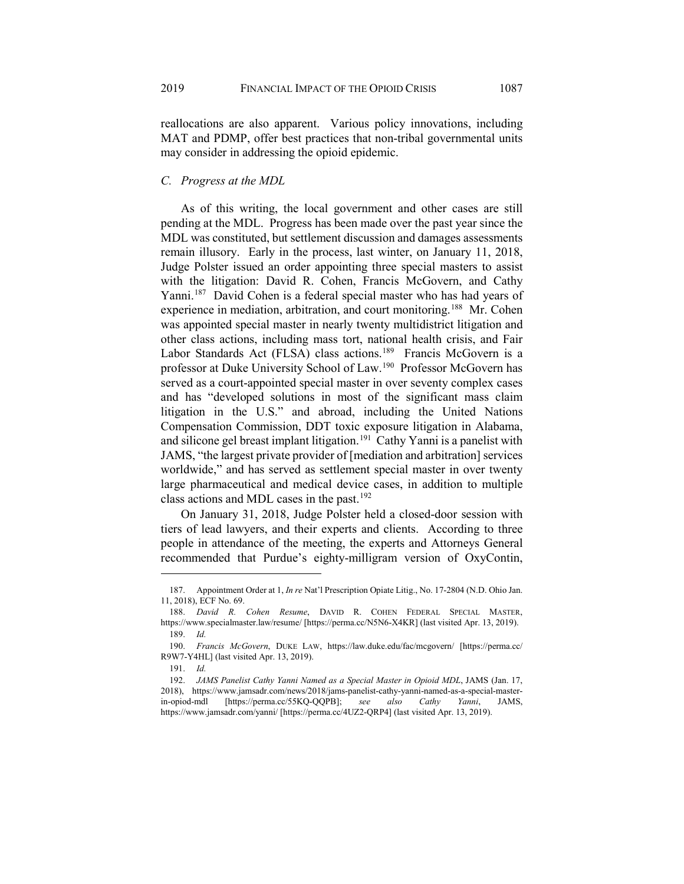reallocations are also apparent. Various policy innovations, including MAT and PDMP, offer best practices that non-tribal governmental units may consider in addressing the opioid epidemic.

## *C. Progress at the MDL*

As of this writing, the local government and other cases are still pending at the MDL. Progress has been made over the past year since the MDL was constituted, but settlement discussion and damages assessments remain illusory. Early in the process, last winter, on January 11, 2018, Judge Polster issued an order appointing three special masters to assist with the litigation: David R. Cohen, Francis McGovern, and Cathy Yanni.<sup>187</sup> David Cohen is a federal special master who has had years of experience in mediation, arbitration, and court monitoring.<sup>[188](#page-26-1)</sup> Mr. Cohen was appointed special master in nearly twenty multidistrict litigation and other class actions, including mass tort, national health crisis, and Fair Labor Standards Act (FLSA) class actions.<sup>189</sup> Francis McGovern is a professor at Duke University School of Law[.190](#page-26-3) Professor McGovern has served as a court-appointed special master in over seventy complex cases and has "developed solutions in most of the significant mass claim litigation in the U.S." and abroad, including the United Nations Compensation Commission, DDT toxic exposure litigation in Alabama, and silicone gel breast implant litigation.<sup>191</sup> Cathy Yanni is a panelist with JAMS, "the largest private provider of [mediation and arbitration] services worldwide," and has served as settlement special master in over twenty large pharmaceutical and medical device cases, in addition to multiple class actions and MDL cases in the past.<sup>[192](#page-26-5)</sup>

On January 31, 2018, Judge Polster held a closed-door session with tiers of lead lawyers, and their experts and clients. According to three people in attendance of the meeting, the experts and Attorneys General recommended that Purdue's eighty-milligram version of OxyContin,

<span id="page-26-0"></span><sup>187.</sup> Appointment Order at 1, *In re* Nat'l Prescription Opiate Litig., No. 17-2804 (N.D. Ohio Jan. 11, 2018), ECF No. 69.

<span id="page-26-1"></span><sup>188.</sup> *David R. Cohen Resume*, DAVID R. COHEN FEDERAL SPECIAL MASTER, https://www.specialmaster.law/resume/ [https://perma.cc/N5N6-X4KR] (last visited Apr. 13, 2019). 189. *Id.*

<span id="page-26-3"></span><span id="page-26-2"></span><sup>190.</sup> *Francis McGovern*, DUKE LAW, https://law.duke.edu/fac/mcgovern/ [https://perma.cc/ R9W7-Y4HL] (last visited Apr. 13, 2019).

<sup>191.</sup> *Id.*

<span id="page-26-5"></span><span id="page-26-4"></span><sup>192.</sup> *JAMS Panelist Cathy Yanni Named as a Special Master in Opioid MDL*, JAMS (Jan. 17, 2018), https://www.jamsadr.com/news/2018/jams-panelist-cathy-yanni-named-as-a-special-masterin-opiod-mdl [https://perma.cc/55KQ-QQPB]; *see also Cathy Yanni*, JAMS, https://www.jamsadr.com/yanni/ [https://perma.cc/4UZ2-QRP4] (last visited Apr. 13, 2019).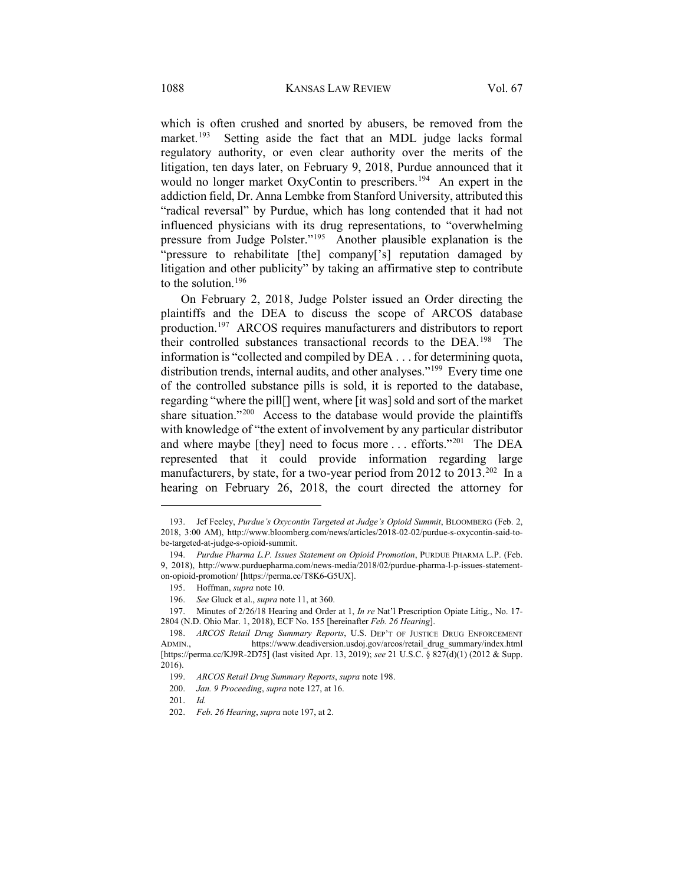which is often crushed and snorted by abusers, be removed from the market.<sup>[193](#page-27-2)</sup> Setting aside the fact that an MDL judge lacks formal regulatory authority, or even clear authority over the merits of the litigation, ten days later, on February 9, 2018, Purdue announced that it would no longer market OxyContin to prescribers.<sup>194</sup> An expert in the addiction field, Dr. Anna Lembke from Stanford University, attributed this "radical reversal" by Purdue, which has long contended that it had not influenced physicians with its drug representations, to "overwhelming pressure from Judge Polster."[195](#page-27-4) Another plausible explanation is the "pressure to rehabilitate [the] company['s] reputation damaged by litigation and other publicity" by taking an affirmative step to contribute to the solution.[196](#page-27-5)

<span id="page-27-1"></span><span id="page-27-0"></span>On February 2, 2018, Judge Polster issued an Order directing the plaintiffs and the DEA to discuss the scope of ARCOS database production.[197](#page-27-6) ARCOS requires manufacturers and distributors to report their controlled substances transactional records to the DEA.<sup>[198](#page-27-7)</sup> The information is "collected and compiled by DEA . . . for determining quota, distribution trends, internal audits, and other analyses."<sup>[199](#page-27-8)</sup> Every time one of the controlled substance pills is sold, it is reported to the database, regarding "where the pill[] went, where [it was] sold and sort of the market share situation."<sup>200</sup> Access to the database would provide the plaintiffs with knowledge of "the extent of involvement by any particular distributor and where maybe [they] need to focus more . . . efforts."[201](#page-27-10) The DEA represented that it could provide information regarding large manufacturers, by state, for a two-year period from 2012 to 2013.<sup>[202](#page-27-11)</sup> In a hearing on February 26, 2018, the court directed the attorney for

<span id="page-27-10"></span>201. *Id.*

<span id="page-27-2"></span><sup>193.</sup> Jef Feeley, *Purdue's Oxycontin Targeted at Judge's Opioid Summit*, BLOOMBERG (Feb. 2, 2018, 3:00 AM), http://www.bloomberg.com/news/articles/2018-02-02/purdue-s-oxycontin-said-tobe-targeted-at-judge-s-opioid-summit.

<span id="page-27-3"></span><sup>194.</sup> *Purdue Pharma L.P. Issues Statement on Opioid Promotion*, PURDUE PHARMA L.P. (Feb. 9, 2018), http://www.purduepharma.com/news-media/2018/02/purdue-pharma-l-p-issues-statementon-opioid-promotion/ [https://perma.cc/T8K6-G5UX].

<sup>195.</sup> Hoffman, *supra* note [10.](#page-3-5)

<sup>196.</sup> *See* Gluck et al., *supra* not[e 11,](#page-3-0) at 360.

<span id="page-27-6"></span><span id="page-27-5"></span><span id="page-27-4"></span><sup>197.</sup> Minutes of 2/26/18 Hearing and Order at 1, *In re* Nat'l Prescription Opiate Litig., No. 17- 2804 (N.D. Ohio Mar. 1, 2018), ECF No. 155 [hereinafter *Feb. 26 Hearing*].

<span id="page-27-8"></span><span id="page-27-7"></span><sup>198.</sup> *ARCOS Retail Drug Summary Reports*, U.S. DEP'T OF JUSTICE DRUG ENFORCEMENT ADMIN., https://www.deadiversion.usdoj.gov/arcos/retail\_drug\_summary/index.html [https://perma.cc/KJ9R-2D75] (last visited Apr. 13, 2019); *see* 21 U.S.C. § 827(d)(1) (2012 & Supp. 2016).

<sup>199.</sup> *ARCOS Retail Drug Summary Reports*, *supra* not[e 198.](#page-27-0)

<span id="page-27-9"></span><sup>200.</sup> *Jan. 9 Proceeding*, *supra* not[e 127,](#page-17-7) at 16.

<span id="page-27-11"></span><sup>202.</sup> *Feb. 26 Hearing*, *supra* not[e 197,](#page-27-1) at 2.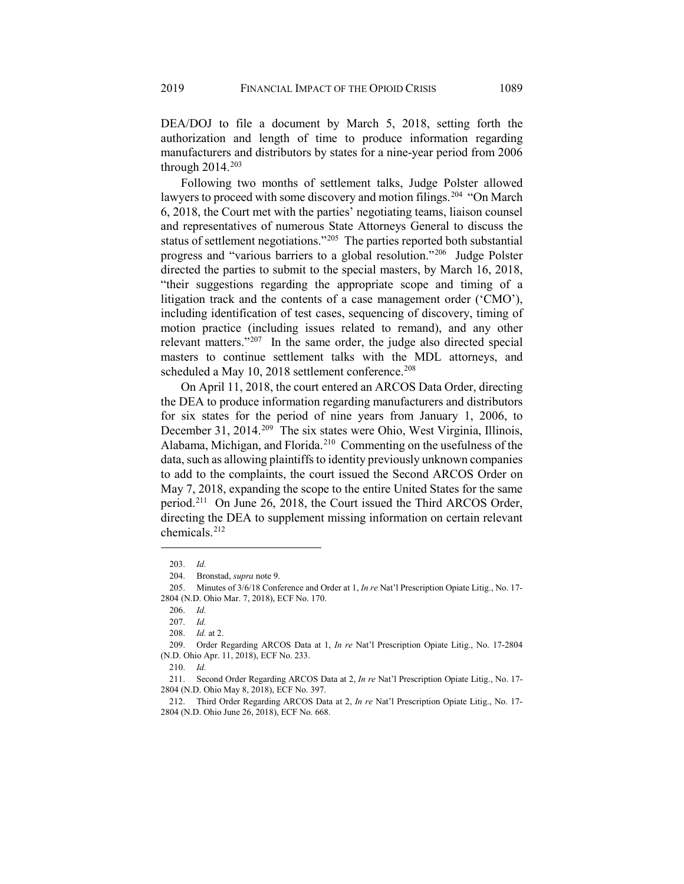DEA/DOJ to file a document by March 5, 2018, setting forth the authorization and length of time to produce information regarding manufacturers and distributors by states for a nine-year period from 2006 through 2014.[203](#page-28-0)

Following two months of settlement talks, Judge Polster allowed lawyers to proceed with some discovery and motion filings.<sup>[204](#page-28-1)</sup> "On March 6, 2018, the Court met with the parties' negotiating teams, liaison counsel and representatives of numerous State Attorneys General to discuss the status of settlement negotiations."[205](#page-28-2) The parties reported both substantial progress and "various barriers to a global resolution."[206](#page-28-3) Judge Polster directed the parties to submit to the special masters, by March 16, 2018, "their suggestions regarding the appropriate scope and timing of a litigation track and the contents of a case management order ('CMO'), including identification of test cases, sequencing of discovery, timing of motion practice (including issues related to remand), and any other relevant matters."<sup>[207](#page-28-4)</sup> In the same order, the judge also directed special masters to continue settlement talks with the MDL attorneys, and scheduled a May 10, 2018 settlement conference.<sup>[208](#page-28-5)</sup>

On April 11, 2018, the court entered an ARCOS Data Order, directing the DEA to produce information regarding manufacturers and distributors for six states for the period of nine years from January 1, 2006, to December 31, 2014.<sup>209</sup> The six states were Ohio, West Virginia, Illinois, Alabama, Michigan, and Florida.[210](#page-28-7) Commenting on the usefulness of the data, such as allowing plaintiffs to identity previously unknown companies to add to the complaints, the court issued the Second ARCOS Order on May 7, 2018, expanding the scope to the entire United States for the same period.<sup>211</sup> On June 26, 2018, the Court issued the Third ARCOS Order, directing the DEA to supplement missing information on certain relevant chemicals.[212](#page-28-9)

<sup>203.</sup> *Id.*

<sup>204.</sup> Bronstad, *supra* note [9.](#page-2-1)

<span id="page-28-3"></span><span id="page-28-2"></span><span id="page-28-1"></span><span id="page-28-0"></span><sup>205.</sup> Minutes of 3/6/18 Conference and Order at 1, *In re* Nat'l Prescription Opiate Litig., No. 17- 2804 (N.D. Ohio Mar. 7, 2018), ECF No. 170.

<sup>206.</sup> *Id.*

<sup>207.</sup> *Id.*

<sup>208.</sup> *Id.* at 2.

<span id="page-28-6"></span><span id="page-28-5"></span><span id="page-28-4"></span><sup>209.</sup> Order Regarding ARCOS Data at 1, *In re* Nat'l Prescription Opiate Litig., No. 17-2804 (N.D. Ohio Apr. 11, 2018), ECF No. 233.

<sup>210.</sup> *Id.*

<span id="page-28-8"></span><span id="page-28-7"></span><sup>211.</sup> Second Order Regarding ARCOS Data at 2, *In re* Nat'l Prescription Opiate Litig., No. 17- 2804 (N.D. Ohio May 8, 2018), ECF No. 397.

<span id="page-28-9"></span><sup>212.</sup> Third Order Regarding ARCOS Data at 2, *In re* Nat'l Prescription Opiate Litig., No. 17- 2804 (N.D. Ohio June 26, 2018), ECF No. 668.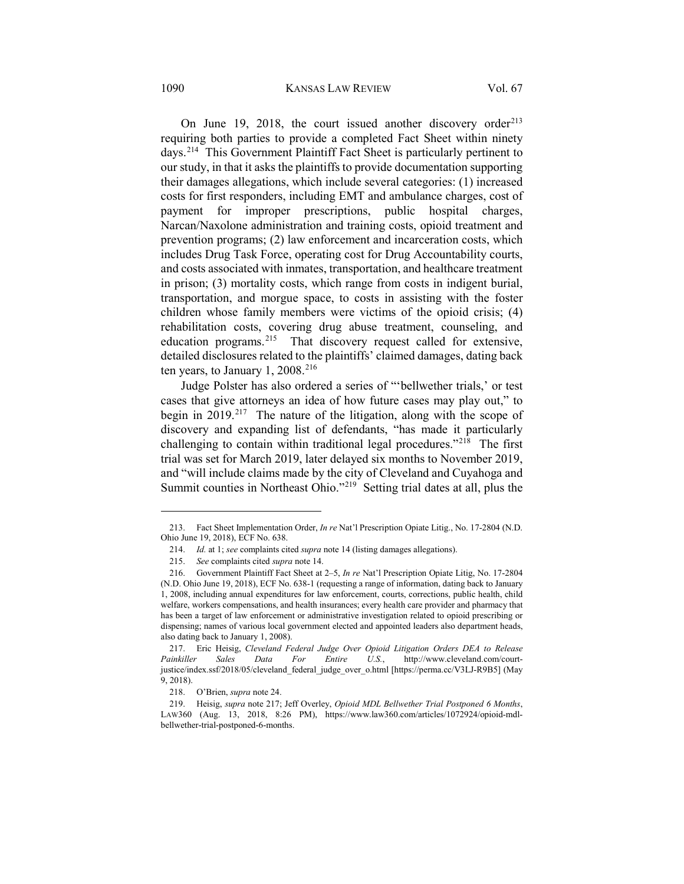#### 1090 KANSAS LAW REVIEW Vol. 67

On June 19, 2018, the court issued another discovery order<sup>[213](#page-29-1)</sup> requiring both parties to provide a completed Fact Sheet within ninety days.[214](#page-29-2) This Government Plaintiff Fact Sheet is particularly pertinent to our study, in that it asks the plaintiffs to provide documentation supporting their damages allegations, which include several categories: (1) increased costs for first responders, including EMT and ambulance charges, cost of payment for improper prescriptions, public hospital charges, Narcan/Naxolone administration and training costs, opioid treatment and prevention programs; (2) law enforcement and incarceration costs, which includes Drug Task Force, operating cost for Drug Accountability courts, and costs associated with inmates, transportation, and healthcare treatment in prison; (3) mortality costs, which range from costs in indigent burial, transportation, and morgue space, to costs in assisting with the foster children whose family members were victims of the opioid crisis; (4) rehabilitation costs, covering drug abuse treatment, counseling, and education programs.<sup>[215](#page-29-3)</sup> That discovery request called for extensive, detailed disclosures related to the plaintiffs' claimed damages, dating back ten years, to January 1, 2008.<sup>[216](#page-29-4)</sup>

<span id="page-29-0"></span>Judge Polster has also ordered a series of "'bellwether trials,' or test cases that give attorneys an idea of how future cases may play out," to begin in 2019.<sup>[217](#page-29-5)</sup> The nature of the litigation, along with the scope of discovery and expanding list of defendants, "has made it particularly challenging to contain within traditional legal procedures."[218](#page-29-6) The first trial was set for March 2019, later delayed six months to November 2019, and "will include claims made by the city of Cleveland and Cuyahoga and Summit counties in Northeast Ohio."[219](#page-29-7) Setting trial dates at all, plus the

<span id="page-29-2"></span><span id="page-29-1"></span><sup>213.</sup> Fact Sheet Implementation Order, *In re* Nat'l Prescription Opiate Litig., No. 17-2804 (N.D. Ohio June 19, 2018), ECF No. 638.

<sup>214.</sup> *Id.* at 1; *see* complaints cited *supra* not[e 14](#page-4-0) (listing damages allegations).

<sup>215.</sup> *See* complaints cited *supra* note [14.](#page-4-0)

<span id="page-29-4"></span><span id="page-29-3"></span><sup>216.</sup> Government Plaintiff Fact Sheet at 2–5, *In re* Nat'l Prescription Opiate Litig, No. 17-2804 (N.D. Ohio June 19, 2018), ECF No. 638-1 (requesting a range of information, dating back to January 1, 2008, including annual expenditures for law enforcement, courts, corrections, public health, child welfare, workers compensations, and health insurances; every health care provider and pharmacy that has been a target of law enforcement or administrative investigation related to opioid prescribing or dispensing; names of various local government elected and appointed leaders also department heads, also dating back to January 1, 2008).

<span id="page-29-5"></span><sup>217.</sup> Eric Heisig, *Cleveland Federal Judge Over Opioid Litigation Orders DEA to Release Painkiller Sales Data For Entire U.S.*, http://www.cleveland.com/courtjustice/index.ssf/2018/05/cleveland\_federal\_judge\_over\_o.html [https://perma.cc/V3LJ-R9B5] (May 9, 2018).

<sup>218.</sup> O'Brien, *supra* not[e 24.](#page-5-0)

<span id="page-29-7"></span><span id="page-29-6"></span><sup>219.</sup> Heisig, *supra* note [217;](#page-29-0) Jeff Overley, *Opioid MDL Bellwether Trial Postponed 6 Months*, LAW360 (Aug. 13, 2018, 8:26 PM), https://www.law360.com/articles/1072924/opioid-mdlbellwether-trial-postponed-6-months.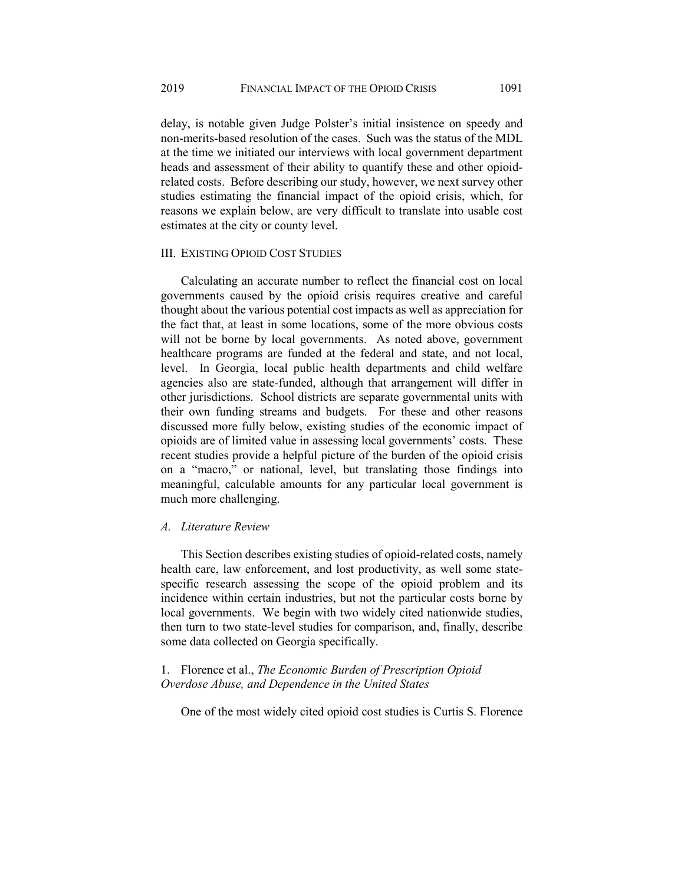delay, is notable given Judge Polster's initial insistence on speedy and non-merits-based resolution of the cases. Such was the status of the MDL at the time we initiated our interviews with local government department heads and assessment of their ability to quantify these and other opioidrelated costs. Before describing our study, however, we next survey other studies estimating the financial impact of the opioid crisis, which, for reasons we explain below, are very difficult to translate into usable cost estimates at the city or county level.

## III. EXISTING OPIOID COST STUDIES

Calculating an accurate number to reflect the financial cost on local governments caused by the opioid crisis requires creative and careful thought about the various potential cost impacts as well as appreciation for the fact that, at least in some locations, some of the more obvious costs will not be borne by local governments. As noted above, government healthcare programs are funded at the federal and state, and not local, level. In Georgia, local public health departments and child welfare agencies also are state-funded, although that arrangement will differ in other jurisdictions. School districts are separate governmental units with their own funding streams and budgets. For these and other reasons discussed more fully below, existing studies of the economic impact of opioids are of limited value in assessing local governments' costs. These recent studies provide a helpful picture of the burden of the opioid crisis on a "macro," or national, level, but translating those findings into meaningful, calculable amounts for any particular local government is much more challenging.

## *A. Literature Review*

This Section describes existing studies of opioid-related costs, namely health care, law enforcement, and lost productivity, as well some statespecific research assessing the scope of the opioid problem and its incidence within certain industries, but not the particular costs borne by local governments. We begin with two widely cited nationwide studies, then turn to two state-level studies for comparison, and, finally, describe some data collected on Georgia specifically.

1. Florence et al., *The Economic Burden of Prescription Opioid Overdose Abuse, and Dependence in the United States*

One of the most widely cited opioid cost studies is Curtis S. Florence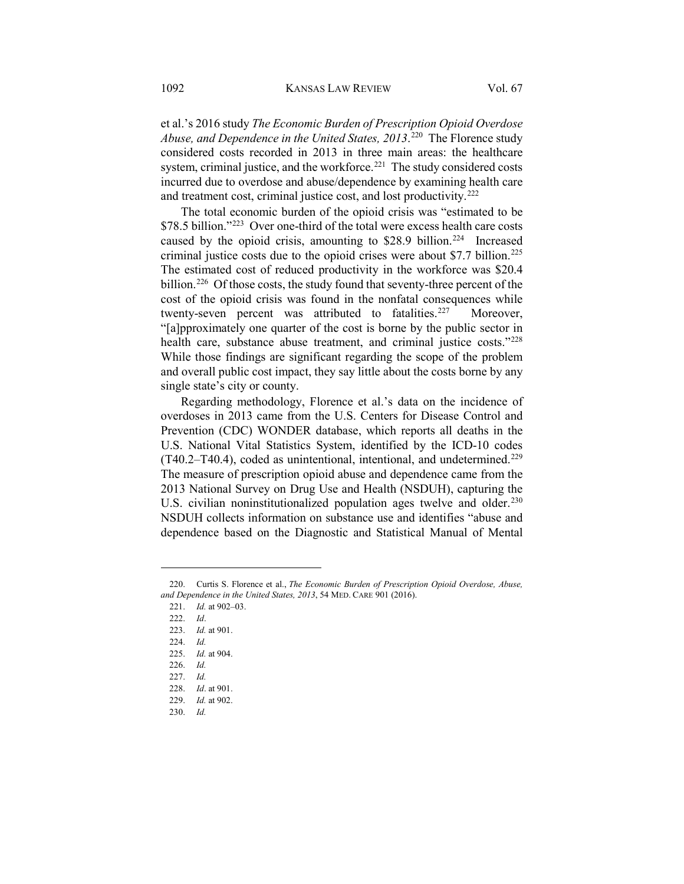et al.'s 2016 study *The Economic Burden of Prescription Opioid Overdose Abuse, and Dependence in the United States, 2013*. [220](#page-31-0) The Florence study considered costs recorded in 2013 in three main areas: the healthcare system, criminal justice, and the workforce.<sup>[221](#page-31-1)</sup> The study considered costs incurred due to overdose and abuse/dependence by examining health care and treatment cost, criminal justice cost, and lost productivity.<sup>[222](#page-31-2)</sup>

The total economic burden of the opioid crisis was "estimated to be \$78.5 billion."[223](#page-31-3) Over one-third of the total were excess health care costs caused by the opioid crisis, amounting to  $$28.9$  billion.<sup>224</sup> Increased criminal justice costs due to the opioid crises were about \$7.7 billion.<sup>[225](#page-31-5)</sup> The estimated cost of reduced productivity in the workforce was \$20.4 billion.<sup>[226](#page-31-6)</sup> Of those costs, the study found that seventy-three percent of the cost of the opioid crisis was found in the nonfatal consequences while twenty-seven percent was attributed to fatalities.<sup>227</sup> Moreover, "[a]pproximately one quarter of the cost is borne by the public sector in health care, substance abuse treatment, and criminal justice costs."<sup>[228](#page-31-8)</sup> While those findings are significant regarding the scope of the problem and overall public cost impact, they say little about the costs borne by any single state's city or county.

Regarding methodology, Florence et al.'s data on the incidence of overdoses in 2013 came from the U.S. Centers for Disease Control and Prevention (CDC) WONDER database, which reports all deaths in the U.S. National Vital Statistics System, identified by the ICD-10 codes  $(T40.2 - T40.4)$ , coded as unintentional, intentional, and undetermined.<sup>[229](#page-31-9)</sup> The measure of prescription opioid abuse and dependence came from the 2013 National Survey on Drug Use and Health (NSDUH), capturing the U.S. civilian noninstitutionalized population ages twelve and older.<sup>[230](#page-31-10)</sup> NSDUH collects information on substance use and identifies "abuse and dependence based on the Diagnostic and Statistical Manual of Mental

<span id="page-31-3"></span><span id="page-31-2"></span><span id="page-31-1"></span><span id="page-31-0"></span><sup>220.</sup> Curtis S. Florence et al., *The Economic Burden of Prescription Opioid Overdose, Abuse, and Dependence in the United States, 2013*, 54 MED. CARE 901 (2016).

<sup>221.</sup> *Id.* at 902–03.

<sup>222.</sup> *Id*.

<sup>223.</sup> *Id.* at 901.

<span id="page-31-4"></span><sup>224.</sup> *Id.* 

<span id="page-31-5"></span><sup>225.</sup> *Id.* at 904.

<span id="page-31-6"></span><sup>226.</sup> *Id.*

<span id="page-31-7"></span><sup>227.</sup> *Id.*

<sup>228.</sup> *Id*. at 901.

<span id="page-31-9"></span><span id="page-31-8"></span><sup>229.</sup> *Id.* at 902.

<span id="page-31-10"></span><sup>230.</sup> *Id.*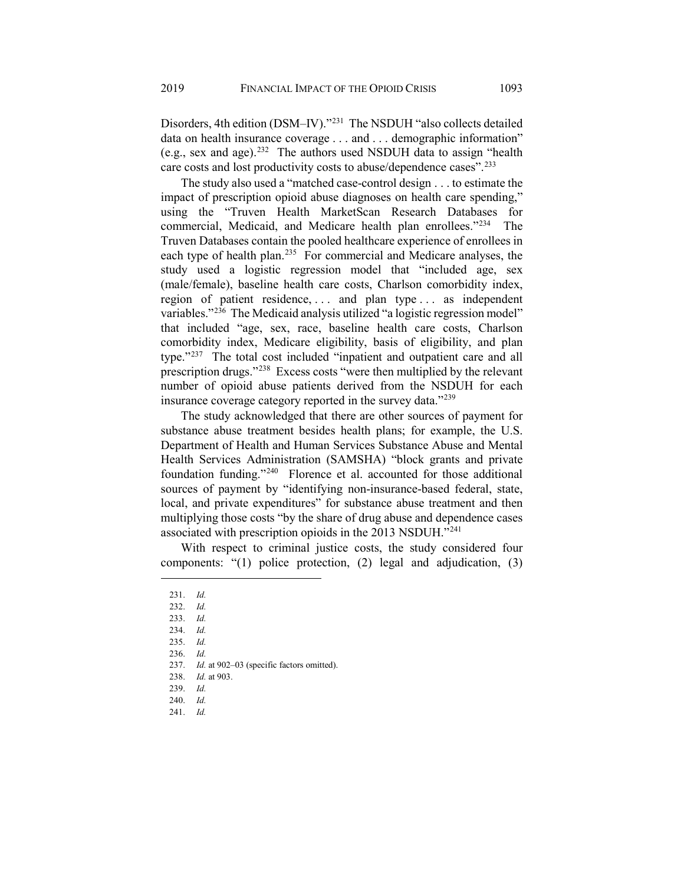Disorders, 4th edition (DSM–IV).["231](#page-32-0) The NSDUH "also collects detailed data on health insurance coverage . . . and . . . demographic information" (e.g., sex and age).[232](#page-32-1) The authors used NSDUH data to assign "health care costs and lost productivity costs to abuse/dependence cases".[233](#page-32-2)

The study also used a "matched case-control design . . . to estimate the impact of prescription opioid abuse diagnoses on health care spending," using the "Truven Health MarketScan Research Databases for commercial, Medicaid, and Medicare health plan enrollees."[234](#page-32-3) The Truven Databases contain the pooled healthcare experience of enrollees in each type of health plan.<sup>235</sup> For commercial and Medicare analyses, the study used a logistic regression model that "included age, sex (male/female), baseline health care costs, Charlson comorbidity index, region of patient residence, ... and plan type ... as independent variables."<sup>[236](#page-32-5)</sup> The Medicaid analysis utilized "a logistic regression model" that included "age, sex, race, baseline health care costs, Charlson comorbidity index, Medicare eligibility, basis of eligibility, and plan type."[237](#page-32-6) The total cost included "inpatient and outpatient care and all prescription drugs."[238](#page-32-7) Excess costs "were then multiplied by the relevant number of opioid abuse patients derived from the NSDUH for each insurance coverage category reported in the survey data."<sup>[239](#page-32-8)</sup>

The study acknowledged that there are other sources of payment for substance abuse treatment besides health plans; for example, the U.S. Department of Health and Human Services Substance Abuse and Mental Health Services Administration (SAMSHA) "block grants and private foundation funding."[240](#page-32-9) Florence et al. accounted for those additional sources of payment by "identifying non-insurance-based federal, state, local, and private expenditures" for substance abuse treatment and then multiplying those costs "by the share of drug abuse and dependence cases associated with prescription opioids in the 2013 NSDUH."[241](#page-32-10)

With respect to criminal justice costs, the study considered four components: "(1) police protection, (2) legal and adjudication, (3)

<span id="page-32-2"></span><span id="page-32-1"></span><span id="page-32-0"></span> $\overline{a}$ 

<span id="page-32-10"></span><span id="page-32-9"></span>241. *Id.*

<sup>231.</sup> *Id.*

<sup>232.</sup> *Id.*

<sup>233.</sup> *Id.*

<span id="page-32-3"></span><sup>234.</sup> *Id.*

<span id="page-32-4"></span><sup>235.</sup> *Id.* 236. *Id.*

<span id="page-32-5"></span><sup>237.</sup> *Id.* at 902–03 (specific factors omitted).

<sup>238.</sup> *Id.* at 903.

<span id="page-32-8"></span><span id="page-32-7"></span><span id="page-32-6"></span><sup>239.</sup> *Id.*

<sup>240.</sup> *Id.*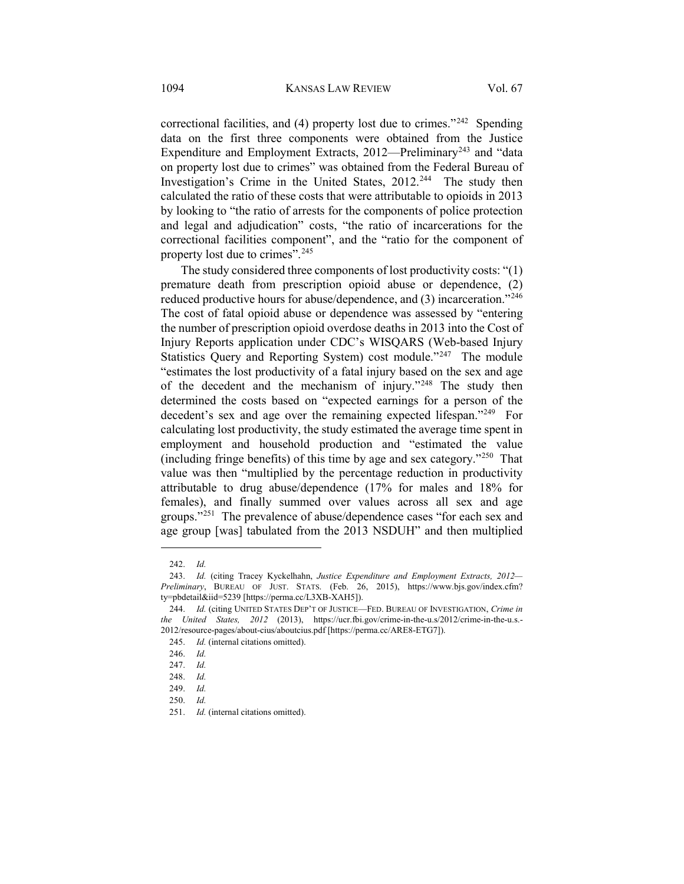correctional facilities, and (4) property lost due to crimes."<sup>[242](#page-33-0)</sup> Spending data on the first three components were obtained from the Justice Expenditure and Employment Extracts, 2012—Preliminary<sup>[243](#page-33-1)</sup> and "data on property lost due to crimes" was obtained from the Federal Bureau of Investigation's Crime in the United States, 2012.<sup>[244](#page-33-2)</sup> The study then calculated the ratio of these costs that were attributable to opioids in 2013 by looking to "the ratio of arrests for the components of police protection and legal and adjudication" costs, "the ratio of incarcerations for the correctional facilities component", and the "ratio for the component of property lost due to crimes".[245](#page-33-3)

The study considered three components of lost productivity costs: "(1) premature death from prescription opioid abuse or dependence, (2) reduced productive hours for abuse/dependence, and (3) incarceration."[246](#page-33-4) The cost of fatal opioid abuse or dependence was assessed by "entering the number of prescription opioid overdose deaths in 2013 into the Cost of Injury Reports application under CDC's WISQARS (Web-based Injury Statistics Query and Reporting System) cost module."<sup>[247](#page-33-5)</sup> The module "estimates the lost productivity of a fatal injury based on the sex and age of the decedent and the mechanism of injury."<sup>[248](#page-33-6)</sup> The study then determined the costs based on "expected earnings for a person of the decedent's sex and age over the remaining expected lifespan."[249](#page-33-7) For calculating lost productivity, the study estimated the average time spent in employment and household production and "estimated the value (including fringe benefits) of this time by age and sex category." $250$  That value was then "multiplied by the percentage reduction in productivity attributable to drug abuse/dependence (17% for males and 18% for females), and finally summed over values across all sex and age groups."<sup>[251](#page-33-9)</sup> The prevalence of abuse/dependence cases "for each sex and age group [was] tabulated from the 2013 NSDUH" and then multiplied

<sup>242.</sup> *Id.*

<span id="page-33-1"></span><span id="page-33-0"></span><sup>243.</sup> *Id.* (citing Tracey Kyckelhahn, *Justice Expenditure and Employment Extracts, 2012— Preliminary*, BUREAU OF JUST. STATS. (Feb. 26, 2015), https://www.bjs.gov/index.cfm? ty=pbdetail&iid=5239 [https://perma.cc/L3XB-XAH5]).

<span id="page-33-4"></span><span id="page-33-3"></span><span id="page-33-2"></span><sup>244.</sup> *Id.* (citing UNITED STATES DEP'T OF JUSTICE—FED. BUREAU OF INVESTIGATION, *Crime in the United States, 2012* (2013), https://ucr.fbi.gov/crime-in-the-u.s/2012/crime-in-the-u.s.- 2012/resource-pages/about-cius/aboutcius.pdf [https://perma.cc/ARE8-ETG7]).

<sup>245.</sup> *Id.* (internal citations omitted).

<sup>246.</sup> *Id.*

<span id="page-33-5"></span><sup>247.</sup> *Id.*

<span id="page-33-6"></span><sup>248.</sup> *Id.*

<span id="page-33-7"></span><sup>249.</sup> *Id.*

<span id="page-33-8"></span><sup>250.</sup> *Id.*

<span id="page-33-9"></span><sup>251.</sup> *Id.* (internal citations omitted).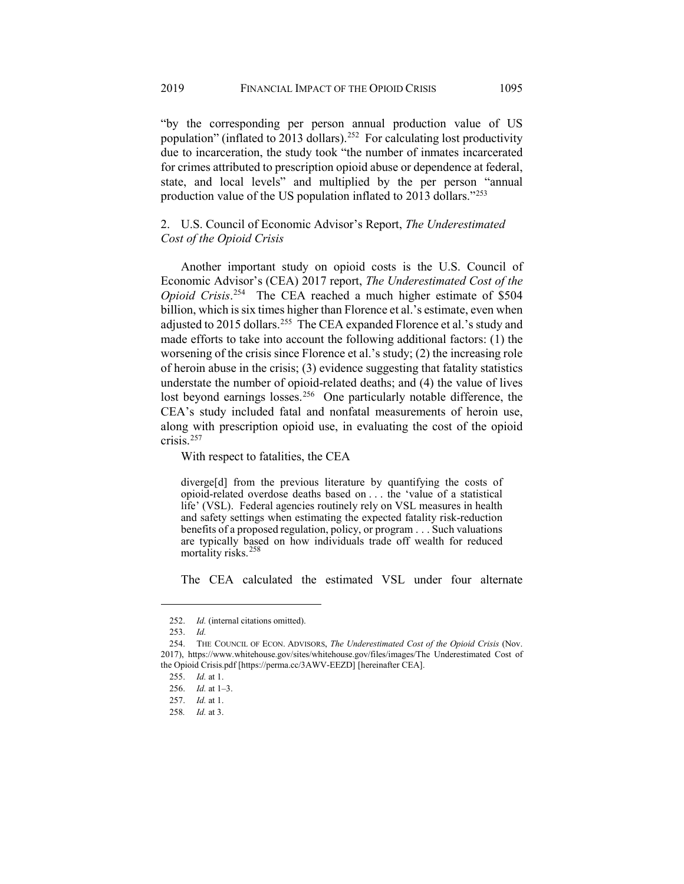"by the corresponding per person annual production value of US population" (inflated to 2013 dollars).<sup>252</sup> For calculating lost productivity due to incarceration, the study took "the number of inmates incarcerated for crimes attributed to prescription opioid abuse or dependence at federal, state, and local levels" and multiplied by the per person "annual production value of the US population inflated to 2013 dollars."[253](#page-34-1)

## 2. U.S. Council of Economic Advisor's Report, *The Underestimated Cost of the Opioid Crisis*

Another important study on opioid costs is the U.S. Council of Economic Advisor's (CEA) 2017 report, *The Underestimated Cost of the Opioid Crisis*. [254](#page-34-2) The CEA reached a much higher estimate of \$504 billion, which is six times higher than Florence et al.'s estimate, even when adjusted to 2015 dollars.<sup>255</sup> The CEA expanded Florence et al.'s study and made efforts to take into account the following additional factors: (1) the worsening of the crisis since Florence et al.'s study; (2) the increasing role of heroin abuse in the crisis; (3) evidence suggesting that fatality statistics understate the number of opioid-related deaths; and (4) the value of lives lost beyond earnings losses.<sup>256</sup> One particularly notable difference, the CEA's study included fatal and nonfatal measurements of heroin use, along with prescription opioid use, in evaluating the cost of the opioid crisis.[257](#page-34-5)

With respect to fatalities, the CEA

diverge[d] from the previous literature by quantifying the costs of opioid-related overdose deaths based on . . . the 'value of a statistical life' (VSL). Federal agencies routinely rely on VSL measures in health and safety settings when estimating the expected fatality risk-reduction benefits of a proposed regulation, policy, or program . . . Such valuations are typically based on how individuals trade off wealth for reduced mortality risks.[258](#page-34-6)

The CEA calculated the estimated VSL under four alternate

<sup>252.</sup> *Id.* (internal citations omitted).

<sup>253.</sup> *Id.*

<span id="page-34-5"></span><span id="page-34-4"></span><span id="page-34-3"></span><span id="page-34-2"></span><span id="page-34-1"></span><span id="page-34-0"></span><sup>254.</sup> THE COUNCIL OF ECON. ADVISORS, *The Underestimated Cost of the Opioid Crisis* (Nov. 2017), https://www.whitehouse.gov/sites/whitehouse.gov/files/images/The Underestimated Cost of the Opioid Crisis.pdf [https://perma.cc/3AWV-EEZD] [hereinafter CEA].

<sup>255.</sup> *Id.* at 1.

<sup>256.</sup> *Id.* at 1–3.

<sup>257.</sup> *Id.* at 1.

<span id="page-34-6"></span><sup>258</sup>*. Id.* at 3.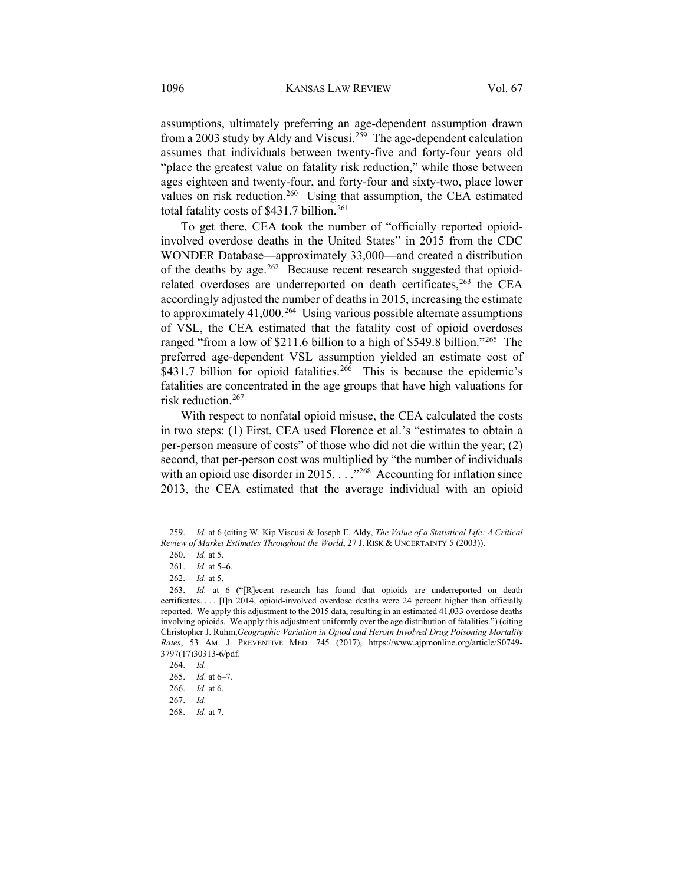assumptions, ultimately preferring an age-dependent assumption drawn from a 2003 study by Aldy and Viscusi.[259](#page-35-0) The age-dependent calculation assumes that individuals between twenty-five and forty-four years old "place the greatest value on fatality risk reduction," while those between ages eighteen and twenty-four, and forty-four and sixty-two, place lower values on risk reduction.<sup>260</sup> Using that assumption, the CEA estimated total fatality costs of \$431.7 billion.<sup>[261](#page-35-2)</sup>

To get there, CEA took the number of "officially reported opioidinvolved overdose deaths in the United States" in 2015 from the CDC WONDER Database—approximately 33,000—and created a distribution of the deaths by age.<sup>262</sup> Because recent research suggested that opioidrelated overdoses are underreported on death certificates,<sup>263</sup> the CEA accordingly adjusted the number of deaths in 2015, increasing the estimate to approximately 41,000.<sup>[264](#page-35-5)</sup> Using various possible alternate assumptions of VSL, the CEA estimated that the fatality cost of opioid overdoses ranged "from a low of \$211.6 billion to a high of \$549.8 billion."<sup>[265](#page-35-6)</sup> The preferred age-dependent VSL assumption yielded an estimate cost of  $$431.7$  billion for opioid fatalities.<sup>[266](#page-35-7)</sup> This is because the epidemic's fatalities are concentrated in the age groups that have high valuations for risk reduction.[267](#page-35-8)

With respect to nonfatal opioid misuse, the CEA calculated the costs in two steps: (1) First, CEA used Florence et al.'s "estimates to obtain a per-person measure of costs" of those who did not die within the year; (2) second, that per-person cost was multiplied by "the number of individuals with an opioid use disorder in 2015. . . . . "<sup>[268](#page-35-9)</sup> Accounting for inflation since 2013, the CEA estimated that the average individual with an opioid

<span id="page-35-1"></span><span id="page-35-0"></span><sup>259.</sup> *Id.* at 6 (citing W. Kip Viscusi & Joseph E. Aldy, *The Value of a Statistical Life: A Critical Review of Market Estimates Throughout the World*, 27 J. RISK & UNCERTAINTY 5 (2003)).

<sup>260.</sup> *Id.* at 5.

<sup>261.</sup> *Id.* at 5–6.

<sup>262.</sup> *Id.* at 5.

<span id="page-35-4"></span><span id="page-35-3"></span><span id="page-35-2"></span><sup>263.</sup> *Id.* at 6 ("[R]ecent research has found that opioids are underreported on death certificates. . . . [I]n 2014, opioid-involved overdose deaths were 24 percent higher than officially reported. We apply this adjustment to the 2015 data, resulting in an estimated 41,033 overdose deaths involving opioids. We apply this adjustment uniformly over the age distribution of fatalities.") (citing Christopher J. Ruhm,*Geographic Variation in Opiod and Heroin Involved Drug Poisoning Mortality Rates*, 53 AM. J. PREVENTIVE MED. 745 (2017), https://www.ajpmonline.org/article/S0749- 3797(17)30313-6/pdf.

<sup>264.</sup> *Id.*

<sup>265.</sup> *Id.* at 6–7.

<span id="page-35-9"></span><span id="page-35-8"></span><span id="page-35-7"></span><span id="page-35-6"></span><span id="page-35-5"></span><sup>266.</sup> *Id.* at 6.

<sup>267.</sup> *Id.*

<sup>268.</sup> *Id.* at 7.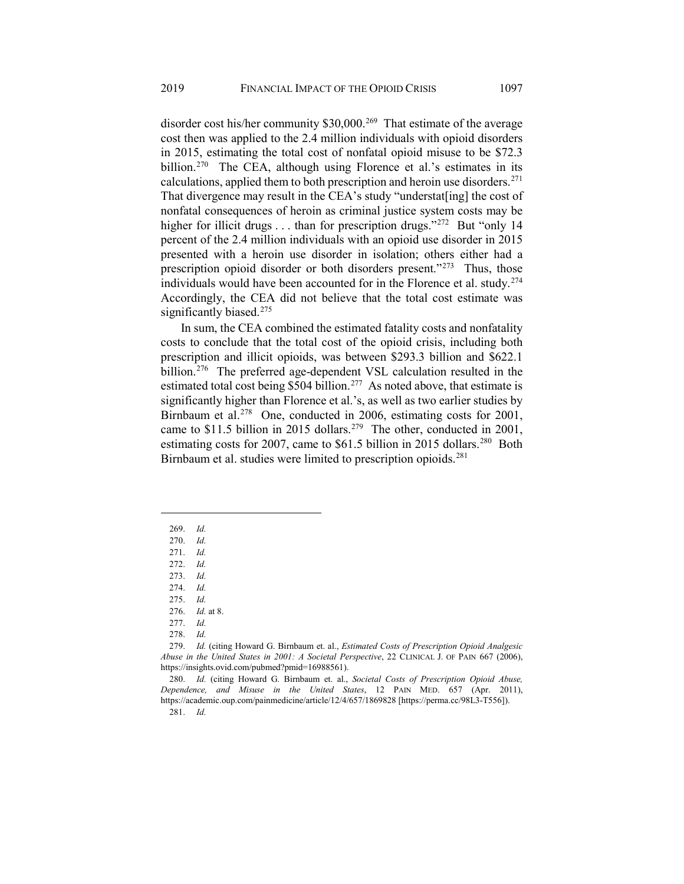in 2015, estimating the total cost of nonfatal opioid misuse to be \$72.3 billion.<sup>[270](#page-36-1)</sup> The CEA, although using Florence et al.'s estimates in its calculations, applied them to both prescription and heroin use disorders. $271$ That divergence may result in the CEA's study "understat[ing] the cost of nonfatal consequences of heroin as criminal justice system costs may be higher for illicit drugs . . . than for prescription drugs."<sup>[272](#page-36-3)</sup> But "only 14 percent of the 2.4 million individuals with an opioid use disorder in 2015 presented with a heroin use disorder in isolation; others either had a prescription opioid disorder or both disorders present."[273](#page-36-4) Thus, those individuals would have been accounted for in the Florence et al. study.<sup>[274](#page-36-5)</sup> Accordingly, the CEA did not believe that the total cost estimate was significantly biased.<sup>[275](#page-36-6)</sup>

In sum, the CEA combined the estimated fatality costs and nonfatality costs to conclude that the total cost of the opioid crisis, including both prescription and illicit opioids, was between \$293.3 billion and \$622.1 billion.<sup>[276](#page-36-7)</sup> The preferred age-dependent VSL calculation resulted in the estimated total cost being  $$504$  billion.<sup>277</sup> As noted above, that estimate is significantly higher than Florence et al.'s, as well as two earlier studies by Birnbaum et al.<sup>278</sup> One, conducted in 2006, estimating costs for 2001, came to \$11.5 billion in 2015 dollars.<sup>[279](#page-36-10)</sup> The other, conducted in 2001, estimating costs for 2007, came to  $$61.5$  billion in 2015 dollars.<sup>[280](#page-36-11)</sup> Both Birnbaum et al. studies were limited to prescription opioids.<sup>281</sup>

<span id="page-36-1"></span><span id="page-36-0"></span> $\overline{a}$ 

278. *Id.*

<sup>269.</sup> *Id.*

<span id="page-36-3"></span><span id="page-36-2"></span><sup>270.</sup> *Id.*

<sup>271.</sup> *Id.*

<sup>272.</sup> *Id.*

<span id="page-36-4"></span><sup>273.</sup> *Id.*

<sup>274.</sup> *Id.*

<span id="page-36-6"></span><span id="page-36-5"></span><sup>275.</sup> *Id.*

<sup>276.</sup> *Id.* at 8.

<sup>277.</sup> *Id.*

<span id="page-36-10"></span><span id="page-36-9"></span><span id="page-36-8"></span><span id="page-36-7"></span><sup>279.</sup> *Id.* (citing Howard G. Birnbaum et. al., *Estimated Costs of Prescription Opioid Analgesic Abuse in the United States in 2001: A Societal Perspective*, 22 CLINICAL J. OF PAIN 667 (2006), https://insights.ovid.com/pubmed?pmid=16988561).

<span id="page-36-12"></span><span id="page-36-11"></span><sup>280.</sup> *Id.* (citing Howard G. Birnbaum et. al., *Societal Costs of Prescription Opioid Abuse, Dependence, and Misuse in the United States*, 12 PAIN MED. 657 (Apr. 2011), https://academic.oup.com/painmedicine/article/12/4/657/1869828 [https://perma.cc/98L3-T556]).

<sup>281.</sup> *Id.*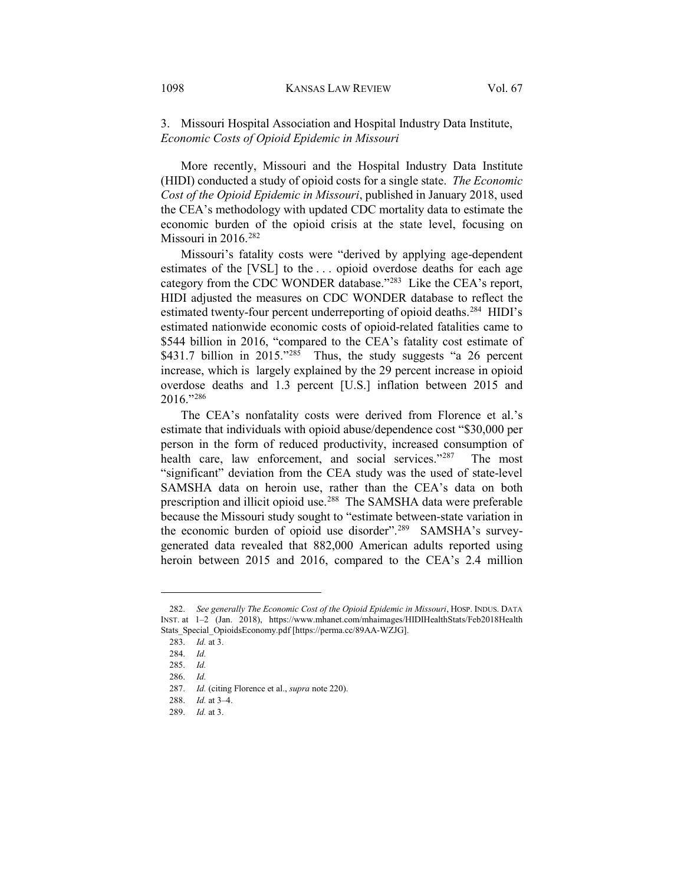3. Missouri Hospital Association and Hospital Industry Data Institute, *Economic Costs of Opioid Epidemic in Missouri*

More recently, Missouri and the Hospital Industry Data Institute (HIDI) conducted a study of opioid costs for a single state. *The Economic Cost of the Opioid Epidemic in Missouri*, published in January 2018, used the CEA's methodology with updated CDC mortality data to estimate the economic burden of the opioid crisis at the state level, focusing on Missouri in  $2016.<sup>282</sup>$ 

Missouri's fatality costs were "derived by applying age-dependent estimates of the [VSL] to the . . . opioid overdose deaths for each age category from the CDC WONDER database."[283](#page-37-1) Like the CEA's report, HIDI adjusted the measures on CDC WONDER database to reflect the estimated twenty-four percent underreporting of opioid deaths.<sup>[284](#page-37-2)</sup> HIDI's estimated nationwide economic costs of opioid-related fatalities came to \$544 billion in 2016, "compared to the CEA's fatality cost estimate of \$431.7 billion in 2015."<sup>[285](#page-37-3)</sup> Thus, the study suggests "a 26 percent increase, which is largely explained by the 29 percent increase in opioid overdose deaths and 1.3 percent [U.S.] inflation between 2015 and 2016."[286](#page-37-4)

The CEA's nonfatality costs were derived from Florence et al.'s estimate that individuals with opioid abuse/dependence cost "\$30,000 per person in the form of reduced productivity, increased consumption of health care, law enforcement, and social services."<sup>287</sup> The most "significant" deviation from the CEA study was the used of state-level SAMSHA data on heroin use, rather than the CEA's data on both prescription and illicit opioid use.<sup>288</sup> The SAMSHA data were preferable because the Missouri study sought to "estimate between-state variation in the economic burden of opioid use disorder".<sup>289</sup> SAMSHA's surveygenerated data revealed that 882,000 American adults reported using heroin between 2015 and 2016, compared to the CEA's 2.4 million

<span id="page-37-3"></span><span id="page-37-2"></span><span id="page-37-1"></span><span id="page-37-0"></span><sup>282.</sup> *See generally The Economic Cost of the Opioid Epidemic in Missouri*, HOSP. INDUS. DATA INST. at  $1-2$  (Jan. 2018), https://www.mhanet.com/mhaimages/HIDIHealthStats/Feb2018Health Stats\_Special\_OpioidsEconomy.pdf [https://perma.cc/89AA-WZJG].

<sup>283.</sup> *Id.* at 3.

<sup>284.</sup> *Id.*

<span id="page-37-4"></span><sup>285.</sup> *Id.*

<span id="page-37-5"></span><sup>286.</sup> *Id.*

<span id="page-37-6"></span><sup>287.</sup> *Id.* (citing Florence et al., *supra* not[e 220\)](#page-31-0).

<span id="page-37-7"></span><sup>288.</sup> *Id.* at 3–4.

<span id="page-37-8"></span><sup>289.</sup> *Id.* at 3.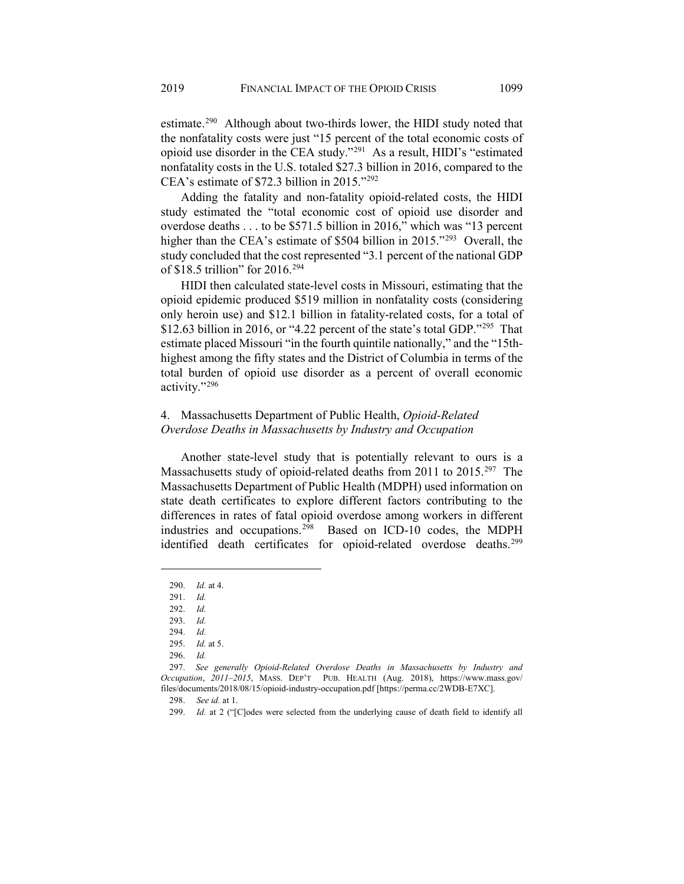estimate.<sup>[290](#page-37-8)</sup> Although about two-thirds lower, the HIDI study noted that the nonfatality costs were just "15 percent of the total economic costs of opioid use disorder in the CEA study."[291](#page-38-0) As a result, HIDI's "estimated nonfatality costs in the U.S. totaled \$27.3 billion in 2016, compared to the CEA's estimate of \$72.3 billion in 2015.["292](#page-38-1)

Adding the fatality and non-fatality opioid-related costs, the HIDI study estimated the "total economic cost of opioid use disorder and overdose deaths . . . to be \$571.5 billion in 2016," which was "13 percent higher than the CEA's estimate of \$504 billion in 2015."<sup>[293](#page-38-2)</sup> Overall, the study concluded that the cost represented "3.1 percent of the national GDP of \$18.5 trillion" for 2016.[294](#page-38-3)

HIDI then calculated state-level costs in Missouri, estimating that the opioid epidemic produced \$519 million in nonfatality costs (considering only heroin use) and \$12.1 billion in fatality-related costs, for a total of \$12.63 billion in 2016, or "4.22 percent of the state's total GDP."[295](#page-38-4) That estimate placed Missouri "in the fourth quintile nationally," and the "15thhighest among the fifty states and the District of Columbia in terms of the total burden of opioid use disorder as a percent of overall economic activity."[296](#page-38-5)

# 4. Massachusetts Department of Public Health, *Opioid-Related Overdose Deaths in Massachusetts by Industry and Occupation*

Another state-level study that is potentially relevant to ours is a Massachusetts study of opioid-related deaths from 2011 to 2015.[297](#page-38-6) The Massachusetts Department of Public Health (MDPH) used information on state death certificates to explore different factors contributing to the differences in rates of fatal opioid overdose among workers in different industries and occupations.[298](#page-38-7) Based on ICD-10 codes, the MDPH identified death certificates for opioid-related overdose deaths.<sup>[299](#page-38-8)</sup>

<sup>290.</sup> *Id.* at 4.

<span id="page-38-0"></span><sup>291.</sup> *Id.*

<span id="page-38-1"></span><sup>292.</sup> *Id.*

<sup>293.</sup> *Id.*

<sup>294.</sup> *Id.* 295. *Id.* at 5.

<sup>296.</sup> *Id.*

<span id="page-38-8"></span><span id="page-38-7"></span><span id="page-38-6"></span><span id="page-38-5"></span><span id="page-38-4"></span><span id="page-38-3"></span><span id="page-38-2"></span><sup>297.</sup> *See generally Opioid-Related Overdose Deaths in Massachusetts by Industry and Occupation*, *2011–2015*, MASS. DEP'T PUB. HEALTH (Aug. 2018), https://www.mass.gov/ files/documents/2018/08/15/opioid-industry-occupation.pdf [https://perma.cc/2WDB-E7XC].

<sup>298.</sup> *See id.* at 1.

<sup>299.</sup> *Id.* at 2 ("[C]odes were selected from the underlying cause of death field to identify all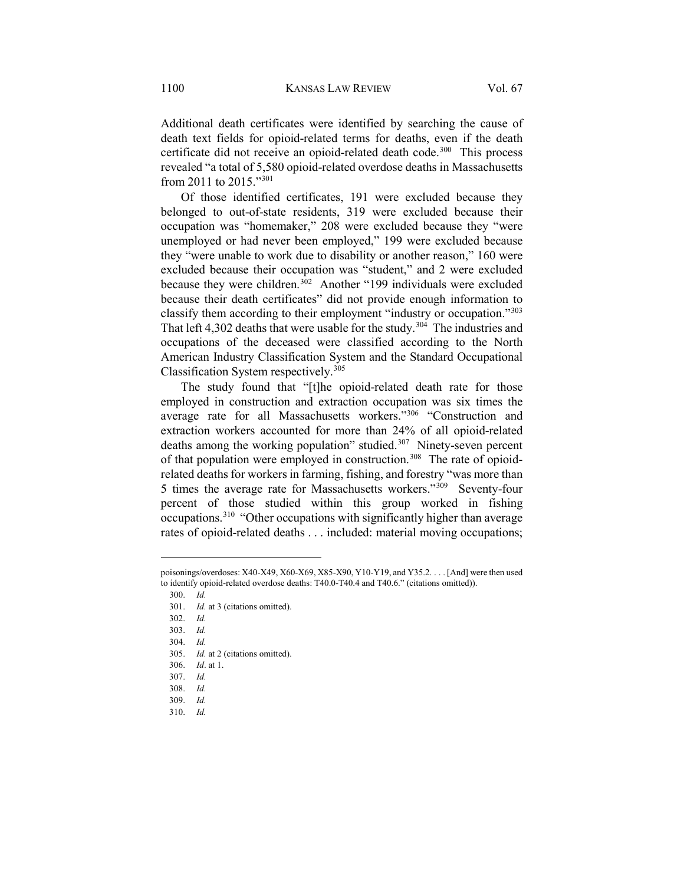Additional death certificates were identified by searching the cause of death text fields for opioid-related terms for deaths, even if the death certificate did not receive an opioid-related death code.<sup>[300](#page-39-0)</sup> This process revealed "a total of 5,580 opioid-related overdose deaths in Massachusetts from 2011 to 2015."[301](#page-39-1)

Of those identified certificates, 191 were excluded because they belonged to out-of-state residents, 319 were excluded because their occupation was "homemaker," 208 were excluded because they "were unemployed or had never been employed," 199 were excluded because they "were unable to work due to disability or another reason," 160 were excluded because their occupation was "student," and 2 were excluded because they were children.<sup>[302](#page-39-2)</sup> Another "199 individuals were excluded because their death certificates" did not provide enough information to classify them according to their employment "industry or occupation."[303](#page-39-3) That left 4,302 deaths that were usable for the study.<sup>304</sup> The industries and occupations of the deceased were classified according to the North American Industry Classification System and the Standard Occupational Classification System respectively.[305](#page-39-5)

The study found that "[t]he opioid-related death rate for those employed in construction and extraction occupation was six times the average rate for all Massachusetts workers."<sup>306</sup> "Construction and extraction workers accounted for more than 24% of all opioid-related deaths among the working population" studied.[307](#page-39-7) Ninety-seven percent of that population were employed in construction.<sup>[308](#page-39-8)</sup> The rate of opioidrelated deaths for workers in farming, fishing, and forestry "was more than 5 times the average rate for Massachusetts workers."[309](#page-39-9) Seventy-four percent of those studied within this group worked in fishing occupations.[310](#page-39-10) "Other occupations with significantly higher than average rates of opioid-related deaths . . . included: material moving occupations;

- <span id="page-39-4"></span>304. *Id.*
- <span id="page-39-5"></span>305. *Id.* at 2 (citations omitted).

<span id="page-39-2"></span><span id="page-39-1"></span><span id="page-39-0"></span>poisonings/overdoses: X40-X49, X60-X69, X85-X90, Y10-Y19, and Y35.2. . . . [And] were then used to identify opioid-related overdose deaths: T40.0-T40.4 and T40.6." (citations omitted)).

<sup>300.</sup> *Id.* 

<sup>301.</sup> *Id.* at 3 (citations omitted).

<sup>302.</sup> *Id.*

<span id="page-39-3"></span><sup>303.</sup> *Id.*

<sup>306.</sup> *Id*. at 1.

<sup>307.</sup> *Id.*

<span id="page-39-10"></span><span id="page-39-9"></span><span id="page-39-8"></span><span id="page-39-7"></span><span id="page-39-6"></span><sup>308.</sup> *Id.*

<sup>309.</sup> *Id.*

<sup>310.</sup> *Id.*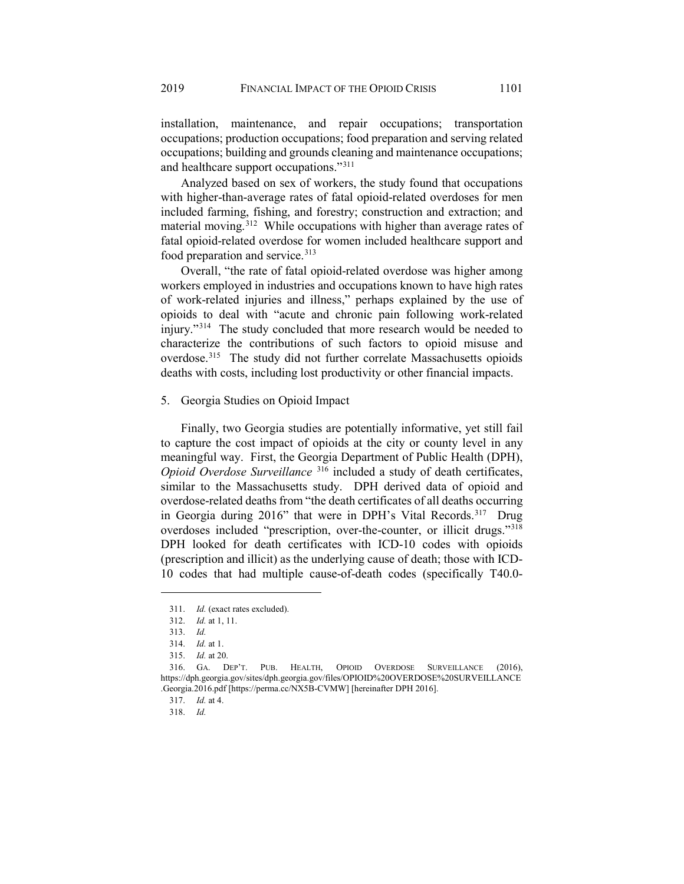installation, maintenance, and repair occupations; transportation occupations; production occupations; food preparation and serving related occupations; building and grounds cleaning and maintenance occupations; and healthcare support occupations."[311](#page-40-0)

Analyzed based on sex of workers, the study found that occupations with higher-than-average rates of fatal opioid-related overdoses for men included farming, fishing, and forestry; construction and extraction; and material moving.<sup>[312](#page-40-1)</sup> While occupations with higher than average rates of fatal opioid-related overdose for women included healthcare support and food preparation and service.<sup>[313](#page-40-2)</sup>

Overall, "the rate of fatal opioid-related overdose was higher among workers employed in industries and occupations known to have high rates of work-related injuries and illness," perhaps explained by the use of opioids to deal with "acute and chronic pain following work-related injury."[314](#page-40-3) The study concluded that more research would be needed to characterize the contributions of such factors to opioid misuse and overdose.[315](#page-40-4) The study did not further correlate Massachusetts opioids deaths with costs, including lost productivity or other financial impacts.

#### 5. Georgia Studies on Opioid Impact

Finally, two Georgia studies are potentially informative, yet still fail to capture the cost impact of opioids at the city or county level in any meaningful way. First, the Georgia Department of Public Health (DPH), *Opioid Overdose Surveillance* [316](#page-40-5) included a study of death certificates, similar to the Massachusetts study. DPH derived data of opioid and overdose-related deaths from "the death certificates of all deaths occurring in Georgia during 2016" that were in DPH's Vital Records.[317](#page-40-6) Drug overdoses included "prescription, over-the-counter, or illicit drugs."<sup>[318](#page-40-7)</sup> DPH looked for death certificates with ICD-10 codes with opioids (prescription and illicit) as the underlying cause of death; those with ICD-10 codes that had multiple cause-of-death codes (specifically T40.0-

<span id="page-40-0"></span><sup>311.</sup> *Id.* (exact rates excluded).

<sup>312.</sup> *Id.* at 1, 11.

<sup>313.</sup> *Id.*

<sup>314.</sup> *Id.* at 1.

<sup>315.</sup> *Id.* at 20.

<span id="page-40-7"></span><span id="page-40-6"></span><span id="page-40-5"></span><span id="page-40-4"></span><span id="page-40-3"></span><span id="page-40-2"></span><span id="page-40-1"></span><sup>316.</sup> GA. DEP'T. PUB. HEALTH, OPIOID OVERDOSE SURVEILLANCE (2016), https://dph.georgia.gov/sites/dph.georgia.gov/files/OPIOID%20OVERDOSE%20SURVEILLANCE .Georgia.2016.pdf [https://perma.cc/NX5B-CVMW] [hereinafter DPH 2016].

<sup>317.</sup> *Id.* at 4.

<sup>318.</sup> *Id.*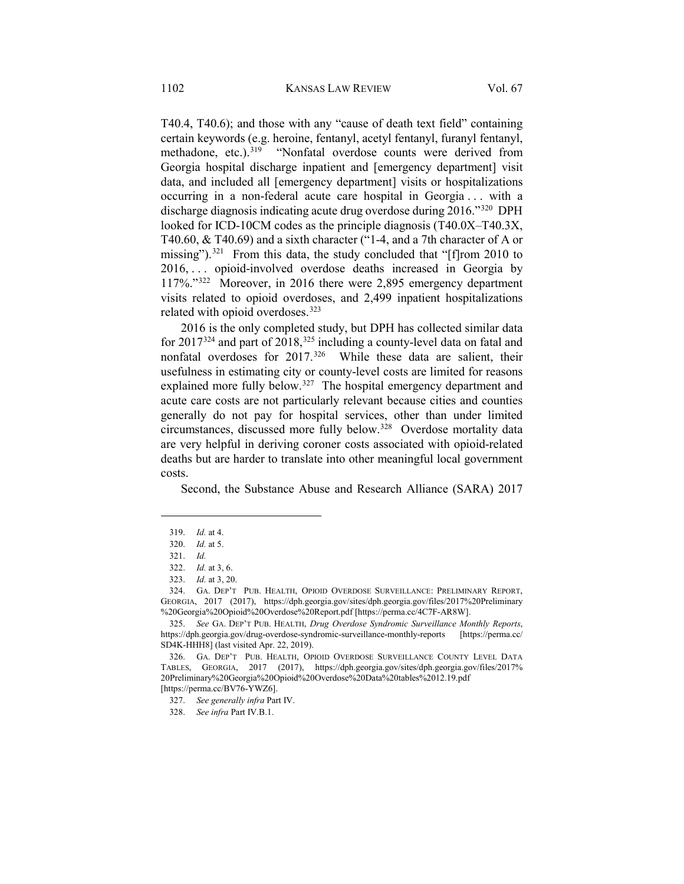T40.4, T40.6); and those with any "cause of death text field" containing certain keywords (e.g. heroine, fentanyl, acetyl fentanyl, furanyl fentanyl, methadone, etc.).<sup>[319](#page-41-0)</sup> "Nonfatal overdose counts were derived from Georgia hospital discharge inpatient and [emergency department] visit data, and included all [emergency department] visits or hospitalizations occurring in a non-federal acute care hospital in Georgia . . . with a discharge diagnosis indicating acute drug overdose during 2016."[320](#page-41-1) DPH looked for ICD-10CM codes as the principle diagnosis (T40.0X–T40.3X, T40.60, & T40.69) and a sixth character ("1-4, and a 7th character of A or missing").<sup>321</sup> From this data, the study concluded that "[f]rom 2010 to 2016, . . . opioid-involved overdose deaths increased in Georgia by 117%."[322](#page-41-3) Moreover, in 2016 there were 2,895 emergency department visits related to opioid overdoses, and 2,499 inpatient hospitalizations related with opioid overdoses.<sup>[323](#page-41-4)</sup>

2016 is the only completed study, but DPH has collected similar data for 2017<sup>[324](#page-41-5)</sup> and part of 2018,<sup>[325](#page-41-6)</sup> including a county-level data on fatal and nonfatal overdoses for 2017.[326](#page-41-7) While these data are salient, their usefulness in estimating city or county-level costs are limited for reasons explained more fully below.<sup>[327](#page-41-8)</sup> The hospital emergency department and acute care costs are not particularly relevant because cities and counties generally do not pay for hospital services, other than under limited circumstances, discussed more fully below.[328](#page-41-9) Overdose mortality data are very helpful in deriving coroner costs associated with opioid-related deaths but are harder to translate into other meaningful local government costs.

Second, the Substance Abuse and Research Alliance (SARA) 2017

<span id="page-41-0"></span><sup>319.</sup> *Id.* at 4.

<sup>320.</sup> *Id.* at 5.

<sup>321.</sup> *Id.*

<sup>322.</sup> *Id.* at 3, 6.

<sup>323.</sup> *Id.* at 3, 20.

<span id="page-41-5"></span><span id="page-41-4"></span><span id="page-41-3"></span><span id="page-41-2"></span><span id="page-41-1"></span><sup>324.</sup> GA. DEP'T PUB. HEALTH, OPIOID OVERDOSE SURVEILLANCE: PRELIMINARY REPORT, GEORGIA, 2017 (2017), https://dph.georgia.gov/sites/dph.georgia.gov/files/2017%20Preliminary %20Georgia%20Opioid%20Overdose%20Report.pdf [https://perma.cc/4C7F-AR8W].

<span id="page-41-6"></span><sup>325.</sup> *See* GA. DEP'T PUB. HEALTH, *Drug Overdose Syndromic Surveillance Monthly Reports*, https://dph.georgia.gov/drug-overdose-syndromic-surveillance-monthly-reports [https://perma.cc/ SD4K-HHH8] (last visited Apr. 22, 2019).

<span id="page-41-8"></span><span id="page-41-7"></span><sup>326.</sup> GA. DEP'T PUB. HEALTH, OPIOID OVERDOSE SURVEILLANCE COUNTY LEVEL DATA TABLES, GEORGIA, 2017 (2017), https://dph.georgia.gov/sites/dph.georgia.gov/files/2017% 20Preliminary%20Georgia%20Opioid%20Overdose%20Data%20tables%2012.19.pdf [https://perma.cc/BV76-YWZ6].

<span id="page-41-9"></span><sup>327.</sup> *See generally infra* Part IV.

<sup>328.</sup> *See infra* Part IV.B.1.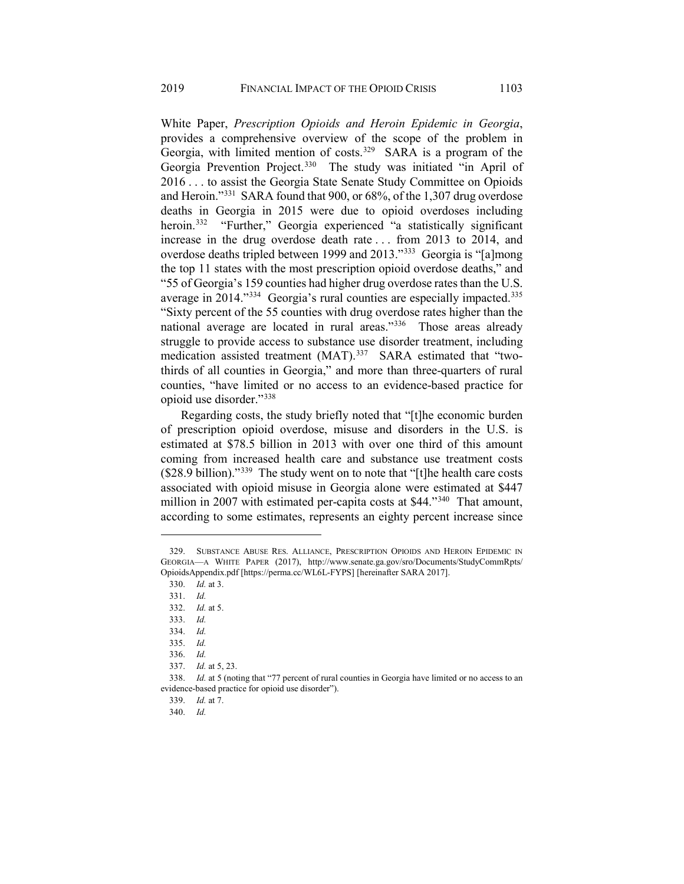<span id="page-42-12"></span>White Paper, *Prescription Opioids and Heroin Epidemic in Georgia*, provides a comprehensive overview of the scope of the problem in Georgia, with limited mention of costs.<sup>329</sup> SARA is a program of the Georgia Prevention Project.<sup>[330](#page-42-1)</sup> The study was initiated "in April of 2016 . . . to assist the Georgia State Senate Study Committee on Opioids and Heroin."[331](#page-42-2) SARA found that 900, or 68%, of the 1,307 drug overdose deaths in Georgia in 2015 were due to opioid overdoses including heroin.<sup>332</sup> "Further," Georgia experienced "a statistically significant increase in the drug overdose death rate . . . from 2013 to 2014, and overdose deaths tripled between 1999 and 2013."[333](#page-42-4) Georgia is "[a]mong the top 11 states with the most prescription opioid overdose deaths," and "55 of Georgia's 159 counties had higher drug overdose rates than the U.S. average in 2014."<sup>334</sup> Georgia's rural counties are especially impacted.<sup>[335](#page-42-6)</sup> "Sixty percent of the 55 counties with drug overdose rates higher than the national average are located in rural areas."[336](#page-42-7) Those areas already struggle to provide access to substance use disorder treatment, including medication assisted treatment (MAT).<sup>[337](#page-42-8)</sup> SARA estimated that "twothirds of all counties in Georgia," and more than three-quarters of rural counties, "have limited or no access to an evidence-based practice for opioid use disorder."[338](#page-42-9)

Regarding costs, the study briefly noted that "[t]he economic burden of prescription opioid overdose, misuse and disorders in the U.S. is estimated at \$78.5 billion in 2013 with over one third of this amount coming from increased health care and substance use treatment costs (\$28.9 billion)."[339](#page-42-10) The study went on to note that "[t]he health care costs associated with opioid misuse in Georgia alone were estimated at \$447 million in 2007 with estimated per-capita costs at \$44."<sup>[340](#page-42-11)</sup> That amount, according to some estimates, represents an eighty percent increase since

<span id="page-42-2"></span><span id="page-42-1"></span><span id="page-42-0"></span><sup>329.</sup> SUBSTANCE ABUSE RES. ALLIANCE, PRESCRIPTION OPIOIDS AND HEROIN EPIDEMIC IN GEORGIA—A WHITE PAPER (2017), http://www.senate.ga.gov/sro/Documents/StudyCommRpts/ OpioidsAppendix.pdf [https://perma.cc/WL6L-FYPS] [hereinafter SARA 2017].

<sup>330.</sup> *Id.* at 3.

<sup>331.</sup> *Id.* 

<span id="page-42-3"></span><sup>332.</sup> *Id.* at 5.

<span id="page-42-4"></span><sup>333.</sup> *Id.*

<sup>334.</sup> *Id.*

<sup>335.</sup> *Id.*

<sup>336.</sup> *Id.*

<sup>337.</sup> *Id.* at 5, 23.

<span id="page-42-11"></span><span id="page-42-10"></span><span id="page-42-9"></span><span id="page-42-8"></span><span id="page-42-7"></span><span id="page-42-6"></span><span id="page-42-5"></span><sup>338.</sup> *Id.* at 5 (noting that "77 percent of rural counties in Georgia have limited or no access to an evidence-based practice for opioid use disorder").

<sup>339.</sup> *Id.* at 7.

<sup>340.</sup> *Id.*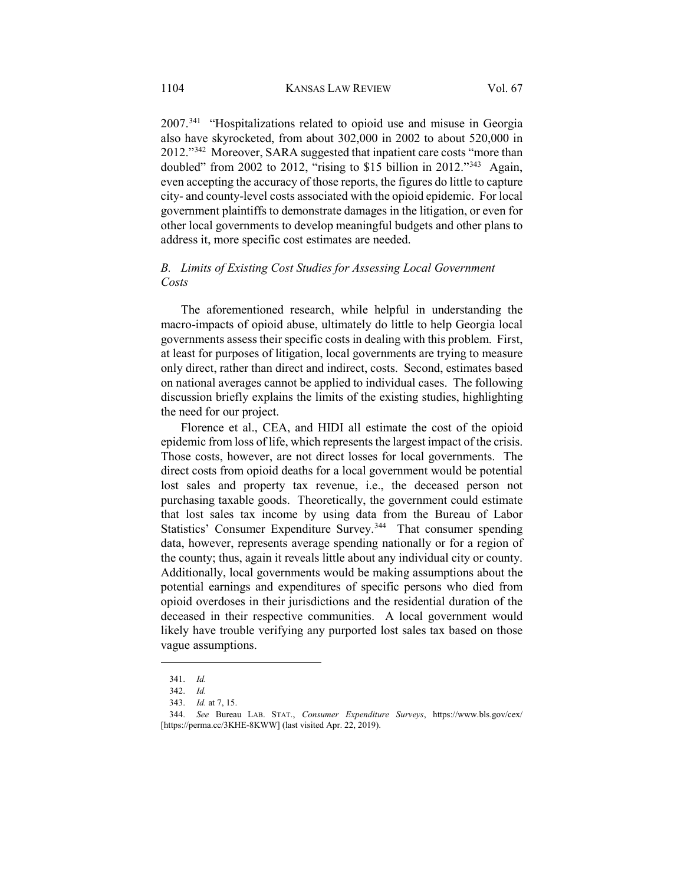2007.[341](#page-43-0) "Hospitalizations related to opioid use and misuse in Georgia also have skyrocketed, from about 302,000 in 2002 to about 520,000 in 2012."[342](#page-43-1) Moreover, SARA suggested that inpatient care costs "more than doubled" from 2002 to 2012, "rising to \$15 billion in 2012.["343](#page-43-2) Again, even accepting the accuracy of those reports, the figures do little to capture city- and county-level costs associated with the opioid epidemic. For local government plaintiffs to demonstrate damages in the litigation, or even for other local governments to develop meaningful budgets and other plans to address it, more specific cost estimates are needed.

# *B. Limits of Existing Cost Studies for Assessing Local Government Costs*

The aforementioned research, while helpful in understanding the macro-impacts of opioid abuse, ultimately do little to help Georgia local governments assess their specific costs in dealing with this problem. First, at least for purposes of litigation, local governments are trying to measure only direct, rather than direct and indirect, costs. Second, estimates based on national averages cannot be applied to individual cases. The following discussion briefly explains the limits of the existing studies, highlighting the need for our project.

Florence et al., CEA, and HIDI all estimate the cost of the opioid epidemic from loss of life, which represents the largest impact of the crisis. Those costs, however, are not direct losses for local governments. The direct costs from opioid deaths for a local government would be potential lost sales and property tax revenue, i.e., the deceased person not purchasing taxable goods. Theoretically, the government could estimate that lost sales tax income by using data from the Bureau of Labor Statistics' Consumer Expenditure Survey.<sup>344</sup> That consumer spending data, however, represents average spending nationally or for a region of the county; thus, again it reveals little about any individual city or county. Additionally, local governments would be making assumptions about the potential earnings and expenditures of specific persons who died from opioid overdoses in their jurisdictions and the residential duration of the deceased in their respective communities. A local government would likely have trouble verifying any purported lost sales tax based on those vague assumptions.

<sup>341.</sup> *Id.*

<sup>342.</sup> *Id.*

<sup>343.</sup> *Id.* at 7, 15.

<span id="page-43-3"></span><span id="page-43-2"></span><span id="page-43-1"></span><span id="page-43-0"></span><sup>344.</sup> *See* Bureau LAB. STAT., *Consumer Expenditure Surveys*, https://www.bls.gov/cex/ [https://perma.cc/3KHE-8KWW] (last visited Apr. 22, 2019).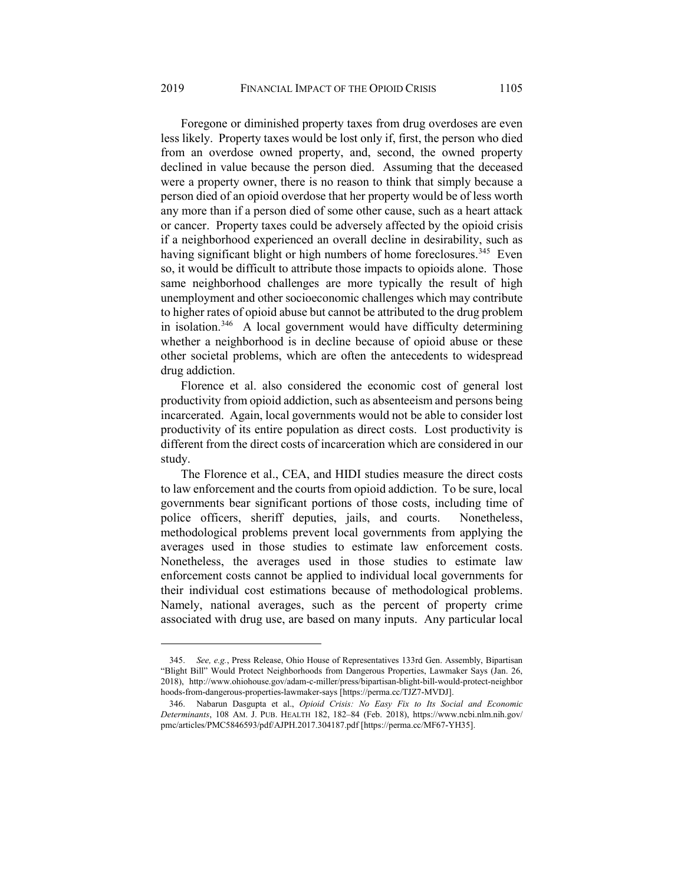Foregone or diminished property taxes from drug overdoses are even less likely. Property taxes would be lost only if, first, the person who died from an overdose owned property, and, second, the owned property declined in value because the person died. Assuming that the deceased were a property owner, there is no reason to think that simply because a person died of an opioid overdose that her property would be of less worth any more than if a person died of some other cause, such as a heart attack or cancer. Property taxes could be adversely affected by the opioid crisis if a neighborhood experienced an overall decline in desirability, such as having significant blight or high numbers of home foreclosures.<sup>345</sup> Even so, it would be difficult to attribute those impacts to opioids alone. Those same neighborhood challenges are more typically the result of high unemployment and other socioeconomic challenges which may contribute to higher rates of opioid abuse but cannot be attributed to the drug problem in isolation.<sup>346</sup> A local government would have difficulty determining whether a neighborhood is in decline because of opioid abuse or these other societal problems, which are often the antecedents to widespread drug addiction.

Florence et al. also considered the economic cost of general lost productivity from opioid addiction, such as absenteeism and persons being incarcerated. Again, local governments would not be able to consider lost productivity of its entire population as direct costs. Lost productivity is different from the direct costs of incarceration which are considered in our study.

The Florence et al., CEA, and HIDI studies measure the direct costs to law enforcement and the courts from opioid addiction. To be sure, local governments bear significant portions of those costs, including time of police officers, sheriff deputies, jails, and courts. Nonetheless, methodological problems prevent local governments from applying the averages used in those studies to estimate law enforcement costs. Nonetheless, the averages used in those studies to estimate law enforcement costs cannot be applied to individual local governments for their individual cost estimations because of methodological problems. Namely, national averages, such as the percent of property crime associated with drug use, are based on many inputs. Any particular local

<span id="page-44-0"></span><sup>345.</sup> *See, e.g.*, Press Release, Ohio House of Representatives 133rd Gen. Assembly, Bipartisan "Blight Bill" Would Protect Neighborhoods from Dangerous Properties, Lawmaker Says (Jan. 26, 2018), http://www.ohiohouse.gov/adam-c-miller/press/bipartisan-blight-bill-would-protect-neighbor hoods-from-dangerous-properties-lawmaker-says [https://perma.cc/TJZ7-MVDJ].

<span id="page-44-1"></span><sup>346.</sup> Nabarun Dasgupta et al., *Opioid Crisis: No Easy Fix to Its Social and Economic Determinants*, 108 AM. J. PUB. HEALTH 182, 182–84 (Feb. 2018), https://www.ncbi.nlm.nih.gov/ pmc/articles/PMC5846593/pdf/AJPH.2017.304187.pdf [https://perma.cc/MF67-YH35].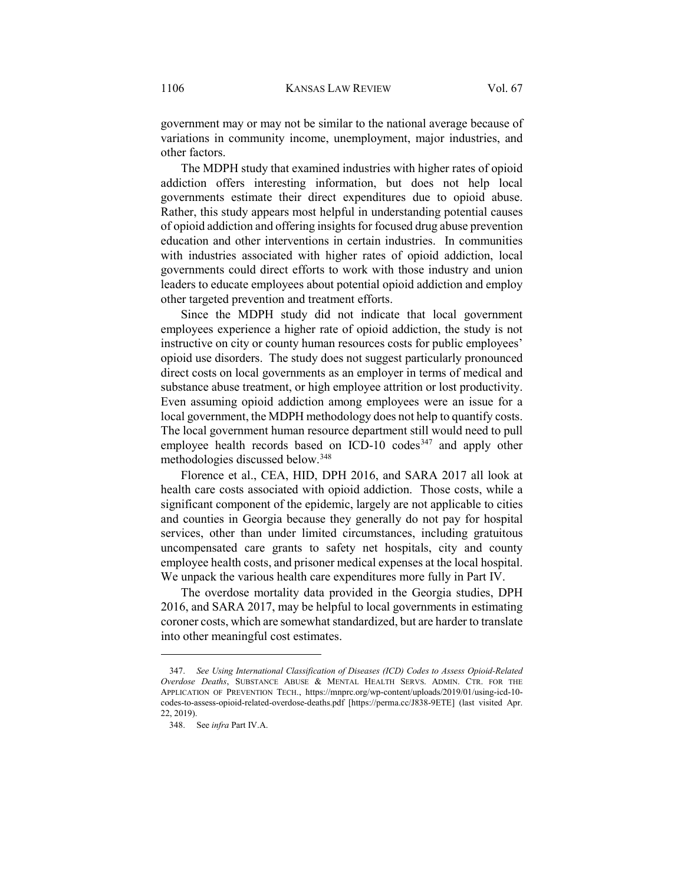government may or may not be similar to the national average because of variations in community income, unemployment, major industries, and other factors.

The MDPH study that examined industries with higher rates of opioid addiction offers interesting information, but does not help local governments estimate their direct expenditures due to opioid abuse. Rather, this study appears most helpful in understanding potential causes of opioid addiction and offering insights for focused drug abuse prevention education and other interventions in certain industries. In communities with industries associated with higher rates of opioid addiction, local governments could direct efforts to work with those industry and union leaders to educate employees about potential opioid addiction and employ other targeted prevention and treatment efforts.

Since the MDPH study did not indicate that local government employees experience a higher rate of opioid addiction, the study is not instructive on city or county human resources costs for public employees' opioid use disorders. The study does not suggest particularly pronounced direct costs on local governments as an employer in terms of medical and substance abuse treatment, or high employee attrition or lost productivity. Even assuming opioid addiction among employees were an issue for a local government, the MDPH methodology does not help to quantify costs. The local government human resource department still would need to pull employee health records based on ICD-10 codes<sup>[347](#page-45-0)</sup> and apply other methodologies discussed below.[348](#page-45-1)

Florence et al., CEA, HID, DPH 2016, and SARA 2017 all look at health care costs associated with opioid addiction. Those costs, while a significant component of the epidemic, largely are not applicable to cities and counties in Georgia because they generally do not pay for hospital services, other than under limited circumstances, including gratuitous uncompensated care grants to safety net hospitals, city and county employee health costs, and prisoner medical expenses at the local hospital. We unpack the various health care expenditures more fully in Part IV.

The overdose mortality data provided in the Georgia studies, DPH 2016, and SARA 2017, may be helpful to local governments in estimating coroner costs, which are somewhat standardized, but are harder to translate into other meaningful cost estimates.

<span id="page-45-1"></span><span id="page-45-0"></span><sup>347.</sup> *See Using International Classification of Diseases (ICD) Codes to Assess Opioid-Related Overdose Deaths*, SUBSTANCE ABUSE & MENTAL HEALTH SERVS. ADMIN. CTR. FOR THE APPLICATION OF PREVENTION TECH., https://mnprc.org/wp-content/uploads/2019/01/using-icd-10 codes-to-assess-opioid-related-overdose-deaths.pdf [https://perma.cc/J838-9ETE] (last visited Apr. 22, 2019).

<sup>348.</sup> See *infra* Part IV.A.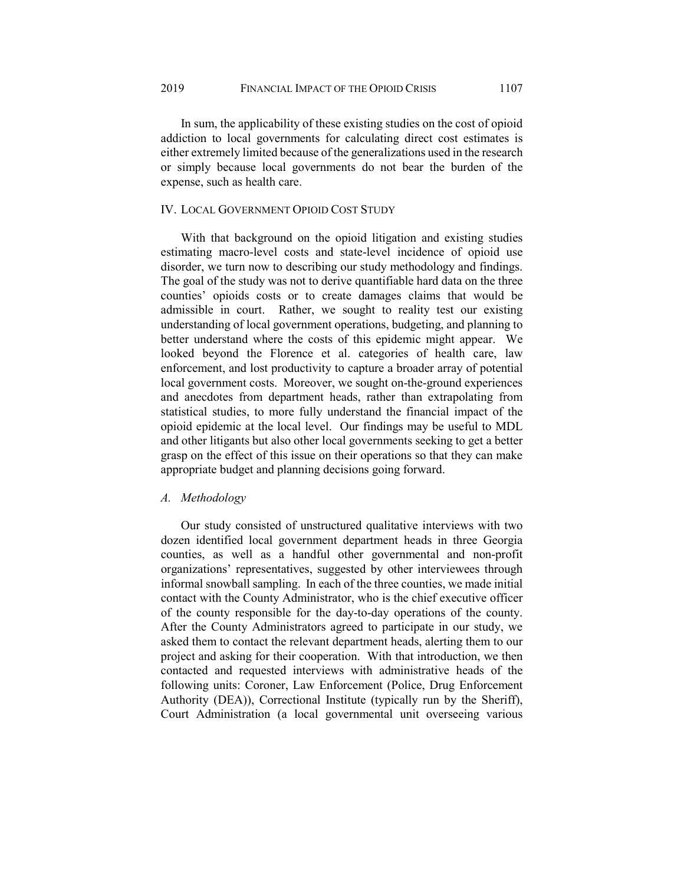In sum, the applicability of these existing studies on the cost of opioid addiction to local governments for calculating direct cost estimates is either extremely limited because of the generalizations used in the research or simply because local governments do not bear the burden of the expense, such as health care.

## IV. LOCAL GOVERNMENT OPIOID COST STUDY

With that background on the opioid litigation and existing studies estimating macro-level costs and state-level incidence of opioid use disorder, we turn now to describing our study methodology and findings. The goal of the study was not to derive quantifiable hard data on the three counties' opioids costs or to create damages claims that would be admissible in court. Rather, we sought to reality test our existing understanding of local government operations, budgeting, and planning to better understand where the costs of this epidemic might appear. We looked beyond the Florence et al. categories of health care, law enforcement, and lost productivity to capture a broader array of potential local government costs. Moreover, we sought on-the-ground experiences and anecdotes from department heads, rather than extrapolating from statistical studies, to more fully understand the financial impact of the opioid epidemic at the local level. Our findings may be useful to MDL and other litigants but also other local governments seeking to get a better grasp on the effect of this issue on their operations so that they can make appropriate budget and planning decisions going forward.

## *A. Methodology*

Our study consisted of unstructured qualitative interviews with two dozen identified local government department heads in three Georgia counties, as well as a handful other governmental and non-profit organizations' representatives, suggested by other interviewees through informal snowball sampling. In each of the three counties, we made initial contact with the County Administrator, who is the chief executive officer of the county responsible for the day-to-day operations of the county. After the County Administrators agreed to participate in our study, we asked them to contact the relevant department heads, alerting them to our project and asking for their cooperation. With that introduction, we then contacted and requested interviews with administrative heads of the following units: Coroner, Law Enforcement (Police, Drug Enforcement Authority (DEA)), Correctional Institute (typically run by the Sheriff), Court Administration (a local governmental unit overseeing various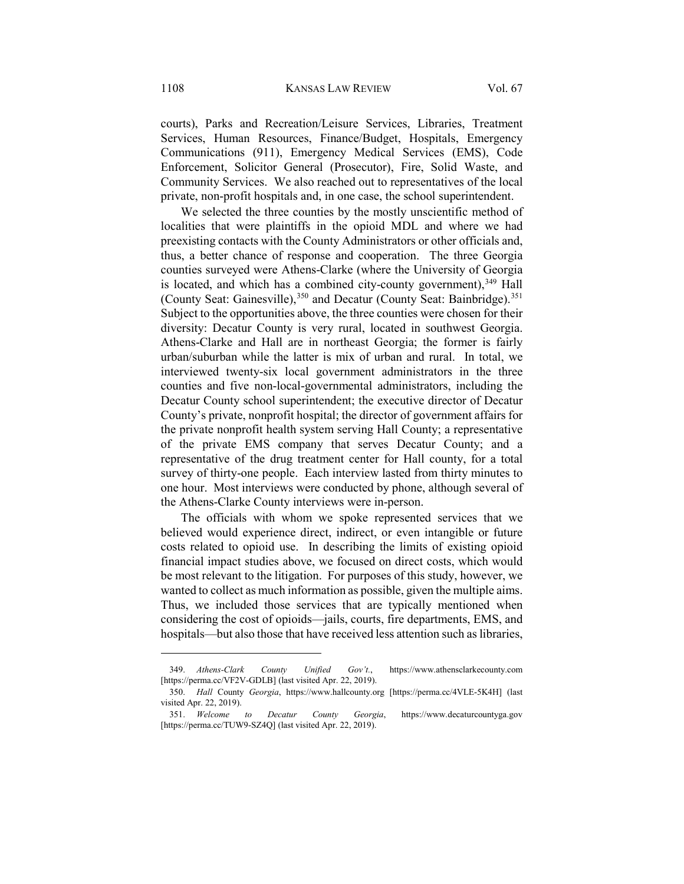courts), Parks and Recreation/Leisure Services, Libraries, Treatment Services, Human Resources, Finance/Budget, Hospitals, Emergency Communications (911), Emergency Medical Services (EMS), Code Enforcement, Solicitor General (Prosecutor), Fire, Solid Waste, and Community Services. We also reached out to representatives of the local private, non-profit hospitals and, in one case, the school superintendent.

We selected the three counties by the mostly unscientific method of localities that were plaintiffs in the opioid MDL and where we had preexisting contacts with the County Administrators or other officials and, thus, a better chance of response and cooperation. The three Georgia counties surveyed were Athens-Clarke (where the University of Georgia is located, and which has a combined city-county government), $349$  Hall (County Seat: Gainesville),<sup>[350](#page-47-1)</sup> and Decatur (County Seat: Bainbridge).<sup>[351](#page-47-2)</sup> Subject to the opportunities above, the three counties were chosen for their diversity: Decatur County is very rural, located in southwest Georgia. Athens-Clarke and Hall are in northeast Georgia; the former is fairly urban/suburban while the latter is mix of urban and rural. In total, we interviewed twenty-six local government administrators in the three counties and five non-local-governmental administrators, including the Decatur County school superintendent; the executive director of Decatur County's private, nonprofit hospital; the director of government affairs for the private nonprofit health system serving Hall County; a representative of the private EMS company that serves Decatur County; and a representative of the drug treatment center for Hall county, for a total survey of thirty-one people. Each interview lasted from thirty minutes to one hour. Most interviews were conducted by phone, although several of the Athens-Clarke County interviews were in-person.

The officials with whom we spoke represented services that we believed would experience direct, indirect, or even intangible or future costs related to opioid use. In describing the limits of existing opioid financial impact studies above, we focused on direct costs, which would be most relevant to the litigation. For purposes of this study, however, we wanted to collect as much information as possible, given the multiple aims. Thus, we included those services that are typically mentioned when considering the cost of opioids—jails, courts, fire departments, EMS, and hospitals—but also those that have received less attention such as libraries,

<span id="page-47-0"></span><sup>349.</sup> *Athens-Clark County Unified Gov't.*, https://www.athensclarkecounty.com [https://perma.cc/VF2V-GDLB] (last visited Apr. 22, 2019).

<span id="page-47-1"></span><sup>350.</sup> *Hall* County *Georgia*, https://www.hallcounty.org [https://perma.cc/4VLE-5K4H] (last visited Apr. 22, 2019).

<span id="page-47-2"></span><sup>351.</sup> *Welcome to Decatur County Georgia*, https://www.decaturcountyga.gov [https://perma.cc/TUW9-SZ4Q] (last visited Apr. 22, 2019).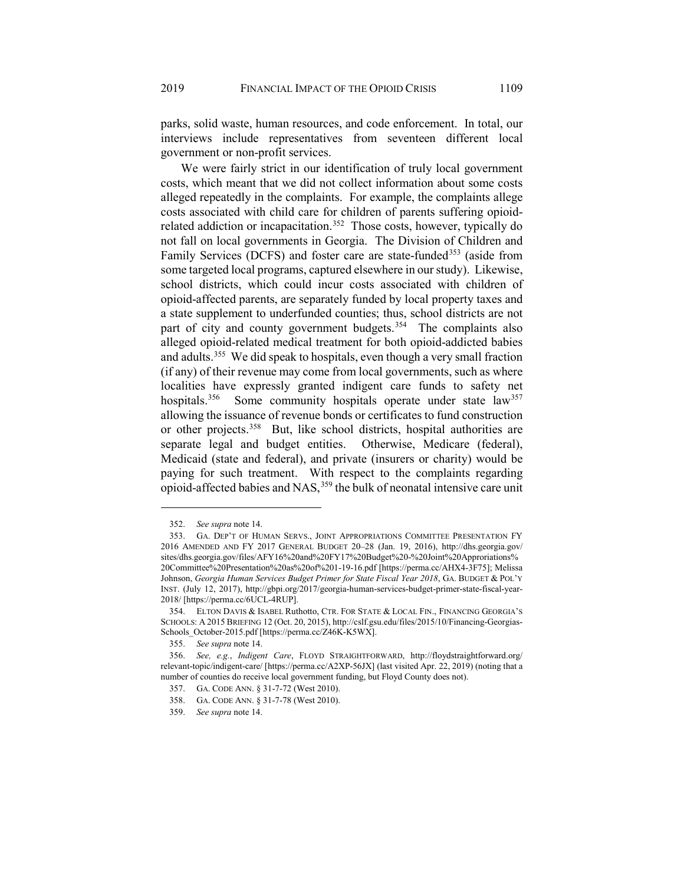parks, solid waste, human resources, and code enforcement. In total, our interviews include representatives from seventeen different local government or non-profit services.

We were fairly strict in our identification of truly local government costs, which meant that we did not collect information about some costs alleged repeatedly in the complaints. For example, the complaints allege costs associated with child care for children of parents suffering opioid-related addiction or incapacitation.<sup>[352](#page-48-0)</sup> Those costs, however, typically do not fall on local governments in Georgia. The Division of Children and Family Services (DCFS) and foster care are state-funded<sup>[353](#page-48-1)</sup> (aside from some targeted local programs, captured elsewhere in our study). Likewise, school districts, which could incur costs associated with children of opioid-affected parents, are separately funded by local property taxes and a state supplement to underfunded counties; thus, school districts are not part of city and county government budgets.<sup>[354](#page-48-2)</sup> The complaints also alleged opioid-related medical treatment for both opioid-addicted babies and adults.[355](#page-48-3) We did speak to hospitals, even though a very small fraction (if any) of their revenue may come from local governments, such as where localities have expressly granted indigent care funds to safety net hospitals.<sup>356</sup> Some community hospitals operate under state law<sup>[357](#page-48-5)</sup> allowing the issuance of revenue bonds or certificates to fund construction or other projects.<sup>358</sup> But, like school districts, hospital authorities are separate legal and budget entities. Otherwise, Medicare (federal), Medicaid (state and federal), and private (insurers or charity) would be paying for such treatment. With respect to the complaints regarding opioid-affected babies and NAS,<sup>[359](#page-48-7)</sup> the bulk of neonatal intensive care unit

<sup>352.</sup> *See supra* note [14.](#page-4-0)

<span id="page-48-1"></span><span id="page-48-0"></span><sup>353.</sup> GA. DEP'T OF HUMAN SERVS., JOINT APPROPRIATIONS COMMITTEE PRESENTATION FY 2016 AMENDED AND FY 2017 GENERAL BUDGET 20–28 (Jan. 19, 2016), http://dhs.georgia.gov/ sites/dhs.georgia.gov/files/AFY16%20and%20FY17%20Budget%20-%20Joint%20Approriations% 20Committee%20Presentation%20as%20of%201-19-16.pdf [https://perma.cc/AHX4-3F75]; Melissa Johnson, *Georgia Human Services Budget Primer for State Fiscal Year 2018*, GA. BUDGET & POL'Y INST. (July 12, 2017), http://gbpi.org/2017/georgia-human-services-budget-primer-state-fiscal-year-2018/ [https://perma.cc/6UCL-4RUP].

<span id="page-48-2"></span><sup>354.</sup> ELTON DAVIS & ISABEL Ruthotto, CTR. FOR STATE & LOCAL FIN., FINANCING GEORGIA'S SCHOOLS: A 2015 BRIEFING 12 (Oct. 20, 2015), http://cslf.gsu.edu/files/2015/10/Financing-Georgias-Schools\_October-2015.pdf [https://perma.cc/Z46K-K5WX].

<sup>355.</sup> *See supra* note 14.

<span id="page-48-7"></span><span id="page-48-6"></span><span id="page-48-5"></span><span id="page-48-4"></span><span id="page-48-3"></span><sup>356.</sup> *See, e.g.*, *Indigent Care*, FLOYD STRAIGHTFORWARD, http://floydstraightforward.org/ relevant-topic/indigent-care/ [https://perma.cc/A2XP-56JX] (last visited Apr. 22, 2019) (noting that a number of counties do receive local government funding, but Floyd County does not).

<sup>357.</sup> GA. CODE ANN. § 31-7-72 (West 2010).

<sup>358.</sup> GA. CODE ANN. § 31-7-78 (West 2010).

<sup>359.</sup> *See supra* note 14.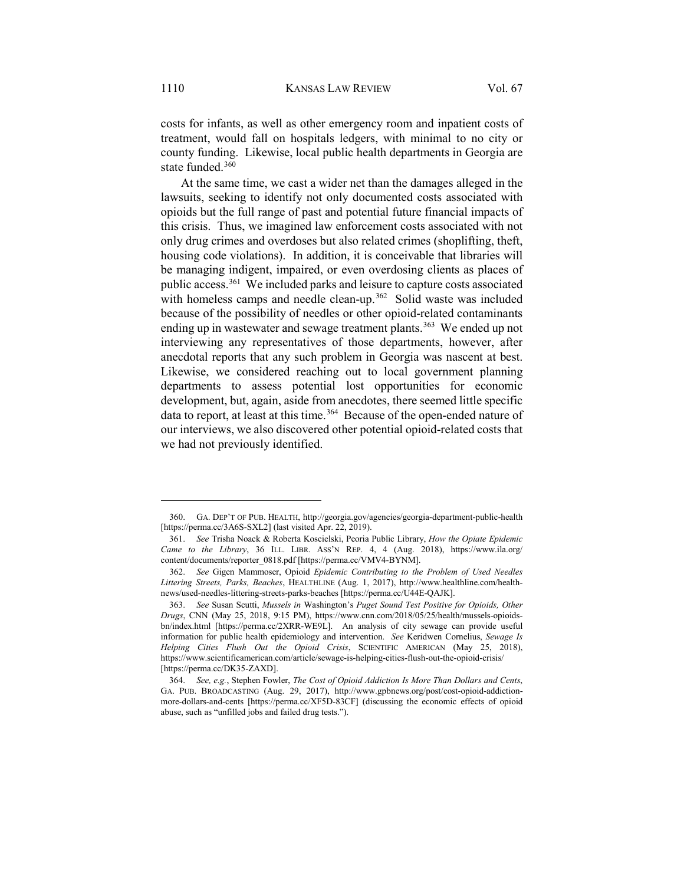costs for infants, as well as other emergency room and inpatient costs of treatment, would fall on hospitals ledgers, with minimal to no city or county funding. Likewise, local public health departments in Georgia are state funded.[360](#page-49-0)

At the same time, we cast a wider net than the damages alleged in the lawsuits, seeking to identify not only documented costs associated with opioids but the full range of past and potential future financial impacts of this crisis. Thus, we imagined law enforcement costs associated with not only drug crimes and overdoses but also related crimes (shoplifting, theft, housing code violations). In addition, it is conceivable that libraries will be managing indigent, impaired, or even overdosing clients as places of public access.[361](#page-49-1) We included parks and leisure to capture costs associated with homeless camps and needle clean-up.<sup>362</sup> Solid waste was included because of the possibility of needles or other opioid-related contaminants ending up in wastewater and sewage treatment plants.<sup>363</sup> We ended up not interviewing any representatives of those departments, however, after anecdotal reports that any such problem in Georgia was nascent at best. Likewise, we considered reaching out to local government planning departments to assess potential lost opportunities for economic development, but, again, aside from anecdotes, there seemed little specific data to report, at least at this time.<sup>364</sup> Because of the open-ended nature of our interviews, we also discovered other potential opioid-related costs that we had not previously identified.

<span id="page-49-0"></span><sup>360.</sup> GA. DEP'T OF PUB. HEALTH, http://georgia.gov/agencies/georgia-department-public-health [https://perma.cc/3A6S-SXL2] (last visited Apr. 22, 2019).

<span id="page-49-1"></span><sup>361.</sup> *See* Trisha Noack & Roberta Koscielski, Peoria Public Library, *How the Opiate Epidemic Came to the Library*, 36 ILL. LIBR. ASS'N REP. 4, 4 (Aug. 2018), https://www.ila.org/ content/documents/reporter\_0818.pdf [https://perma.cc/VMV4-BYNM].

<span id="page-49-2"></span><sup>362.</sup> *See* Gigen Mammoser, Opioid *Epidemic Contributing to the Problem of Used Needles Littering Streets, Parks, Beaches*, HEALTHLINE (Aug. 1, 2017), http://www.healthline.com/healthnews/used-needles-littering-streets-parks-beaches [https://perma.cc/U44E-QAJK].

<span id="page-49-3"></span><sup>363.</sup> *See* Susan Scutti, *Mussels in* Washington's *Puget Sound Test Positive for Opioids, Other Drugs*, CNN (May 25, 2018, 9:15 PM), https://www.cnn.com/2018/05/25/health/mussels-opioidsbn/index.html [https://perma.cc/2XRR-WE9L]. An analysis of city sewage can provide useful information for public health epidemiology and intervention. *See* Keridwen Cornelius, *Sewage Is Helping Cities Flush Out the Opioid Crisis*, SCIENTIFIC AMERICAN (May 25, 2018), https://www.scientificamerican.com/article/sewage-is-helping-cities-flush-out-the-opioid-crisis/ [https://perma.cc/DK35-ZAXD].

<span id="page-49-4"></span><sup>364.</sup> *See, e.g.*, Stephen Fowler, *The Cost of Opioid Addiction Is More Than Dollars and Cents*, GA. PUB. BROADCASTING (Aug. 29, 2017), http://www.gpbnews.org/post/cost-opioid-addictionmore-dollars-and-cents [https://perma.cc/XF5D-83CF] (discussing the economic effects of opioid abuse, such as "unfilled jobs and failed drug tests.").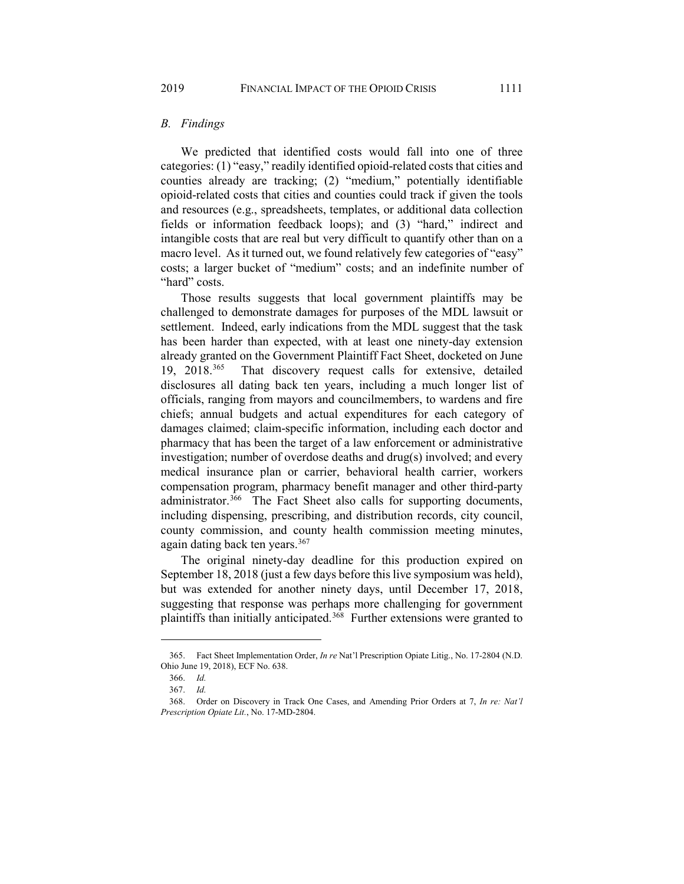## *B. Findings*

We predicted that identified costs would fall into one of three categories: (1) "easy," readily identified opioid-related costs that cities and counties already are tracking; (2) "medium," potentially identifiable opioid-related costs that cities and counties could track if given the tools and resources (e.g., spreadsheets, templates, or additional data collection fields or information feedback loops); and (3) "hard," indirect and intangible costs that are real but very difficult to quantify other than on a macro level. As it turned out, we found relatively few categories of "easy" costs; a larger bucket of "medium" costs; and an indefinite number of "hard" costs.

Those results suggests that local government plaintiffs may be challenged to demonstrate damages for purposes of the MDL lawsuit or settlement. Indeed, early indications from the MDL suggest that the task has been harder than expected, with at least one ninety-day extension already granted on the Government Plaintiff Fact Sheet, docketed on June 19, 2018.<sup>[365](#page-50-0)</sup> That discovery request calls for extensive, detailed disclosures all dating back ten years, including a much longer list of officials, ranging from mayors and councilmembers, to wardens and fire chiefs; annual budgets and actual expenditures for each category of damages claimed; claim-specific information, including each doctor and pharmacy that has been the target of a law enforcement or administrative investigation; number of overdose deaths and drug(s) involved; and every medical insurance plan or carrier, behavioral health carrier, workers compensation program, pharmacy benefit manager and other third-party administrator.<sup>[366](#page-50-1)</sup> The Fact Sheet also calls for supporting documents, including dispensing, prescribing, and distribution records, city council, county commission, and county health commission meeting minutes, again dating back ten years.<sup>[367](#page-50-2)</sup>

The original ninety-day deadline for this production expired on September 18, 2018 (just a few days before this live symposium was held), but was extended for another ninety days, until December 17, 2018, suggesting that response was perhaps more challenging for government plaintiffs than initially anticipated. [368](#page-50-3) Further extensions were granted to

<span id="page-50-0"></span><sup>365.</sup> Fact Sheet Implementation Order, *In re* Nat'l Prescription Opiate Litig., No. 17-2804 (N.D. Ohio June 19, 2018), ECF No. 638.

<sup>366.</sup> *Id.*

<sup>367.</sup> *Id.*

<span id="page-50-3"></span><span id="page-50-2"></span><span id="page-50-1"></span><sup>368.</sup> Order on Discovery in Track One Cases, and Amending Prior Orders at 7, *In re: Nat'l Prescription Opiate Lit.*, No. 17-MD-2804.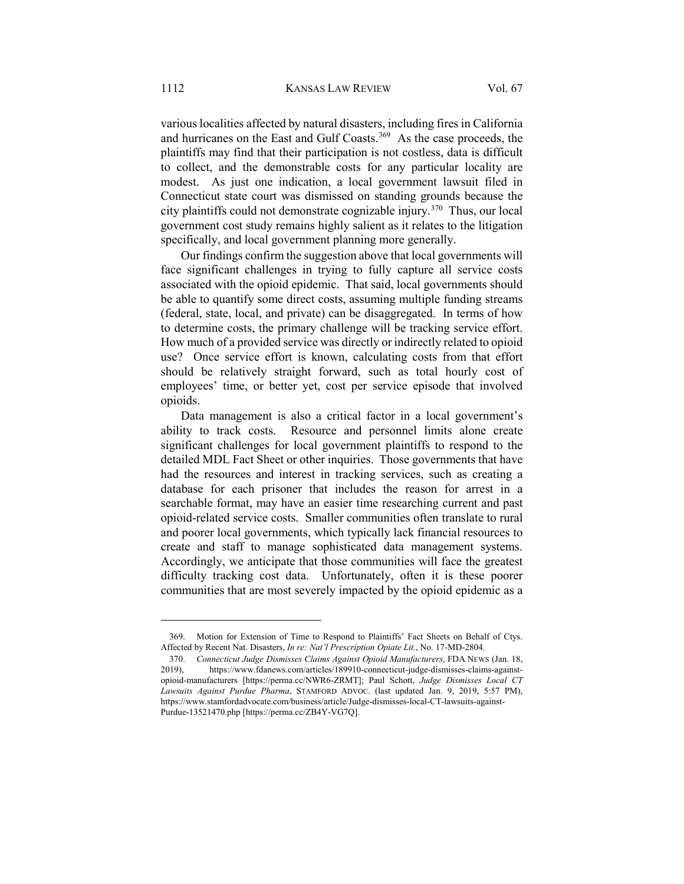various localities affected by natural disasters, including fires in California and hurricanes on the East and Gulf Coasts.<sup>369</sup> As the case proceeds, the plaintiffs may find that their participation is not costless, data is difficult to collect, and the demonstrable costs for any particular locality are modest. As just one indication, a local government lawsuit filed in Connecticut state court was dismissed on standing grounds because the city plaintiffs could not demonstrate cognizable injury.[370](#page-51-1) Thus, our local government cost study remains highly salient as it relates to the litigation specifically, and local government planning more generally.

<span id="page-51-2"></span>Our findings confirm the suggestion above that local governments will face significant challenges in trying to fully capture all service costs associated with the opioid epidemic. That said, local governments should be able to quantify some direct costs, assuming multiple funding streams (federal, state, local, and private) can be disaggregated. In terms of how to determine costs, the primary challenge will be tracking service effort. How much of a provided service was directly or indirectly related to opioid use? Once service effort is known, calculating costs from that effort should be relatively straight forward, such as total hourly cost of employees' time, or better yet, cost per service episode that involved opioids.

Data management is also a critical factor in a local government's ability to track costs. Resource and personnel limits alone create significant challenges for local government plaintiffs to respond to the detailed MDL Fact Sheet or other inquiries. Those governments that have had the resources and interest in tracking services, such as creating a database for each prisoner that includes the reason for arrest in a searchable format, may have an easier time researching current and past opioid-related service costs. Smaller communities often translate to rural and poorer local governments, which typically lack financial resources to create and staff to manage sophisticated data management systems. Accordingly, we anticipate that those communities will face the greatest difficulty tracking cost data. Unfortunately, often it is these poorer communities that are most severely impacted by the opioid epidemic as a

<span id="page-51-0"></span><sup>369.</sup> Motion for Extension of Time to Respond to Plaintiffs' Fact Sheets on Behalf of Ctys. Affected by Recent Nat. Disasters, *In re: Nat'l Prescription Opiate Lit.*, No. 17-MD-2804.

<span id="page-51-1"></span><sup>370.</sup> *Connecticut Judge Dismisses Claims Against Opioid Manufacturers*, FDA NEWS (Jan. 18, 2019), https://www.fdanews.com/articles/189910-connecticut-judge-dismisses-claims-againstopioid-manufacturers [https://perma.cc/NWR6-ZRMT]; Paul Schott, *Judge Dismisses Local CT Lawsuits Against Purdue Pharma*, STAMFORD ADVOC. (last updated Jan. 9, 2019, 5:57 PM), https://www.stamfordadvocate.com/business/article/Judge-dismisses-local-CT-lawsuits-against-Purdue-13521470.php [https://perma.cc/ZB4Y-VG7Q].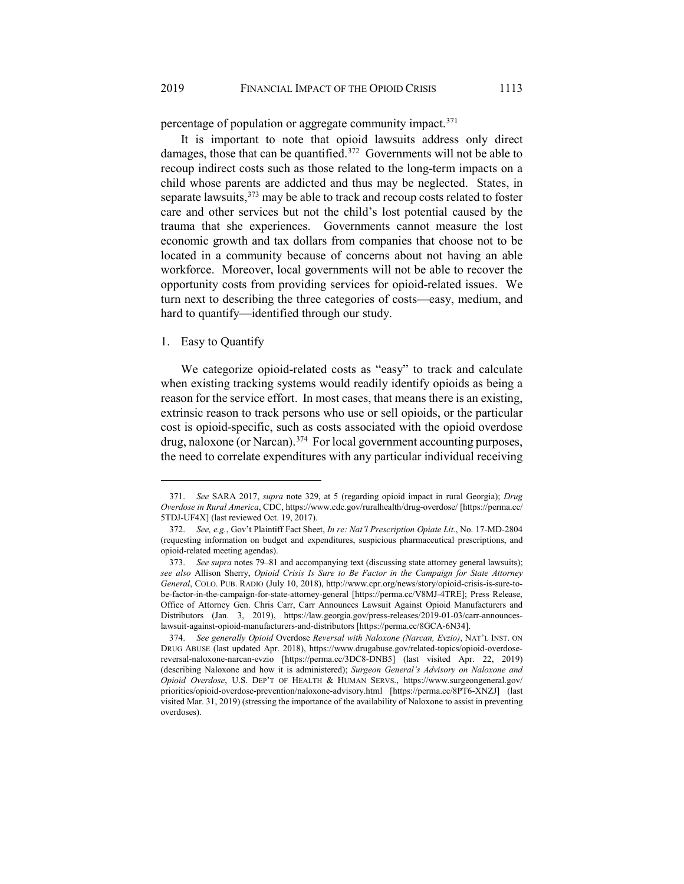percentage of population or aggregate community impact.<sup>[371](#page-52-0)</sup>

It is important to note that opioid lawsuits address only direct damages, those that can be quantified.[372](#page-52-1) Governments will not be able to recoup indirect costs such as those related to the long-term impacts on a child whose parents are addicted and thus may be neglected. States, in separate lawsuits,<sup>[373](#page-52-2)</sup> may be able to track and recoup costs related to foster care and other services but not the child's lost potential caused by the trauma that she experiences. Governments cannot measure the lost economic growth and tax dollars from companies that choose not to be located in a community because of concerns about not having an able workforce. Moreover, local governments will not be able to recover the opportunity costs from providing services for opioid-related issues. We turn next to describing the three categories of costs—easy, medium, and hard to quantify—identified through our study.

#### 1. Easy to Quantify

 $\overline{a}$ 

We categorize opioid-related costs as "easy" to track and calculate when existing tracking systems would readily identify opioids as being a reason for the service effort. In most cases, that means there is an existing, extrinsic reason to track persons who use or sell opioids, or the particular cost is opioid-specific, such as costs associated with the opioid overdose drug, naloxone (or Narcan).<sup>374</sup> For local government accounting purposes, the need to correlate expenditures with any particular individual receiving

<span id="page-52-0"></span><sup>371.</sup> *See* SARA 2017, *supra* note [329,](#page-42-12) at 5 (regarding opioid impact in rural Georgia); *Drug Overdose in Rural America*, CDC, https://www.cdc.gov/ruralhealth/drug-overdose/ [https://perma.cc/ 5TDJ-UF4X] (last reviewed Oct. 19, 2017).

<span id="page-52-1"></span><sup>372.</sup> *See, e.g.*, Gov't Plaintiff Fact Sheet, *In re: Nat'l Prescription Opiate Lit.*, No. 17-MD-2804 (requesting information on budget and expenditures, suspicious pharmaceutical prescriptions, and opioid-related meeting agendas).

<span id="page-52-2"></span><sup>373.</sup> *See supra* notes [79–](#page-12-0)[81](#page-12-1) and accompanying text (discussing state attorney general lawsuits); *see also* Allison Sherry, *Opioid Crisis Is Sure to Be Factor in the Campaign for State Attorney General*, COLO. PUB. RADIO (July 10, 2018), http://www.cpr.org/news/story/opioid-crisis-is-sure-tobe-factor-in-the-campaign-for-state-attorney-general [https://perma.cc/V8MJ-4TRE]; Press Release, Office of Attorney Gen. Chris Carr, Carr Announces Lawsuit Against Opioid Manufacturers and Distributors (Jan. 3, 2019), https://law.georgia.gov/press-releases/2019-01-03/carr-announceslawsuit-against-opioid-manufacturers-and-distributors [https://perma.cc/8GCA-6N34].

<span id="page-52-3"></span><sup>374.</sup> *See generally Opioid* Overdose *Reversal with Naloxone (Narcan, Evzio)*, NAT'L INST. ON DRUG ABUSE (last updated Apr. 2018), https://www.drugabuse.gov/related-topics/opioid-overdosereversal-naloxone-narcan-evzio [https://perma.cc/3DC8-DNB5] (last visited Apr. 22, 2019) (describing Naloxone and how it is administered); *Surgeon General's Advisory on Naloxone and Opioid Overdose*, U.S. DEP'T OF HEALTH & HUMAN SERVS., https://www.surgeongeneral.gov/ priorities/opioid-overdose-prevention/naloxone-advisory.html [https://perma.cc/8PT6-XNZJ] (last visited Mar. 31, 2019) (stressing the importance of the availability of Naloxone to assist in preventing overdoses).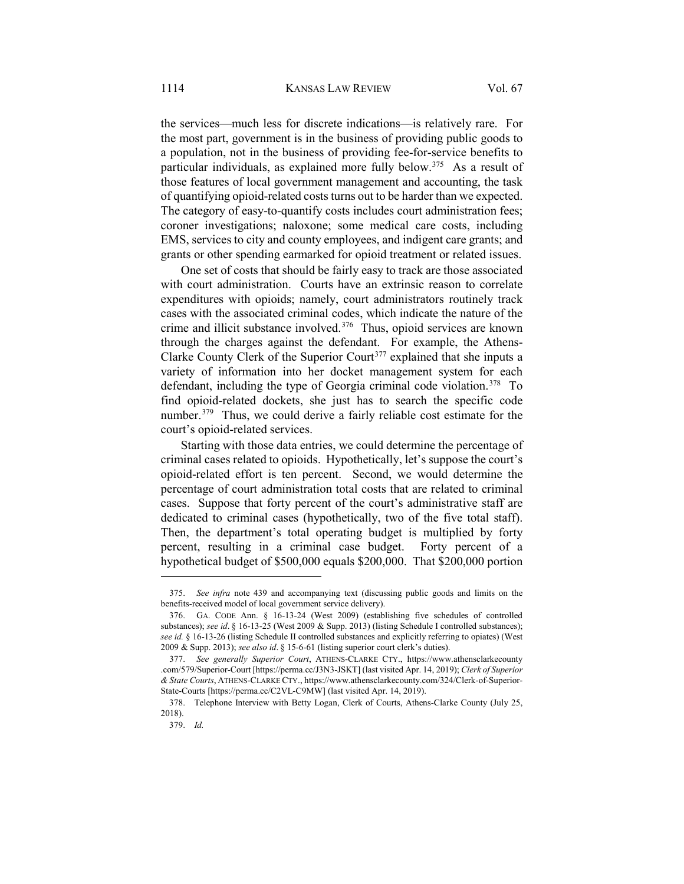the services—much less for discrete indications—is relatively rare. For the most part, government is in the business of providing public goods to a population, not in the business of providing fee-for-service benefits to particular individuals, as explained more fully below.[375](#page-53-0) As a result of those features of local government management and accounting, the task of quantifying opioid-related costs turns out to be harder than we expected. The category of easy-to-quantify costs includes court administration fees; coroner investigations; naloxone; some medical care costs, including EMS, services to city and county employees, and indigent care grants; and grants or other spending earmarked for opioid treatment or related issues.

One set of costs that should be fairly easy to track are those associated with court administration. Courts have an extrinsic reason to correlate expenditures with opioids; namely, court administrators routinely track cases with the associated criminal codes, which indicate the nature of the crime and illicit substance involved.[376](#page-53-1) Thus, opioid services are known through the charges against the defendant. For example, the Athens-Clarke County Clerk of the Superior Court<sup>[377](#page-53-2)</sup> explained that she inputs a variety of information into her docket management system for each defendant, including the type of Georgia criminal code violation.<sup>[378](#page-53-3)</sup> To find opioid-related dockets, she just has to search the specific code number.<sup>[379](#page-53-4)</sup> Thus, we could derive a fairly reliable cost estimate for the court's opioid-related services.

Starting with those data entries, we could determine the percentage of criminal cases related to opioids. Hypothetically, let's suppose the court's opioid-related effort is ten percent. Second, we would determine the percentage of court administration total costs that are related to criminal cases. Suppose that forty percent of the court's administrative staff are dedicated to criminal cases (hypothetically, two of the five total staff). Then, the department's total operating budget is multiplied by forty percent, resulting in a criminal case budget. Forty percent of a hypothetical budget of \$500,000 equals \$200,000. That \$200,000 portion

<span id="page-53-0"></span><sup>375.</sup> *See infra* note [439](#page-65-0) and accompanying text (discussing public goods and limits on the benefits-received model of local government service delivery).

<span id="page-53-1"></span><sup>376.</sup> GA. CODE Ann. § 16-13-24 (West 2009) (establishing five schedules of controlled substances); *see id*. § 16-13-25 (West 2009 & Supp. 2013) (listing Schedule I controlled substances); *see id.* § 16-13-26 (listing Schedule II controlled substances and explicitly referring to opiates) (West 2009 & Supp. 2013); *see also id*. § 15-6-61 (listing superior court clerk's duties).

<span id="page-53-2"></span><sup>377.</sup> *See generally Superior Court*, ATHENS-CLARKE CTY., https://www.athensclarkecounty .com/579/Superior-Court [https://perma.cc/J3N3-JSKT] (last visited Apr. 14, 2019); *Clerk of Superior & State Courts*, ATHENS-CLARKE CTY., https://www.athensclarkecounty.com/324/Clerk-of-Superior-State-Courts [https://perma.cc/C2VL-C9MW] (last visited Apr. 14, 2019).

<span id="page-53-4"></span><span id="page-53-3"></span><sup>378.</sup> Telephone Interview with Betty Logan, Clerk of Courts, Athens-Clarke County (July 25, 2018).

<sup>379.</sup> *Id.*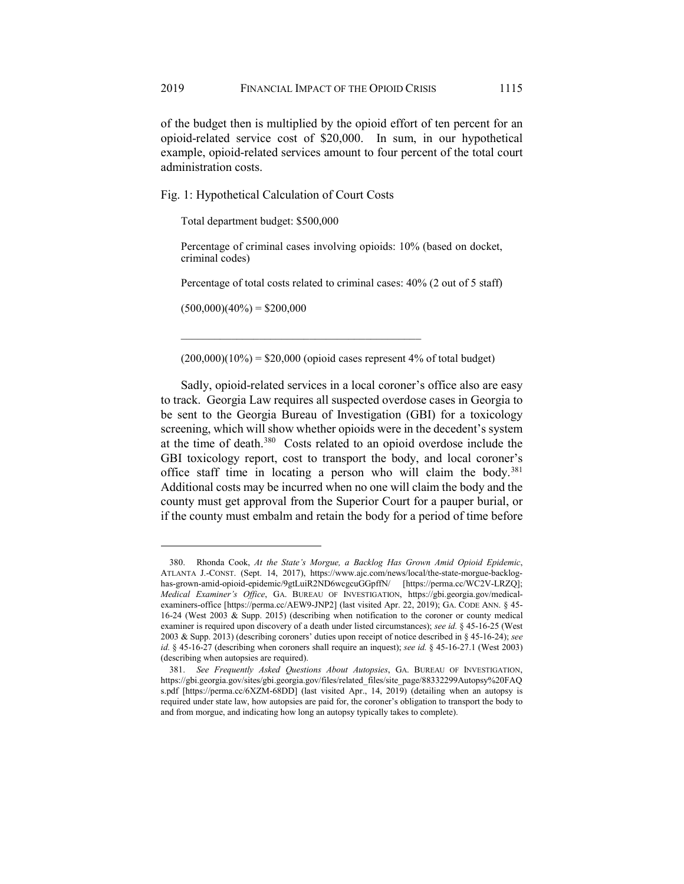of the budget then is multiplied by the opioid effort of ten percent for an opioid-related service cost of \$20,000. In sum, in our hypothetical example, opioid-related services amount to four percent of the total court administration costs.

Fig. 1: Hypothetical Calculation of Court Costs

Total department budget: \$500,000

Percentage of criminal cases involving opioids: 10% (based on docket, criminal codes)

Percentage of total costs related to criminal cases: 40% (2 out of 5 staff)

 $(500,000)(40\%) = $200,000$ 

 $\overline{a}$ 

 $(200,000)(10\%) = $20,000$  (opioid cases represent 4% of total budget)

 $\mathcal{L}_\mathcal{L}$  , and the set of the set of the set of the set of the set of the set of the set of the set of the set of the set of the set of the set of the set of the set of the set of the set of the set of the set of th

Sadly, opioid-related services in a local coroner's office also are easy to track. Georgia Law requires all suspected overdose cases in Georgia to be sent to the Georgia Bureau of Investigation (GBI) for a toxicology screening, which will show whether opioids were in the decedent's system at the time of death[.380](#page-54-0) Costs related to an opioid overdose include the GBI toxicology report, cost to transport the body, and local coroner's office staff time in locating a person who will claim the body.[381](#page-54-1) Additional costs may be incurred when no one will claim the body and the county must get approval from the Superior Court for a pauper burial, or if the county must embalm and retain the body for a period of time before

<span id="page-54-0"></span><sup>380.</sup> Rhonda Cook, *At the State's Morgue, a Backlog Has Grown Amid Opioid Epidemic*, ATLANTA J.-CONST. (Sept. 14, 2017), https://www.ajc.com/news/local/the-state-morgue-backloghas-grown-amid-opioid-epidemic/9gtLuiR2ND6wcgcuGGpffN/ [https://perma.cc/WC2V-LRZQ]; *Medical Examiner's Office*, GA. BUREAU OF INVESTIGATION, https://gbi.georgia.gov/medicalexaminers-office [https://perma.cc/AEW9-JNP2] (last visited Apr. 22, 2019); GA. CODE ANN. § 45- 16-24 (West 2003 & Supp. 2015) (describing when notification to the coroner or county medical examiner is required upon discovery of a death under listed circumstances); *see id.* § 45-16-25 (West 2003 & Supp. 2013) (describing coroners' duties upon receipt of notice described in § 45-16-24); *see id.* § 45-16-27 (describing when coroners shall require an inquest); *see id.* § 45-16-27.1 (West 2003) (describing when autopsies are required).

<span id="page-54-2"></span><span id="page-54-1"></span><sup>381.</sup> *See Frequently Asked Questions About Autopsies*, GA. BUREAU OF INVESTIGATION, https://gbi.georgia.gov/sites/gbi.georgia.gov/files/related\_files/site\_page/88332299Autopsy%20FAQ s.pdf [https://perma.cc/6XZM-68DD] (last visited Apr., 14, 2019) (detailing when an autopsy is required under state law, how autopsies are paid for, the coroner's obligation to transport the body to and from morgue, and indicating how long an autopsy typically takes to complete).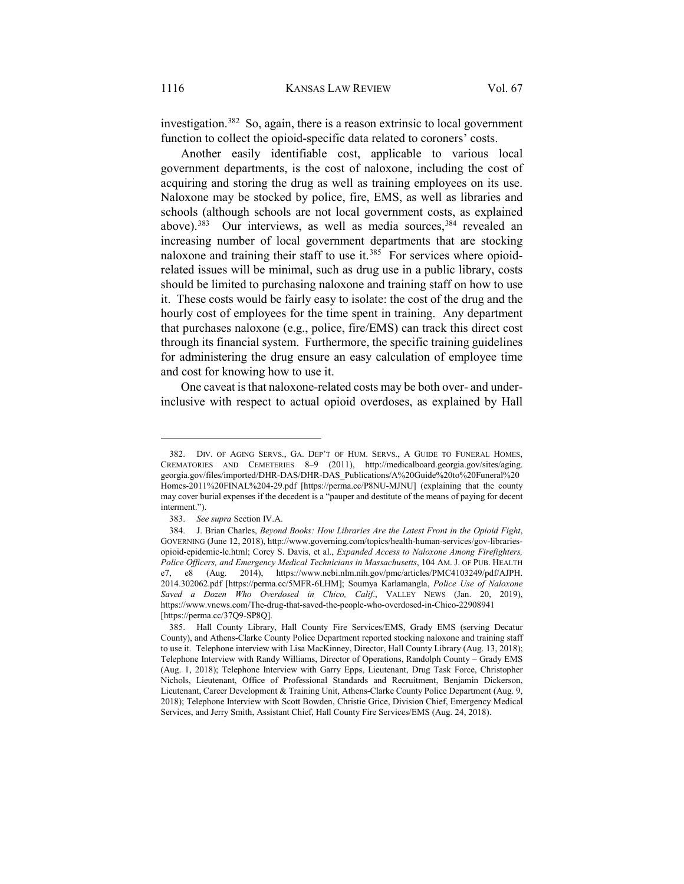investigation.<sup>382</sup> So, again, there is a reason extrinsic to local government function to collect the opioid-specific data related to coroners' costs.

Another easily identifiable cost, applicable to various local government departments, is the cost of naloxone, including the cost of acquiring and storing the drug as well as training employees on its use. Naloxone may be stocked by police, fire, EMS, as well as libraries and schools (although schools are not local government costs, as explained above).<sup>383</sup> Our interviews, as well as media sources,<sup>[384](#page-55-1)</sup> revealed an increasing number of local government departments that are stocking naloxone and training their staff to use it.<sup>[385](#page-55-2)</sup> For services where opioidrelated issues will be minimal, such as drug use in a public library, costs should be limited to purchasing naloxone and training staff on how to use it. These costs would be fairly easy to isolate: the cost of the drug and the hourly cost of employees for the time spent in training. Any department that purchases naloxone (e.g., police, fire/EMS) can track this direct cost through its financial system. Furthermore, the specific training guidelines for administering the drug ensure an easy calculation of employee time and cost for knowing how to use it.

One caveat is that naloxone-related costs may be both over- and underinclusive with respect to actual opioid overdoses, as explained by Hall

<sup>382.</sup> DIV. OF AGING SERVS., GA. DEP'T OF HUM. SERVS., A GUIDE TO FUNERAL HOMES, CREMATORIES AND CEMETERIES 8–9 (2011), http://medicalboard.georgia.gov/sites/aging. georgia.gov/files/imported/DHR-DAS/DHR-DAS\_Publications/A%20Guide%20to%20Funeral%20 Homes-2011%20FINAL%204-29.pdf [https://perma.cc/P8NU-MJNU] (explaining that the county may cover burial expenses if the decedent is a "pauper and destitute of the means of paying for decent interment.").

<sup>383.</sup> *See supra* Section IV.A.

<span id="page-55-1"></span><span id="page-55-0"></span><sup>384.</sup> J. Brian Charles, *Beyond Books: How Libraries Are the Latest Front in the Opioid Fight*, GOVERNING (June 12, 2018), http://www.governing.com/topics/health-human-services/gov-librariesopioid-epidemic-lc.html; Corey S. Davis, et al., *Expanded Access to Naloxone Among Firefighters, Police Officers, and Emergency Medical Technicians in Massachusetts*, 104 AM. J. OF PUB. HEALTH e7, e8 (Aug. 2014), https://www.ncbi.nlm.nih.gov/pmc/articles/PMC4103249/pdf/AJPH. 2014.302062.pdf [https://perma.cc/5MFR-6LHM]; Soumya Karlamangla, *Police Use of Naloxone Saved a Dozen Who Overdosed in Chico, Calif*., VALLEY NEWS (Jan. 20, 2019), https://www.vnews.com/The-drug-that-saved-the-people-who-overdosed-in-Chico-22908941 [https://perma.cc/37Q9-SP8Q].

<span id="page-55-2"></span><sup>385.</sup> Hall County Library, Hall County Fire Services/EMS, Grady EMS (serving Decatur County), and Athens-Clarke County Police Department reported stocking naloxone and training staff to use it. Telephone interview with Lisa MacKinney, Director, Hall County Library (Aug. 13, 2018); Telephone Interview with Randy Williams, Director of Operations, Randolph County – Grady EMS (Aug. 1, 2018); Telephone Interview with Garry Epps, Lieutenant, Drug Task Force, Christopher Nichols, Lieutenant, Office of Professional Standards and Recruitment, Benjamin Dickerson, Lieutenant, Career Development & Training Unit, Athens-Clarke County Police Department (Aug. 9, 2018); Telephone Interview with Scott Bowden, Christie Grice, Division Chief, Emergency Medical Services, and Jerry Smith, Assistant Chief, Hall County Fire Services/EMS (Aug. 24, 2018).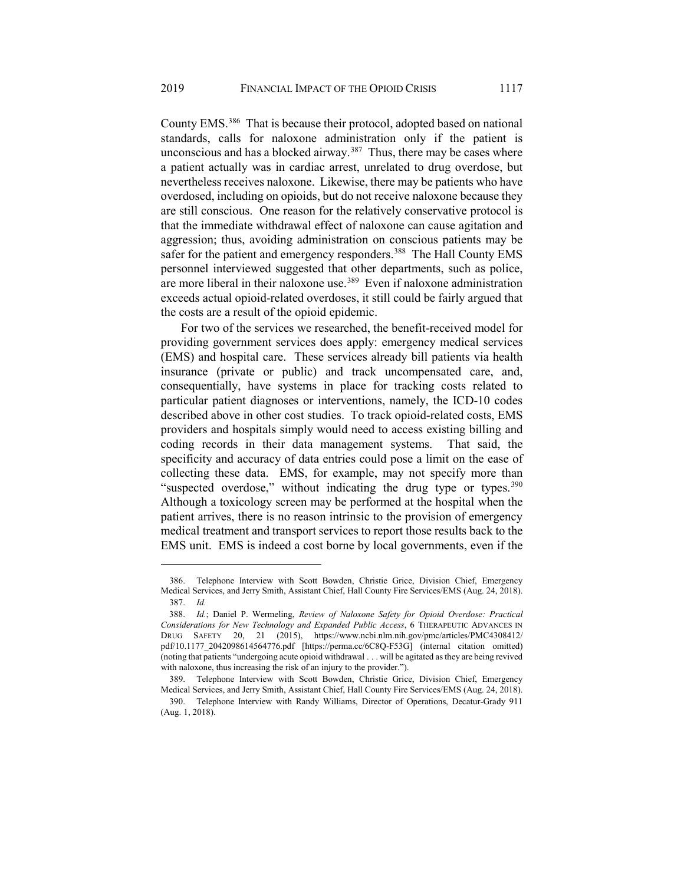County EMS.[386](#page-56-0) That is because their protocol, adopted based on national standards, calls for naloxone administration only if the patient is unconscious and has a blocked airway.<sup>[387](#page-56-1)</sup> Thus, there may be cases where a patient actually was in cardiac arrest, unrelated to drug overdose, but nevertheless receives naloxone. Likewise, there may be patients who have overdosed, including on opioids, but do not receive naloxone because they are still conscious. One reason for the relatively conservative protocol is that the immediate withdrawal effect of naloxone can cause agitation and aggression; thus, avoiding administration on conscious patients may be safer for the patient and emergency responders.<sup>[388](#page-56-2)</sup> The Hall County EMS personnel interviewed suggested that other departments, such as police, are more liberal in their naloxone use.[389](#page-56-3) Even if naloxone administration exceeds actual opioid-related overdoses, it still could be fairly argued that the costs are a result of the opioid epidemic.

For two of the services we researched, the benefit-received model for providing government services does apply: emergency medical services (EMS) and hospital care. These services already bill patients via health insurance (private or public) and track uncompensated care, and, consequentially, have systems in place for tracking costs related to particular patient diagnoses or interventions, namely, the ICD-10 codes described above in other cost studies. To track opioid-related costs, EMS providers and hospitals simply would need to access existing billing and coding records in their data management systems. That said, the specificity and accuracy of data entries could pose a limit on the ease of collecting these data. EMS, for example, may not specify more than "suspected overdose," without indicating the drug type or types.<sup>[390](#page-56-4)</sup> Although a toxicology screen may be performed at the hospital when the patient arrives, there is no reason intrinsic to the provision of emergency medical treatment and transport services to report those results back to the EMS unit. EMS is indeed a cost borne by local governments, even if the

<span id="page-56-0"></span><sup>386.</sup> Telephone Interview with Scott Bowden, Christie Grice, Division Chief, Emergency Medical Services, and Jerry Smith, Assistant Chief, Hall County Fire Services/EMS (Aug. 24, 2018). 387. *Id.*

<span id="page-56-2"></span><span id="page-56-1"></span><sup>388.</sup> *Id.*; Daniel P. Wermeling, *Review of Naloxone Safety for Opioid Overdose: Practical Considerations for New Technology and Expanded Public Access*, 6 THERAPEUTIC ADVANCES IN DRUG SAFETY 20, 21 (2015), https://www.ncbi.nlm.nih.gov/pmc/articles/PMC4308412/ pdf/10.1177\_2042098614564776.pdf [https://perma.cc/6C8Q-F53G] (internal citation omitted) (noting that patients "undergoing acute opioid withdrawal . . . will be agitated as they are being revived with naloxone, thus increasing the risk of an injury to the provider.").

<span id="page-56-3"></span><sup>389.</sup> Telephone Interview with Scott Bowden, Christie Grice, Division Chief, Emergency Medical Services, and Jerry Smith, Assistant Chief, Hall County Fire Services/EMS (Aug. 24, 2018).

<span id="page-56-4"></span><sup>390.</sup> Telephone Interview with Randy Williams, Director of Operations, Decatur-Grady 911 (Aug. 1, 2018).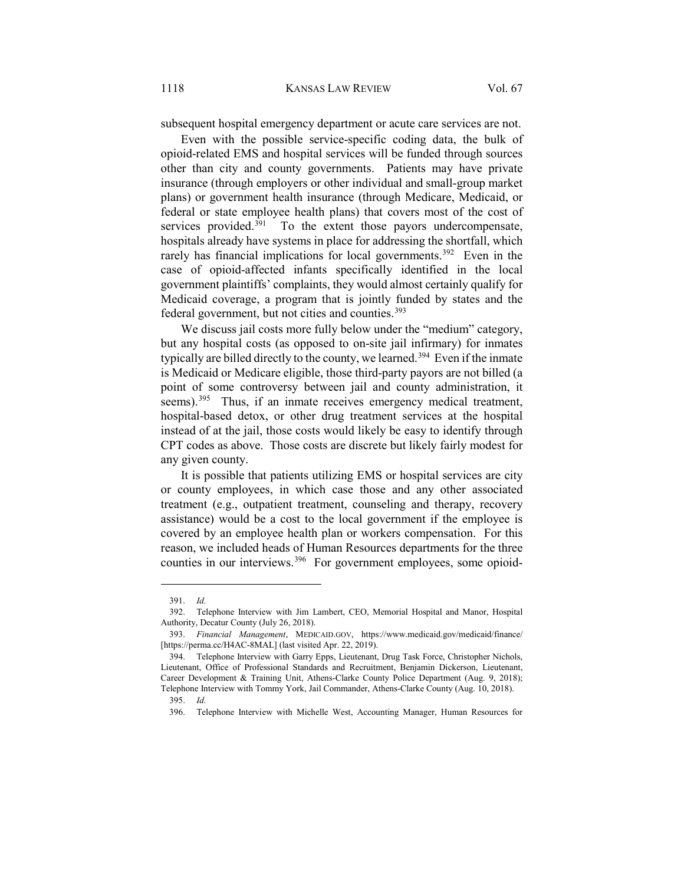subsequent hospital emergency department or acute care services are not.

Even with the possible service-specific coding data, the bulk of opioid-related EMS and hospital services will be funded through sources other than city and county governments. Patients may have private insurance (through employers or other individual and small-group market plans) or government health insurance (through Medicare, Medicaid, or federal or state employee health plans) that covers most of the cost of services provided.<sup>391</sup> To the extent those payors undercompensate, hospitals already have systems in place for addressing the shortfall, which rarely has financial implications for local governments.<sup>392</sup> Even in the case of opioid-affected infants specifically identified in the local government plaintiffs' complaints, they would almost certainly qualify for Medicaid coverage, a program that is jointly funded by states and the federal government, but not cities and counties.<sup>393</sup>

We discuss jail costs more fully below under the "medium" category, but any hospital costs (as opposed to on-site jail infirmary) for inmates typically are billed directly to the county, we learned.<sup>394</sup> Even if the inmate is Medicaid or Medicare eligible, those third-party payors are not billed (a point of some controversy between jail and county administration, it seems).<sup>[395](#page-57-4)</sup> Thus, if an inmate receives emergency medical treatment, hospital-based detox, or other drug treatment services at the hospital instead of at the jail, those costs would likely be easy to identify through CPT codes as above. Those costs are discrete but likely fairly modest for any given county.

It is possible that patients utilizing EMS or hospital services are city or county employees, in which case those and any other associated treatment (e.g., outpatient treatment, counseling and therapy, recovery assistance) would be a cost to the local government if the employee is covered by an employee health plan or workers compensation. For this reason, we included heads of Human Resources departments for the three counties in our interviews.<sup>[396](#page-57-5)</sup> For government employees, some opioid-

<sup>391.</sup> *Id.*

<span id="page-57-1"></span><span id="page-57-0"></span><sup>392.</sup> Telephone Interview with Jim Lambert, CEO, Memorial Hospital and Manor, Hospital Authority, Decatur County (July 26, 2018).

<span id="page-57-2"></span><sup>393.</sup> *Financial Management*, MEDICAID.GOV, https://www.medicaid.gov/medicaid/finance/ [https://perma.cc/H4AC-8MAL] (last visited Apr. 22, 2019).

<span id="page-57-4"></span><span id="page-57-3"></span><sup>394.</sup> Telephone Interview with Garry Epps, Lieutenant, Drug Task Force, Christopher Nichols, Lieutenant, Office of Professional Standards and Recruitment, Benjamin Dickerson, Lieutenant, Career Development & Training Unit, Athens-Clarke County Police Department (Aug. 9, 2018); Telephone Interview with Tommy York, Jail Commander, Athens-Clarke County (Aug. 10, 2018).

<sup>395.</sup> *Id.* 

<span id="page-57-5"></span><sup>396.</sup> Telephone Interview with Michelle West, Accounting Manager, Human Resources for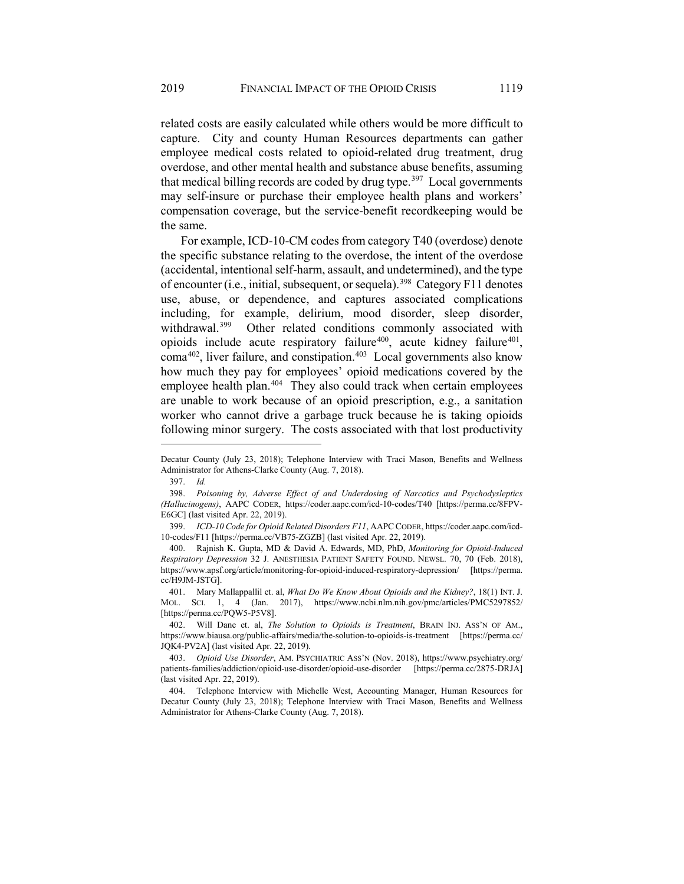related costs are easily calculated while others would be more difficult to capture. City and county Human Resources departments can gather employee medical costs related to opioid-related drug treatment, drug overdose, and other mental health and substance abuse benefits, assuming that medical billing records are coded by drug type.<sup>397</sup> Local governments may self-insure or purchase their employee health plans and workers' compensation coverage, but the service-benefit recordkeeping would be the same.

For example, ICD-10-CM codes from category T40 (overdose) denote the specific substance relating to the overdose, the intent of the overdose (accidental, intentional self-harm, assault, and undetermined), and the type of encounter (i.e., initial, subsequent, or sequela).<sup>398</sup> Category F11 denotes use, abuse, or dependence, and captures associated complications including, for example, delirium, mood disorder, sleep disorder, withdrawal.<sup>[399](#page-58-2)</sup> Other related conditions commonly associated with opioids include acute respiratory failure<sup>[400](#page-58-3)</sup>, acute kidney failure<sup>[401](#page-58-4)</sup>,  $\text{coma}^{402}$ , liver failure, and constipation.<sup>403</sup> Local governments also know how much they pay for employees' opioid medications covered by the employee health plan.<sup>[404](#page-58-7)</sup> They also could track when certain employees are unable to work because of an opioid prescription, e.g., a sanitation worker who cannot drive a garbage truck because he is taking opioids following minor surgery. The costs associated with that lost productivity

<span id="page-58-0"></span>Decatur County (July 23, 2018); Telephone Interview with Traci Mason, Benefits and Wellness Administrator for Athens-Clarke County (Aug. 7, 2018).

<sup>397.</sup> *Id.* 

<span id="page-58-1"></span><sup>398.</sup> *Poisoning by, Adverse Effect of and Underdosing of Narcotics and Psychodysleptics (Hallucinogens)*, AAPC CODER, https://coder.aapc.com/icd-10-codes/T40 [https://perma.cc/8FPV-E6GC] (last visited Apr. 22, 2019).

<sup>399.</sup> *ICD-10 Code for Opioid Related Disorders F11*, AAPC CODER, https://coder.aapc.com/icd-10-codes/F11 [https://perma.cc/VB75-ZGZB] (last visited Apr. 22, 2019).

<span id="page-58-3"></span><span id="page-58-2"></span><sup>400.</sup> Rajnish K. Gupta, MD & David A. Edwards, MD, PhD, *Monitoring for Opioid-Induced Respiratory Depression* 32 J. ANESTHESIA PATIENT SAFETY FOUND. NEWSL. 70, 70 (Feb. 2018), https://www.apsf.org/article/monitoring-for-opioid-induced-respiratory-depression/ [https://perma. cc/H9JM-JSTG].

<span id="page-58-4"></span><sup>401.</sup> Mary Mallappallil et. al, *What Do We Know About Opioids and the Kidney?*, 18(1) INT. J. MOL. SCI. 1, 4 (Jan. 2017), https://www.ncbi.nlm.nih.gov/pmc/articles/PMC5297852/ [https://perma.cc/PQW5-P5V8].

<span id="page-58-5"></span><sup>402.</sup> Will Dane et. al, *The Solution to Opioids is Treatment*, BRAIN INJ. ASS'N OF AM., https://www.biausa.org/public-affairs/media/the-solution-to-opioids-is-treatment [https://perma.cc/ JQK4-PV2A] (last visited Apr. 22, 2019).

<span id="page-58-6"></span><sup>403.</sup> *Opioid Use Disorder*, AM. PSYCHIATRIC ASS'N (Nov. 2018), https://www.psychiatry.org/ patients-families/addiction/opioid-use-disorder/opioid-use-disorder [https://perma.cc/2875-DRJA] (last visited Apr. 22, 2019).

<span id="page-58-7"></span><sup>404.</sup> Telephone Interview with Michelle West, Accounting Manager, Human Resources for Decatur County (July 23, 2018); Telephone Interview with Traci Mason, Benefits and Wellness Administrator for Athens-Clarke County (Aug. 7, 2018).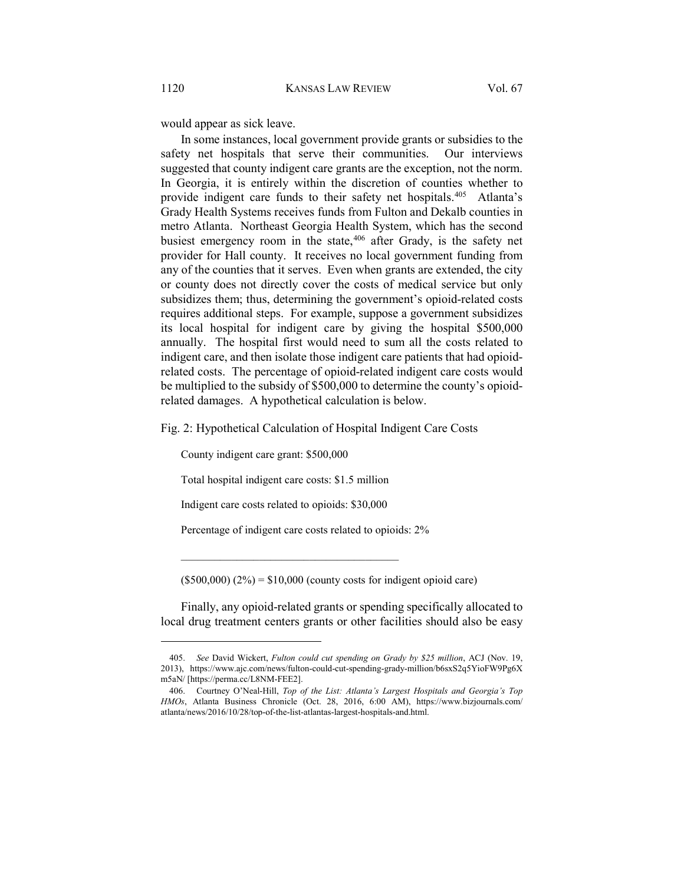would appear as sick leave.

In some instances, local government provide grants or subsidies to the safety net hospitals that serve their communities. Our interviews suggested that county indigent care grants are the exception, not the norm. In Georgia, it is entirely within the discretion of counties whether to provide indigent care funds to their safety net hospitals.<sup>405</sup> Atlanta's Grady Health Systems receives funds from Fulton and Dekalb counties in metro Atlanta. Northeast Georgia Health System, which has the second busiest emergency room in the state, $406$  after Grady, is the safety net provider for Hall county. It receives no local government funding from any of the counties that it serves. Even when grants are extended, the city or county does not directly cover the costs of medical service but only subsidizes them; thus, determining the government's opioid-related costs requires additional steps. For example, suppose a government subsidizes its local hospital for indigent care by giving the hospital \$500,000 annually. The hospital first would need to sum all the costs related to indigent care, and then isolate those indigent care patients that had opioidrelated costs. The percentage of opioid-related indigent care costs would be multiplied to the subsidy of \$500,000 to determine the county's opioidrelated damages. A hypothetical calculation is below.

Fig. 2: Hypothetical Calculation of Hospital Indigent Care Costs

County indigent care grant: \$500,000

Total hospital indigent care costs: \$1.5 million

Indigent care costs related to opioids: \$30,000

 $\mathcal{L}_\text{max}$  and  $\mathcal{L}_\text{max}$  and  $\mathcal{L}_\text{max}$  and  $\mathcal{L}_\text{max}$ 

Percentage of indigent care costs related to opioids: 2%

 $(5500,000) (2%) = $10,000$  (county costs for indigent opioid care)

Finally, any opioid-related grants or spending specifically allocated to local drug treatment centers grants or other facilities should also be easy

<span id="page-59-0"></span><sup>405.</sup> *See* David Wickert, *Fulton could cut spending on Grady by \$25 million*, ACJ (Nov. 19, 2013), https://www.ajc.com/news/fulton-could-cut-spending-grady-million/b6sxS2q5YioFW9Pg6X m5aN/ [https://perma.cc/L8NM-FEE2].

<span id="page-59-1"></span><sup>406.</sup> Courtney O'Neal-Hill, *Top of the List: Atlanta's Largest Hospitals and Georgia's Top HMOs*, Atlanta Business Chronicle (Oct. 28, 2016, 6:00 AM), https://www.bizjournals.com/ atlanta/news/2016/10/28/top-of-the-list-atlantas-largest-hospitals-and.html.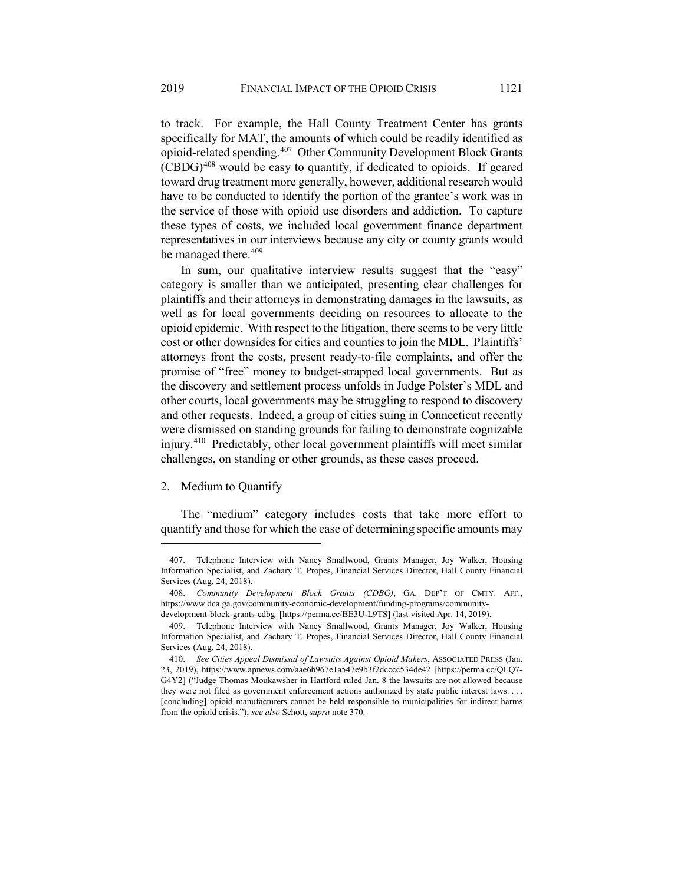to track. For example, the Hall County Treatment Center has grants specifically for MAT, the amounts of which could be readily identified as opioid-related spending.[407](#page-60-0) Other Community Development Block Grants  $(CBDG)^{408}$  $(CBDG)^{408}$  $(CBDG)^{408}$  would be easy to quantify, if dedicated to opioids. If geared toward drug treatment more generally, however, additional research would have to be conducted to identify the portion of the grantee's work was in the service of those with opioid use disorders and addiction. To capture these types of costs, we included local government finance department representatives in our interviews because any city or county grants would be managed there.<sup>[409](#page-60-2)</sup>

In sum, our qualitative interview results suggest that the "easy" category is smaller than we anticipated, presenting clear challenges for plaintiffs and their attorneys in demonstrating damages in the lawsuits, as well as for local governments deciding on resources to allocate to the opioid epidemic. With respect to the litigation, there seems to be very little cost or other downsides for cities and counties to join the MDL. Plaintiffs' attorneys front the costs, present ready-to-file complaints, and offer the promise of "free" money to budget-strapped local governments. But as the discovery and settlement process unfolds in Judge Polster's MDL and other courts, local governments may be struggling to respond to discovery and other requests. Indeed, a group of cities suing in Connecticut recently were dismissed on standing grounds for failing to demonstrate cognizable injury.[410](#page-60-3) Predictably, other local government plaintiffs will meet similar challenges, on standing or other grounds, as these cases proceed.

### 2. Medium to Quantify

 $\overline{a}$ 

The "medium" category includes costs that take more effort to quantify and those for which the ease of determining specific amounts may

<span id="page-60-0"></span><sup>407.</sup> Telephone Interview with Nancy Smallwood, Grants Manager, Joy Walker, Housing Information Specialist, and Zachary T. Propes, Financial Services Director, Hall County Financial Services (Aug. 24, 2018).

<span id="page-60-1"></span><sup>408.</sup> *Community Development Block Grants (CDBG)*, GA. DEP'T OF CMTY. AFF., https://www.dca.ga.gov/community-economic-development/funding-programs/communitydevelopment-block-grants-cdbg [https://perma.cc/BE3U-L9TS] (last visited Apr. 14, 2019).

<span id="page-60-2"></span><sup>409.</sup> Telephone Interview with Nancy Smallwood, Grants Manager, Joy Walker, Housing Information Specialist, and Zachary T. Propes, Financial Services Director, Hall County Financial Services (Aug. 24, 2018).

<span id="page-60-3"></span><sup>410.</sup> *See Cities Appeal Dismissal of Lawsuits Against Opioid Makers*, ASSOCIATED PRESS (Jan. 23, 2019), https://www.apnews.com/aae6b967e1a547e9b3f2dcccc534de42 [https://perma.cc/QLQ7- G4Y2] ("Judge Thomas Moukawsher in Hartford ruled Jan. 8 the lawsuits are not allowed because they were not filed as government enforcement actions authorized by state public interest laws. . . . [concluding] opioid manufacturers cannot be held responsible to municipalities for indirect harms from the opioid crisis."); *see also* Schott, *supra* not[e 370.](#page-51-2)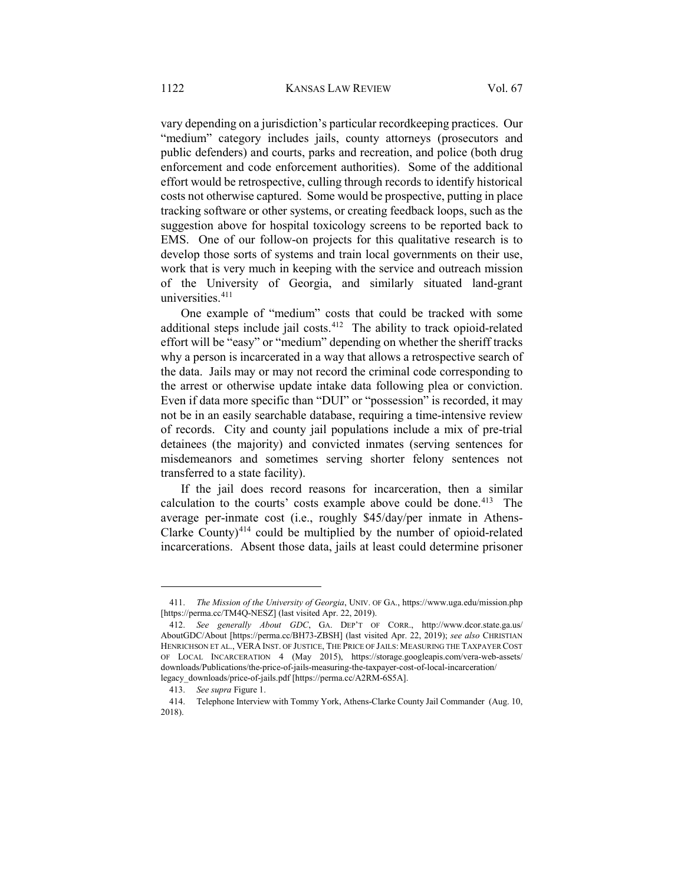vary depending on a jurisdiction's particular recordkeeping practices. Our "medium" category includes jails, county attorneys (prosecutors and public defenders) and courts, parks and recreation, and police (both drug enforcement and code enforcement authorities). Some of the additional effort would be retrospective, culling through records to identify historical costs not otherwise captured. Some would be prospective, putting in place tracking software or other systems, or creating feedback loops, such as the suggestion above for hospital toxicology screens to be reported back to EMS. One of our follow-on projects for this qualitative research is to develop those sorts of systems and train local governments on their use, work that is very much in keeping with the service and outreach mission of the University of Georgia, and similarly situated land-grant universities.[411](#page-61-0)

One example of "medium" costs that could be tracked with some additional steps include jail costs.<sup>[412](#page-61-1)</sup> The ability to track opioid-related effort will be "easy" or "medium" depending on whether the sheriff tracks why a person is incarcerated in a way that allows a retrospective search of the data. Jails may or may not record the criminal code corresponding to the arrest or otherwise update intake data following plea or conviction. Even if data more specific than "DUI" or "possession" is recorded, it may not be in an easily searchable database, requiring a time-intensive review of records. City and county jail populations include a mix of pre-trial detainees (the majority) and convicted inmates (serving sentences for misdemeanors and sometimes serving shorter felony sentences not transferred to a state facility).

If the jail does record reasons for incarceration, then a similar calculation to the courts' costs example above could be done.<sup>413</sup> The average per-inmate cost (i.e., roughly \$45/day/per inmate in Athens-Clarke County) $414$  could be multiplied by the number of opioid-related incarcerations. Absent those data, jails at least could determine prisoner

<span id="page-61-0"></span><sup>411.</sup> *The Mission of the University of Georgia*, UNIV. OF GA., https://www.uga.edu/mission.php [https://perma.cc/TM4Q-NESZ] (last visited Apr. 22, 2019).

<span id="page-61-1"></span><sup>412.</sup> *See generally About GDC*, GA. DEP'T OF CORR., http://www.dcor.state.ga.us/ AboutGDC/About [https://perma.cc/BH73-ZBSH] (last visited Apr. 22, 2019); *see also* CHRISTIAN HENRICHSON ET AL., VERA INST. OF JUSTICE, THE PRICE OF JAILS: MEASURING THE TAXPAYER COST OF LOCAL INCARCERATION 4 (May 2015), https://storage.googleapis.com/vera-web-assets/ downloads/Publications/the-price-of-jails-measuring-the-taxpayer-cost-of-local-incarceration/ legacy\_downloads/price-of-jails.pdf [https://perma.cc/A2RM-6S5A].

<sup>413.</sup> *See supra* Figure 1.

<span id="page-61-3"></span><span id="page-61-2"></span><sup>414.</sup> Telephone Interview with Tommy York, Athens-Clarke County Jail Commander (Aug. 10, 2018).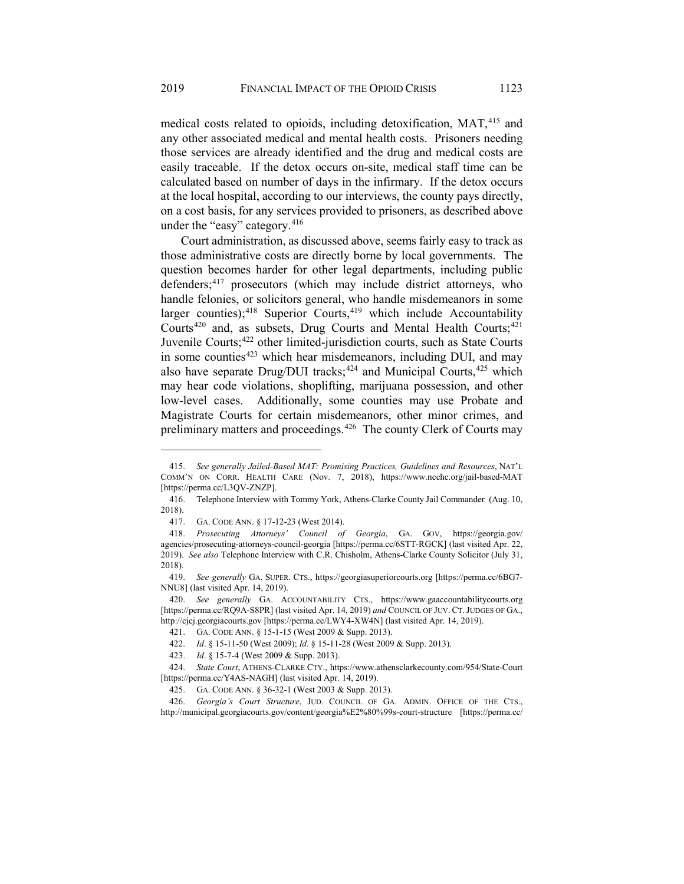medical costs related to opioids, including detoxification, MAT,<sup>[415](#page-62-0)</sup> and any other associated medical and mental health costs. Prisoners needing those services are already identified and the drug and medical costs are easily traceable. If the detox occurs on-site, medical staff time can be calculated based on number of days in the infirmary. If the detox occurs at the local hospital, according to our interviews, the county pays directly, on a cost basis, for any services provided to prisoners, as described above under the "easy" category.<sup>[416](#page-62-1)</sup>

Court administration, as discussed above, seems fairly easy to track as those administrative costs are directly borne by local governments. The question becomes harder for other legal departments, including public defenders;<sup>[417](#page-62-2)</sup> prosecutors (which may include district attorneys, who handle felonies, or solicitors general, who handle misdemeanors in some larger counties); $418$  Superior Courts, $419$  which include Accountability Courts<sup>[420](#page-62-5)</sup> and, as subsets, Drug Courts and Mental Health Courts;<sup>[421](#page-62-6)</sup> Juvenile Courts;<sup>[422](#page-62-7)</sup> other limited-jurisdiction courts, such as State Courts in some counties $423$  which hear misdemeanors, including DUI, and may also have separate Drug/DUI tracks;<sup>[424](#page-62-9)</sup> and Municipal Courts,<sup>425</sup> which may hear code violations, shoplifting, marijuana possession, and other low-level cases. Additionally, some counties may use Probate and Magistrate Courts for certain misdemeanors, other minor crimes, and preliminary matters and proceedings.<sup>[426](#page-62-11)</sup> The county Clerk of Courts may

<span id="page-62-12"></span><span id="page-62-0"></span><sup>415.</sup> *See generally Jailed-Based MAT: Promising Practices, Guidelines and Resources*, NAT'L COMM'N ON CORR. HEALTH CARE (Nov. 7, 2018), https://www.ncchc.org/jail-based-MAT [https://perma.cc/L3QV-ZNZP].

<span id="page-62-1"></span><sup>416.</sup> Telephone Interview with Tommy York, Athens-Clarke County Jail Commander (Aug. 10, 2018).

<sup>417.</sup> GA. CODE ANN. § 17-12-23 (West 2014).

<span id="page-62-3"></span><span id="page-62-2"></span><sup>418.</sup> *Prosecuting Attorneys' Council of Georgia*, GA. GOV, https://georgia.gov/ agencies/prosecuting-attorneys-council-georgia [https://perma.cc/6STT-RGCK] (last visited Apr. 22, 2019). *See also* Telephone Interview with C.R. Chisholm, Athens-Clarke County Solicitor (July 31, 2018).

<span id="page-62-4"></span><sup>419.</sup> *See generally* GA. SUPER. CTS., https://georgiasuperiorcourts.org [https://perma.cc/6BG7- NNU8] (last visited Apr. 14, 2019).

<span id="page-62-6"></span><span id="page-62-5"></span><sup>420.</sup> *See generally* GA. ACCOUNTABILITY CTS., https://www.gaaccountabilitycourts.org [https://perma.cc/RQ9A-S8PR] (last visited Apr. 14, 2019) *and* COUNCIL OF JUV. CT. JUDGES OF GA., http://cjcj.georgiacourts.gov [https://perma.cc/LWY4-XW4N] (last visited Apr. 14, 2019).

<sup>421.</sup> GA. CODE ANN. § 15-1-15 (West 2009 & Supp. 2013).

<sup>422.</sup> *Id*. § 15-11-50 (West 2009); *Id*. § 15-11-28 (West 2009 & Supp. 2013).

<sup>423.</sup> *Id*. § 15-7-4 (West 2009 & Supp. 2013).

<span id="page-62-9"></span><span id="page-62-8"></span><span id="page-62-7"></span><sup>424.</sup> *State Court*, ATHENS-CLARKE CTY., https://www.athensclarkecounty.com/954/State-Court [https://perma.cc/Y4AS-NAGH] (last visited Apr. 14, 2019).

<sup>425.</sup> GA. CODE ANN. § 36-32-1 (West 2003 & Supp. 2013).

<span id="page-62-11"></span><span id="page-62-10"></span><sup>426.</sup> *Georgia's Court Structure*, JUD. COUNCIL OF GA. ADMIN. OFFICE OF THE CTS., http://municipal.georgiacourts.gov/content/georgia%E2%80%99s-court-structure [https://perma.cc/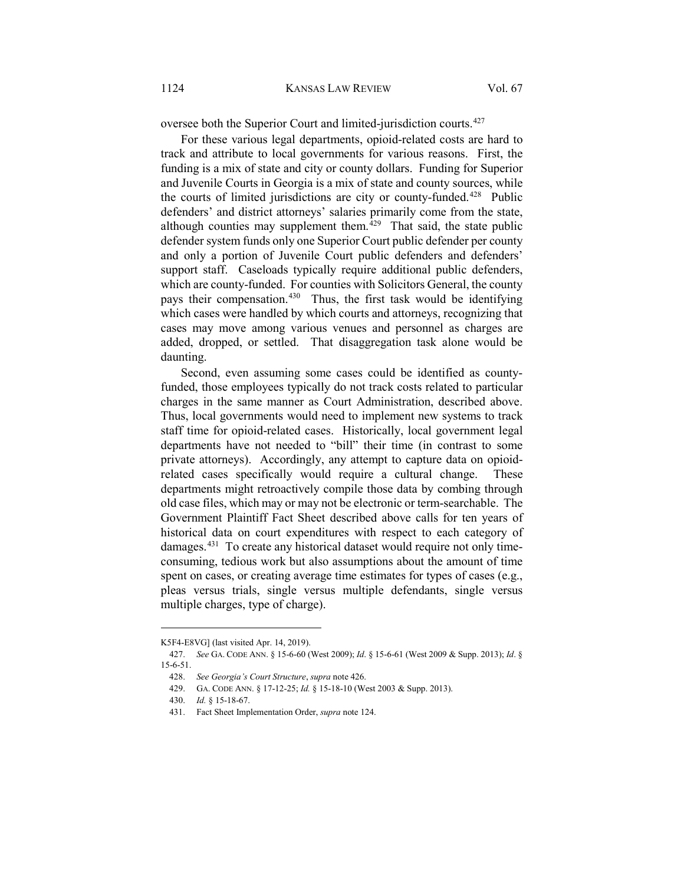oversee both the Superior Court and limited-jurisdiction courts.<sup>[427](#page-63-0)</sup>

For these various legal departments, opioid-related costs are hard to track and attribute to local governments for various reasons. First, the funding is a mix of state and city or county dollars. Funding for Superior and Juvenile Courts in Georgia is a mix of state and county sources, while the courts of limited jurisdictions are city or county-funded.<sup>[428](#page-63-1)</sup> Public defenders' and district attorneys' salaries primarily come from the state, although counties may supplement them.<sup>[429](#page-63-2)</sup> That said, the state public defender system funds only one Superior Court public defender per county and only a portion of Juvenile Court public defenders and defenders' support staff. Caseloads typically require additional public defenders, which are county-funded. For counties with Solicitors General, the county pays their compensation.<sup>430</sup> Thus, the first task would be identifying which cases were handled by which courts and attorneys, recognizing that cases may move among various venues and personnel as charges are added, dropped, or settled. That disaggregation task alone would be daunting.

Second, even assuming some cases could be identified as countyfunded, those employees typically do not track costs related to particular charges in the same manner as Court Administration, described above. Thus, local governments would need to implement new systems to track staff time for opioid-related cases. Historically, local government legal departments have not needed to "bill" their time (in contrast to some private attorneys). Accordingly, any attempt to capture data on opioidrelated cases specifically would require a cultural change. These departments might retroactively compile those data by combing through old case files, which may or may not be electronic or term-searchable. The Government Plaintiff Fact Sheet described above calls for ten years of historical data on court expenditures with respect to each category of damages.[431](#page-63-4) To create any historical dataset would require not only timeconsuming, tedious work but also assumptions about the amount of time spent on cases, or creating average time estimates for types of cases (e.g., pleas versus trials, single versus multiple defendants, single versus multiple charges, type of charge).

K5F4-E8VG] (last visited Apr. 14, 2019).

<span id="page-63-2"></span><span id="page-63-1"></span><span id="page-63-0"></span><sup>427.</sup> *See* GA. CODE ANN. § 15-6-60 (West 2009); *Id*. § 15-6-61 (West 2009 & Supp. 2013); *Id*. § 15-6-51.

<sup>428.</sup> *See Georgia's Court Structure*, *supra* not[e 426.](#page-62-12)

<sup>429.</sup> GA. CODE ANN. § 17-12-25; *Id.* § 15-18-10 (West 2003 & Supp. 2013).

<span id="page-63-4"></span><span id="page-63-3"></span><sup>430.</sup> *Id.* § 15-18-67.

<sup>431.</sup> Fact Sheet Implementation Order, *supra* note [124.](#page-17-0)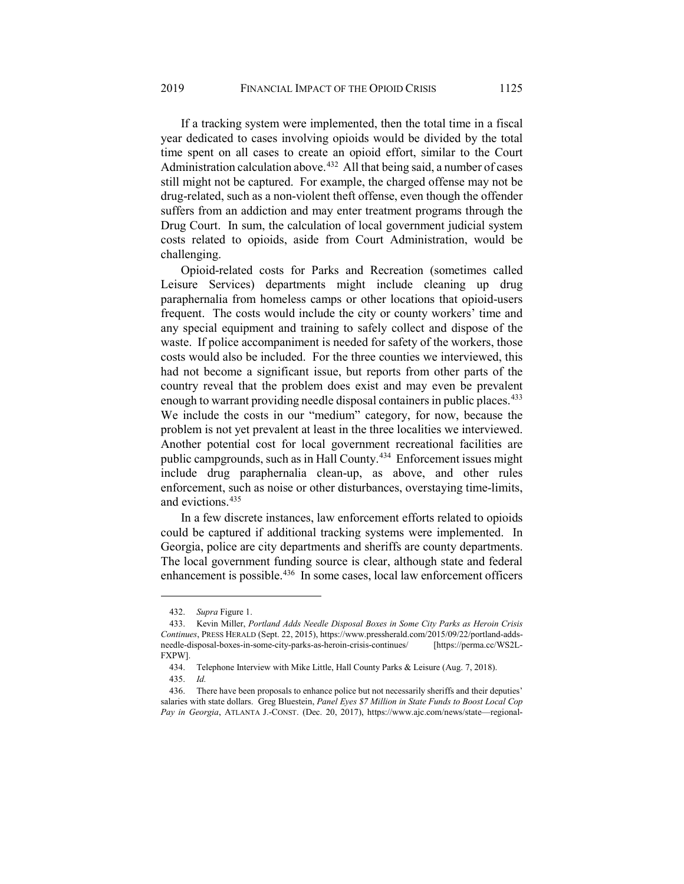If a tracking system were implemented, then the total time in a fiscal year dedicated to cases involving opioids would be divided by the total time spent on all cases to create an opioid effort, similar to the Court Administration calculation above.<sup>[432](#page-64-0)</sup> All that being said, a number of cases still might not be captured. For example, the charged offense may not be drug-related, such as a non-violent theft offense, even though the offender suffers from an addiction and may enter treatment programs through the Drug Court. In sum, the calculation of local government judicial system costs related to opioids, aside from Court Administration, would be challenging.

Opioid-related costs for Parks and Recreation (sometimes called Leisure Services) departments might include cleaning up drug paraphernalia from homeless camps or other locations that opioid-users frequent. The costs would include the city or county workers' time and any special equipment and training to safely collect and dispose of the waste. If police accompaniment is needed for safety of the workers, those costs would also be included. For the three counties we interviewed, this had not become a significant issue, but reports from other parts of the country reveal that the problem does exist and may even be prevalent enough to warrant providing needle disposal containers in public places.<sup>[433](#page-64-1)</sup> We include the costs in our "medium" category, for now, because the problem is not yet prevalent at least in the three localities we interviewed. Another potential cost for local government recreational facilities are public campgrounds, such as in Hall County.<sup>[434](#page-64-2)</sup> Enforcement issues might include drug paraphernalia clean-up, as above, and other rules enforcement, such as noise or other disturbances, overstaying time-limits, and evictions.[435](#page-64-3)

In a few discrete instances, law enforcement efforts related to opioids could be captured if additional tracking systems were implemented. In Georgia, police are city departments and sheriffs are county departments. The local government funding source is clear, although state and federal enhancement is possible.<sup>[436](#page-64-4)</sup> In some cases, local law enforcement officers

<sup>432.</sup> *Supra* Figure 1.

<span id="page-64-1"></span><span id="page-64-0"></span><sup>433.</sup> Kevin Miller, *Portland Adds Needle Disposal Boxes in Some City Parks as Heroin Crisis Continues*, PRESS HERALD (Sept. 22, 2015), https://www.pressherald.com/2015/09/22/portland-addsneedle-disposal-boxes-in-some-city-parks-as-heroin-crisis-continues/ [https://perma.cc/WS2L-FXPW].

<sup>434.</sup> Telephone Interview with Mike Little, Hall County Parks & Leisure (Aug. 7, 2018).

<sup>435.</sup> *Id.*

<span id="page-64-4"></span><span id="page-64-3"></span><span id="page-64-2"></span><sup>436.</sup> There have been proposals to enhance police but not necessarily sheriffs and their deputies' salaries with state dollars. Greg Bluestein, *Panel Eyes \$7 Million in State Funds to Boost Local Cop Pay in Georgia*, ATLANTA J.-CONST. (Dec. 20, 2017), https://www.ajc.com/news/state—regional-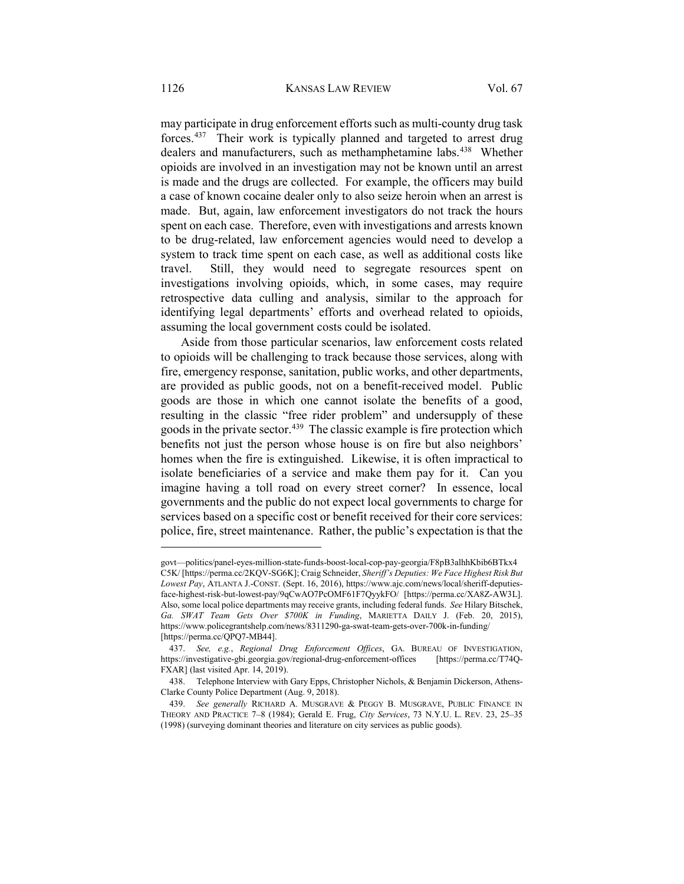may participate in drug enforcement efforts such as multi-county drug task forces.[437](#page-65-1) Their work is typically planned and targeted to arrest drug dealers and manufacturers, such as methamphetamine labs.<sup>[438](#page-65-2)</sup> Whether opioids are involved in an investigation may not be known until an arrest is made and the drugs are collected. For example, the officers may build a case of known cocaine dealer only to also seize heroin when an arrest is made. But, again, law enforcement investigators do not track the hours spent on each case. Therefore, even with investigations and arrests known to be drug-related, law enforcement agencies would need to develop a system to track time spent on each case, as well as additional costs like travel. Still, they would need to segregate resources spent on investigations involving opioids, which, in some cases, may require retrospective data culling and analysis, similar to the approach for identifying legal departments' efforts and overhead related to opioids, assuming the local government costs could be isolated.

<span id="page-65-0"></span>Aside from those particular scenarios, law enforcement costs related to opioids will be challenging to track because those services, along with fire, emergency response, sanitation, public works, and other departments, are provided as public goods, not on a benefit-received model. Public goods are those in which one cannot isolate the benefits of a good, resulting in the classic "free rider problem" and undersupply of these goods in the private sector.<sup>439</sup> The classic example is fire protection which benefits not just the person whose house is on fire but also neighbors' homes when the fire is extinguished. Likewise, it is often impractical to isolate beneficiaries of a service and make them pay for it. Can you imagine having a toll road on every street corner? In essence, local governments and the public do not expect local governments to charge for services based on a specific cost or benefit received for their core services: police, fire, street maintenance. Rather, the public's expectation is that the

govt—politics/panel-eyes-million-state-funds-boost-local-cop-pay-georgia/F8pB3alhhKbib6BTkx4 C5K/ [https://perma.cc/2KQV-SG6K]; Craig Schneider, *Sheriff's Deputies: We Face Highest Risk But Lowest Pay*, ATLANTA J.-CONST. (Sept. 16, 2016), https://www.ajc.com/news/local/sheriff-deputiesface-highest-risk-but-lowest-pay/9qCwAO7PcOMF61F7QyykFO/ [https://perma.cc/XA8Z-AW3L]. Also, some local police departments may receive grants, including federal funds. *See* Hilary Bitschek, *Ga. SWAT Team Gets Over \$700K in Funding*, MARIETTA DAILY J. (Feb. 20, 2015), https://www.policegrantshelp.com/news/8311290-ga-swat-team-gets-over-700k-in-funding/ [https://perma.cc/QPQ7-MB44].

<span id="page-65-1"></span><sup>437.</sup> *See, e.g.*, *Regional Drug Enforcement Offices*, GA. BUREAU OF INVESTIGATION, https://investigative-gbi.georgia.gov/regional-drug-enforcement-offices [https://perma.cc/T74Q-FXAR] (last visited Apr. 14, 2019).

<span id="page-65-2"></span><sup>438.</sup> Telephone Interview with Gary Epps, Christopher Nichols, & Benjamin Dickerson, Athens-Clarke County Police Department (Aug. 9, 2018).

<span id="page-65-3"></span><sup>439.</sup> *See generally* RICHARD A. MUSGRAVE & PEGGY B. MUSGRAVE, PUBLIC FINANCE IN THEORY AND PRACTICE 7–8 (1984); Gerald E. Frug, *City Services*, 73 N.Y.U. L. REV. 23, 25–35 (1998) (surveying dominant theories and literature on city services as public goods).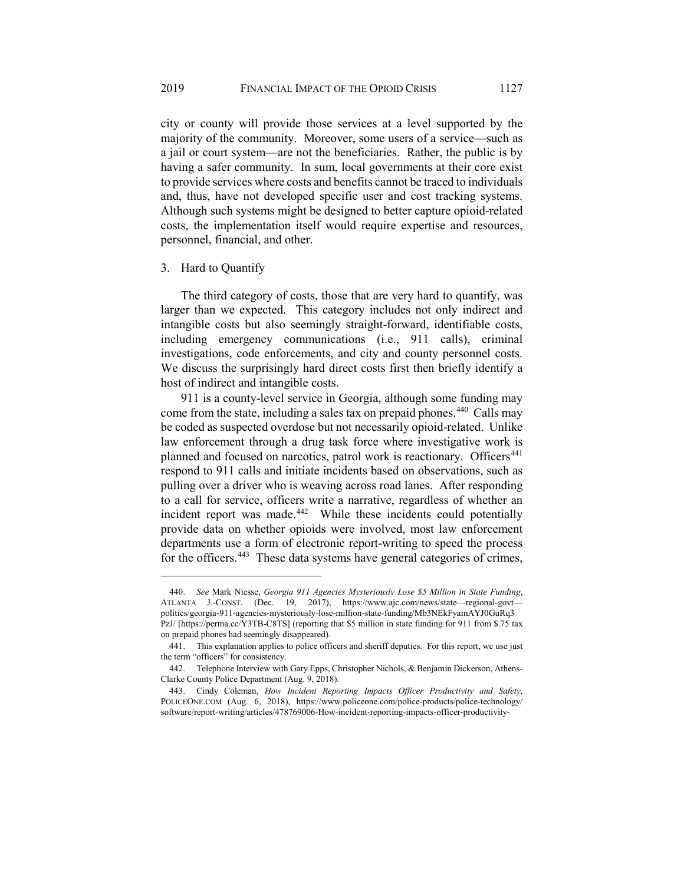city or county will provide those services at a level supported by the majority of the community. Moreover, some users of a service—such as a jail or court system—are not the beneficiaries. Rather, the public is by having a safer community. In sum, local governments at their core exist to provide services where costs and benefits cannot be traced to individuals and, thus, have not developed specific user and cost tracking systems. Although such systems might be designed to better capture opioid-related costs, the implementation itself would require expertise and resources, personnel, financial, and other.

#### 3. Hard to Quantify

The third category of costs, those that are very hard to quantify, was larger than we expected. This category includes not only indirect and intangible costs but also seemingly straight-forward, identifiable costs, including emergency communications (i.e., 911 calls), criminal investigations, code enforcements, and city and county personnel costs. We discuss the surprisingly hard direct costs first then briefly identify a host of indirect and intangible costs.

911 is a county-level service in Georgia, although some funding may come from the state, including a sales tax on prepaid phones.<sup>[440](#page-66-0)</sup> Calls may be coded as suspected overdose but not necessarily opioid-related. Unlike law enforcement through a drug task force where investigative work is planned and focused on narcotics, patrol work is reactionary. Officers<sup>[441](#page-66-1)</sup> respond to 911 calls and initiate incidents based on observations, such as pulling over a driver who is weaving across road lanes. After responding to a call for service, officers write a narrative, regardless of whether an incident report was made.<sup>[442](#page-66-2)</sup> While these incidents could potentially provide data on whether opioids were involved, most law enforcement departments use a form of electronic report-writing to speed the process for the officers.<sup>[443](#page-66-3)</sup> These data systems have general categories of crimes,

<span id="page-66-0"></span><sup>440.</sup> *See* Mark Niesse, *Georgia 911 Agencies Mysteriously Lose \$5 Million in State Funding*, ATLANTA J.-CONST. (Dec. 19, 2017), https://www.ajc.com/news/state—regional-govt politics/georgia-911-agencies-mysteriously-lose-million-state-funding/Mb3NEkFyamAYJ0GuRq3 PzJ/ [https://perma.cc/Y3TB-C8TS] (reporting that \$5 million in state funding for 911 from \$.75 tax on prepaid phones had seemingly disappeared).

<span id="page-66-1"></span><sup>441.</sup> This explanation applies to police officers and sheriff deputies. For this report, we use just the term "officers" for consistency.

<span id="page-66-2"></span><sup>442.</sup> Telephone Interview with Gary Epps, Christopher Nichols, & Benjamin Dickerson, Athens-Clarke County Police Department (Aug. 9, 2018).

<span id="page-66-3"></span><sup>443.</sup> Cindy Coleman, *How Incident Reporting Impacts Officer Productivity and Safety*, POLICEONE.COM (Aug. 6, 2018), https://www.policeone.com/police-products/police-technology/ software/report-writing/articles/478769006-How-incident-reporting-impacts-officer-productivity-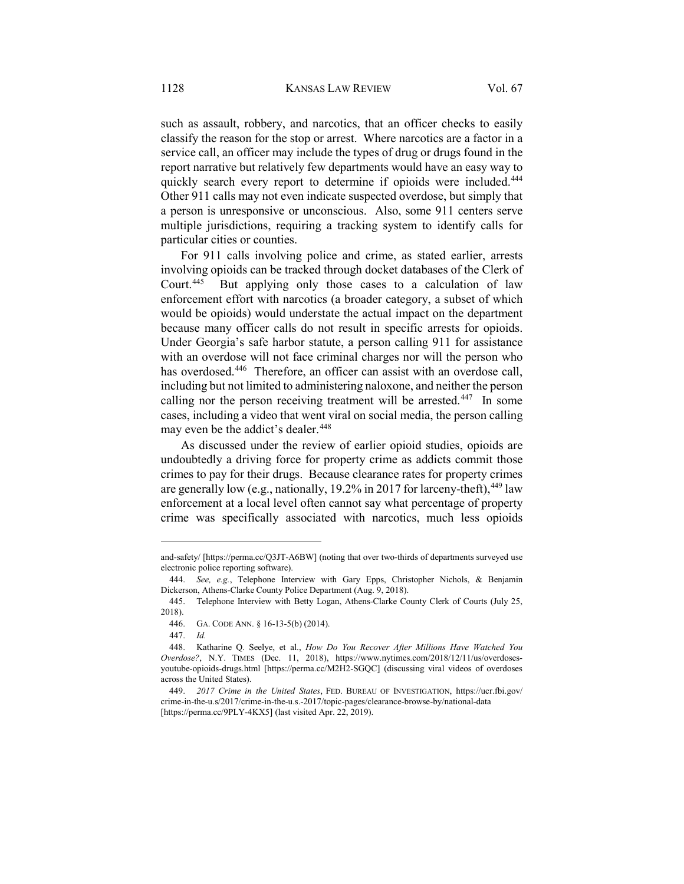such as assault, robbery, and narcotics, that an officer checks to easily classify the reason for the stop or arrest. Where narcotics are a factor in a service call, an officer may include the types of drug or drugs found in the report narrative but relatively few departments would have an easy way to quickly search every report to determine if opioids were included.<sup>[444](#page-67-0)</sup> Other 911 calls may not even indicate suspected overdose, but simply that a person is unresponsive or unconscious. Also, some 911 centers serve multiple jurisdictions, requiring a tracking system to identify calls for particular cities or counties.

For 911 calls involving police and crime, as stated earlier, arrests involving opioids can be tracked through docket databases of the Clerk of Court.[445](#page-67-1) But applying only those cases to a calculation of law enforcement effort with narcotics (a broader category, a subset of which would be opioids) would understate the actual impact on the department because many officer calls do not result in specific arrests for opioids. Under Georgia's safe harbor statute, a person calling 911 for assistance with an overdose will not face criminal charges nor will the person who has overdosed.<sup>446</sup> Therefore, an officer can assist with an overdose call, including but not limited to administering naloxone, and neither the person calling nor the person receiving treatment will be arrested.<sup>[447](#page-67-3)</sup> In some cases, including a video that went viral on social media, the person calling may even be the addict's dealer.<sup>[448](#page-67-4)</sup>

As discussed under the review of earlier opioid studies, opioids are undoubtedly a driving force for property crime as addicts commit those crimes to pay for their drugs. Because clearance rates for property crimes are generally low (e.g., nationally,  $19.2\%$  in 2017 for larceny-theft),  $449$  law enforcement at a local level often cannot say what percentage of property crime was specifically associated with narcotics, much less opioids

and-safety/ [https://perma.cc/Q3JT-A6BW] (noting that over two-thirds of departments surveyed use electronic police reporting software).

<span id="page-67-0"></span><sup>444.</sup> *See, e.g.*, Telephone Interview with Gary Epps, Christopher Nichols, & Benjamin Dickerson, Athens-Clarke County Police Department (Aug. 9, 2018).

<span id="page-67-1"></span><sup>445.</sup> Telephone Interview with Betty Logan, Athens-Clarke County Clerk of Courts (July 25, 2018).

<sup>446.</sup> GA. CODE ANN. § 16-13-5(b) (2014).

<sup>447.</sup> *Id.*

<span id="page-67-4"></span><span id="page-67-3"></span><span id="page-67-2"></span><sup>448.</sup> Katharine Q. Seelye, et al., *How Do You Recover After Millions Have Watched You Overdose?*, N.Y. TIMES (Dec. 11, 2018), https://www.nytimes.com/2018/12/11/us/overdosesyoutube-opioids-drugs.html [https://perma.cc/M2H2-SGQC] (discussing viral videos of overdoses across the United States).

<span id="page-67-5"></span><sup>449.</sup> *2017 Crime in the United States*, FED. BUREAU OF INVESTIGATION, https://ucr.fbi.gov/ crime-in-the-u.s/2017/crime-in-the-u.s.-2017/topic-pages/clearance-browse-by/national-data [https://perma.cc/9PLY-4KX5] (last visited Apr. 22, 2019).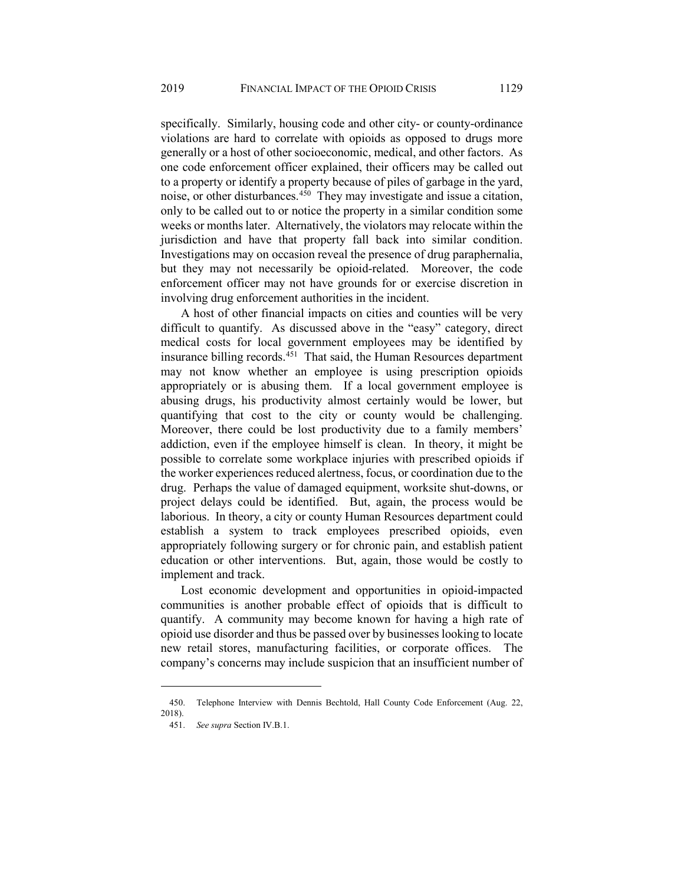specifically. Similarly, housing code and other city- or county-ordinance violations are hard to correlate with opioids as opposed to drugs more generally or a host of other socioeconomic, medical, and other factors. As one code enforcement officer explained, their officers may be called out to a property or identify a property because of piles of garbage in the yard, noise, or other disturbances.[450](#page-68-0) They may investigate and issue a citation, only to be called out to or notice the property in a similar condition some weeks or months later. Alternatively, the violators may relocate within the jurisdiction and have that property fall back into similar condition. Investigations may on occasion reveal the presence of drug paraphernalia, but they may not necessarily be opioid-related. Moreover, the code enforcement officer may not have grounds for or exercise discretion in involving drug enforcement authorities in the incident.

A host of other financial impacts on cities and counties will be very difficult to quantify. As discussed above in the "easy" category, direct medical costs for local government employees may be identified by insurance billing records.<sup>451</sup> That said, the Human Resources department may not know whether an employee is using prescription opioids appropriately or is abusing them. If a local government employee is abusing drugs, his productivity almost certainly would be lower, but quantifying that cost to the city or county would be challenging. Moreover, there could be lost productivity due to a family members' addiction, even if the employee himself is clean. In theory, it might be possible to correlate some workplace injuries with prescribed opioids if the worker experiences reduced alertness, focus, or coordination due to the drug. Perhaps the value of damaged equipment, worksite shut-downs, or project delays could be identified. But, again, the process would be laborious. In theory, a city or county Human Resources department could establish a system to track employees prescribed opioids, even appropriately following surgery or for chronic pain, and establish patient education or other interventions. But, again, those would be costly to implement and track.

Lost economic development and opportunities in opioid-impacted communities is another probable effect of opioids that is difficult to quantify. A community may become known for having a high rate of opioid use disorder and thus be passed over by businesses looking to locate new retail stores, manufacturing facilities, or corporate offices. The company's concerns may include suspicion that an insufficient number of

<span id="page-68-1"></span><span id="page-68-0"></span><sup>450.</sup> Telephone Interview with Dennis Bechtold, Hall County Code Enforcement (Aug. 22, 2018).

<sup>451.</sup> *See supra* Section IV.B.1.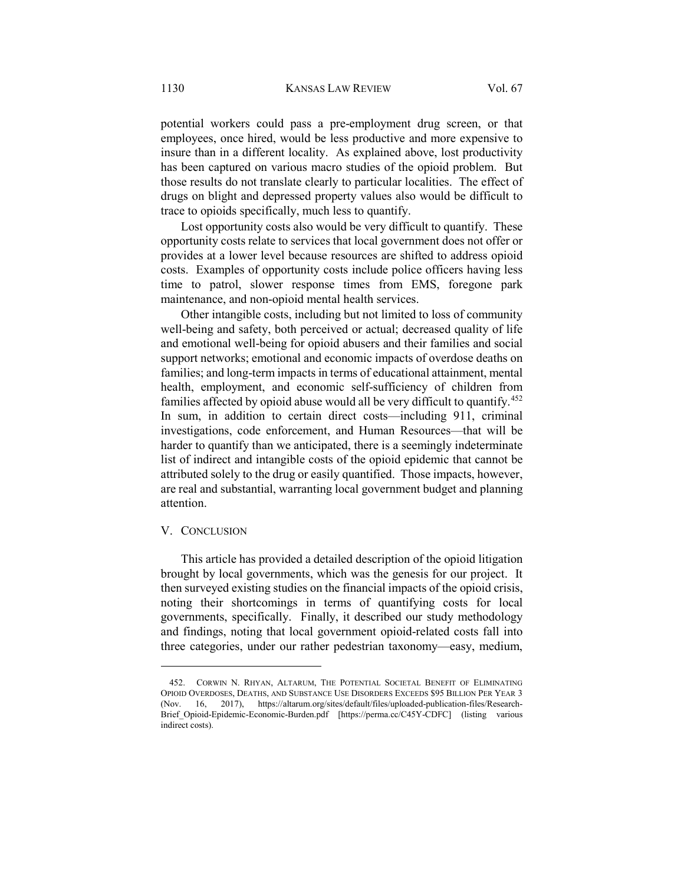potential workers could pass a pre-employment drug screen, or that employees, once hired, would be less productive and more expensive to insure than in a different locality. As explained above, lost productivity has been captured on various macro studies of the opioid problem. But those results do not translate clearly to particular localities. The effect of drugs on blight and depressed property values also would be difficult to trace to opioids specifically, much less to quantify.

Lost opportunity costs also would be very difficult to quantify. These opportunity costs relate to services that local government does not offer or provides at a lower level because resources are shifted to address opioid costs. Examples of opportunity costs include police officers having less time to patrol, slower response times from EMS, foregone park maintenance, and non-opioid mental health services.

Other intangible costs, including but not limited to loss of community well-being and safety, both perceived or actual; decreased quality of life and emotional well-being for opioid abusers and their families and social support networks; emotional and economic impacts of overdose deaths on families; and long-term impacts in terms of educational attainment, mental health, employment, and economic self-sufficiency of children from families affected by opioid abuse would all be very difficult to quantify.<sup>[452](#page-69-0)</sup> In sum, in addition to certain direct costs—including 911, criminal investigations, code enforcement, and Human Resources—that will be harder to quantify than we anticipated, there is a seemingly indeterminate list of indirect and intangible costs of the opioid epidemic that cannot be attributed solely to the drug or easily quantified. Those impacts, however, are real and substantial, warranting local government budget and planning attention.

# V. CONCLUSION

 $\overline{a}$ 

This article has provided a detailed description of the opioid litigation brought by local governments, which was the genesis for our project. It then surveyed existing studies on the financial impacts of the opioid crisis, noting their shortcomings in terms of quantifying costs for local governments, specifically. Finally, it described our study methodology and findings, noting that local government opioid-related costs fall into three categories, under our rather pedestrian taxonomy—easy, medium,

<span id="page-69-0"></span><sup>452.</sup> CORWIN N. RHYAN, ALTARUM, THE POTENTIAL SOCIETAL BENEFIT OF ELIMINATING OPIOID OVERDOSES, DEATHS, AND SUBSTANCE USE DISORDERS EXCEEDS \$95 BILLION PER YEAR 3 (Nov. 16, 2017), https://altarum.org/sites/default/files/uploaded-publication-files/Research-Brief Opioid-Epidemic-Economic-Burden.pdf [https://perma.cc/C45Y-CDFC] (listing various indirect costs).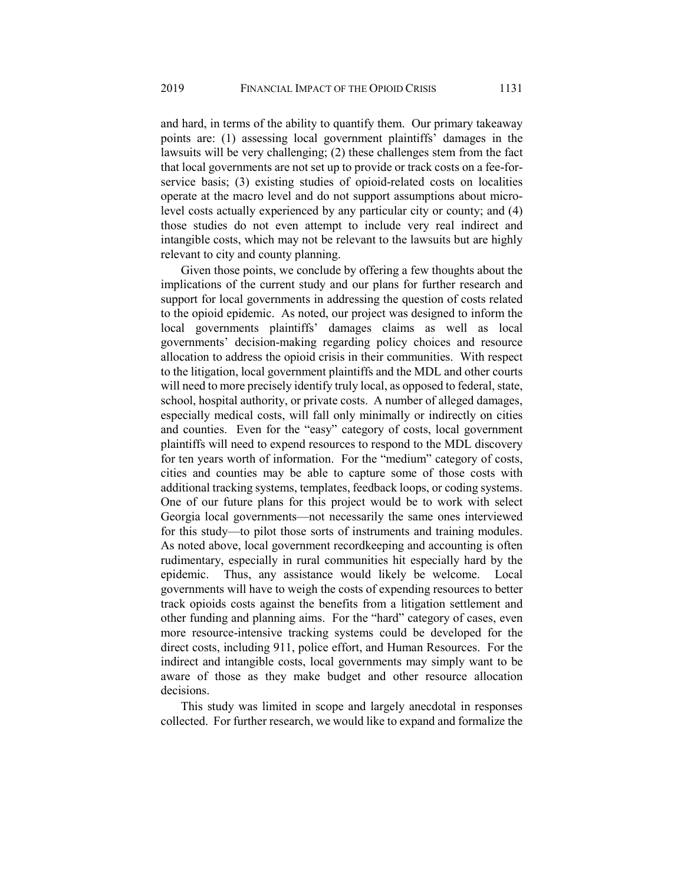and hard, in terms of the ability to quantify them. Our primary takeaway points are: (1) assessing local government plaintiffs' damages in the lawsuits will be very challenging; (2) these challenges stem from the fact that local governments are not set up to provide or track costs on a fee-forservice basis; (3) existing studies of opioid-related costs on localities operate at the macro level and do not support assumptions about microlevel costs actually experienced by any particular city or county; and (4) those studies do not even attempt to include very real indirect and intangible costs, which may not be relevant to the lawsuits but are highly relevant to city and county planning.

Given those points, we conclude by offering a few thoughts about the implications of the current study and our plans for further research and support for local governments in addressing the question of costs related to the opioid epidemic. As noted, our project was designed to inform the local governments plaintiffs' damages claims as well as local governments' decision-making regarding policy choices and resource allocation to address the opioid crisis in their communities. With respect to the litigation, local government plaintiffs and the MDL and other courts will need to more precisely identify truly local, as opposed to federal, state, school, hospital authority, or private costs. A number of alleged damages, especially medical costs, will fall only minimally or indirectly on cities and counties. Even for the "easy" category of costs, local government plaintiffs will need to expend resources to respond to the MDL discovery for ten years worth of information. For the "medium" category of costs, cities and counties may be able to capture some of those costs with additional tracking systems, templates, feedback loops, or coding systems. One of our future plans for this project would be to work with select Georgia local governments—not necessarily the same ones interviewed for this study—to pilot those sorts of instruments and training modules. As noted above, local government recordkeeping and accounting is often rudimentary, especially in rural communities hit especially hard by the epidemic. Thus, any assistance would likely be welcome. Local governments will have to weigh the costs of expending resources to better track opioids costs against the benefits from a litigation settlement and other funding and planning aims. For the "hard" category of cases, even more resource-intensive tracking systems could be developed for the direct costs, including 911, police effort, and Human Resources. For the indirect and intangible costs, local governments may simply want to be aware of those as they make budget and other resource allocation decisions.

This study was limited in scope and largely anecdotal in responses collected. For further research, we would like to expand and formalize the